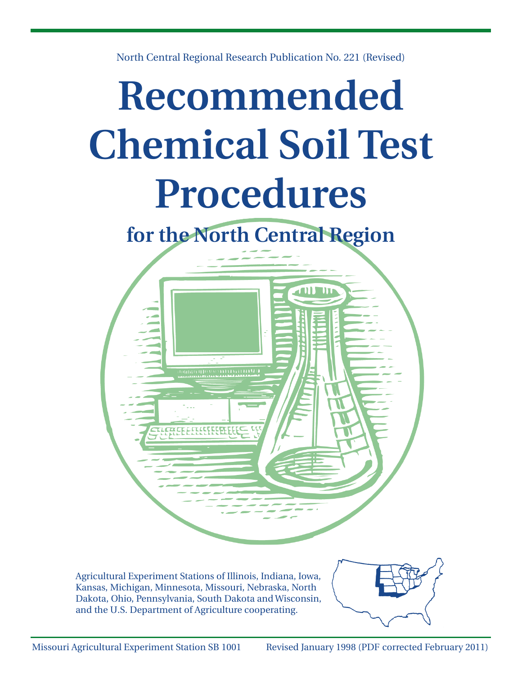

North Central Regional Research Publication No. 221 (Revised)

Agricultural Experiment Stations of Illinois, Indiana, Iowa, Kansas, Michigan, Minnesota, Missouri, Nebraska, North Dakota, Ohio, Pennsylvania, South Dakota and Wisconsin, and the U.S. Department of Agriculture cooperating.

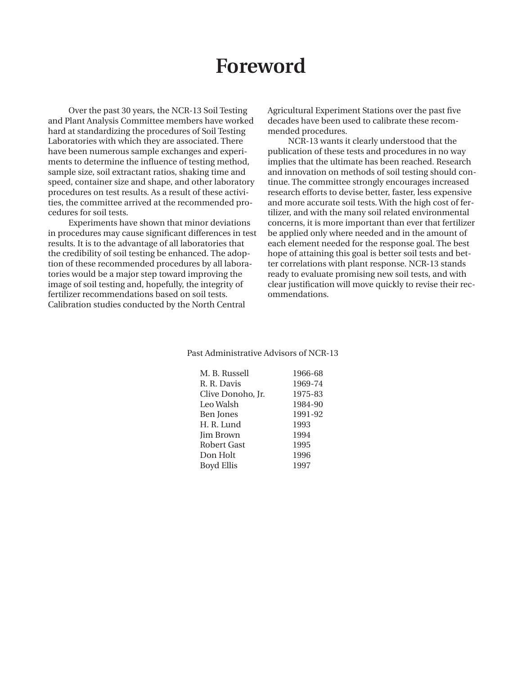# **Foreword**

Over the past 30 years, the NCR-13 Soil Testing and Plant Analysis Committee members have worked hard at standardizing the procedures of Soil Testing Laboratories with which they are associated. There have been numerous sample exchanges and experiments to determine the influence of testing method, sample size, soil extractant ratios, shaking time and speed, container size and shape, and other laboratory procedures on test results. As a result of these activities, the committee arrived at the recommended procedures for soil tests.

Experiments have shown that minor deviations in procedures may cause significant differences in test results. It is to the advantage of all laboratories that the credibility of soil testing be enhanced. The adoption of these recommended procedures by all laboratories would be a major step toward improving the image of soil testing and, hopefully, the integrity of fertilizer recommendations based on soil tests. Calibration studies conducted by the North Central

Agricultural Experiment Stations over the past five decades have been used to calibrate these recommended procedures.

NCR-13 wants it clearly understood that the publication of these tests and procedures in no way implies that the ultimate has been reached. Research and innovation on methods of soil testing should continue. The committee strongly encourages increased research efforts to devise better, faster, less expensive and more accurate soil tests. With the high cost of fertilizer, and with the many soil related environmental concerns, it is more important than ever that fertilizer be applied only where needed and in the amount of each element needed for the response goal. The best hope of attaining this goal is better soil tests and better correlations with plant response. NCR-13 stands ready to evaluate promising new soil tests, and with clear justification will move quickly to revise their recommendations.

#### Past Administrative Advisors of NCR-13

| M. B. Russell     | 1966-68 |
|-------------------|---------|
| R. R. Davis       | 1969-74 |
| Clive Donoho, Jr. | 1975-83 |
| Leo Walsh         | 1984-90 |
| <b>Ben Jones</b>  | 1991-92 |
| H. R. Lund        | 1993    |
| <b>Jim Brown</b>  | 1994    |
| Robert Gast       | 1995    |
| Don Holt          | 1996    |
| <b>Boyd Ellis</b> | 1997    |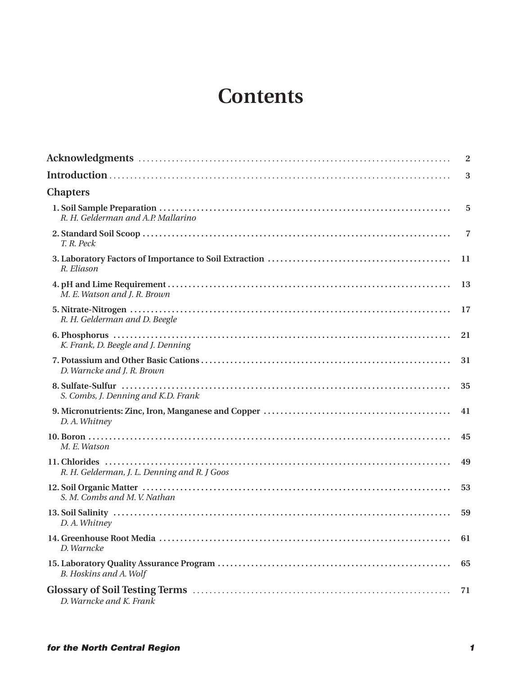# **Contents**

|                                              | $\overline{2}$ |
|----------------------------------------------|----------------|
|                                              | 3              |
| <b>Chapters</b>                              |                |
| R. H. Gelderman and A.P. Mallarino           | $\overline{5}$ |
| T. R. Peck                                   | 7              |
| R. Eliason                                   | 11             |
| M. E. Watson and J. R. Brown                 | 13             |
| R. H. Gelderman and D. Beegle                | 17             |
| K. Frank, D. Beegle and J. Denning           | 21             |
| D. Warncke and J. R. Brown                   | 31             |
| S. Combs, J. Denning and K.D. Frank          | 35             |
| D. A. Whitney                                | 41             |
| M. E. Watson                                 | 45             |
| R. H. Gelderman, J. L. Denning and R. J Goos | 49             |
| S. M. Combs and M. V. Nathan                 | 53             |
| D. A. Whitney                                | 59             |
| D. Warncke                                   | 61             |
| B. Hoskins and A. Wolf                       | 65             |
| D. Warncke and K. Frank                      | 71             |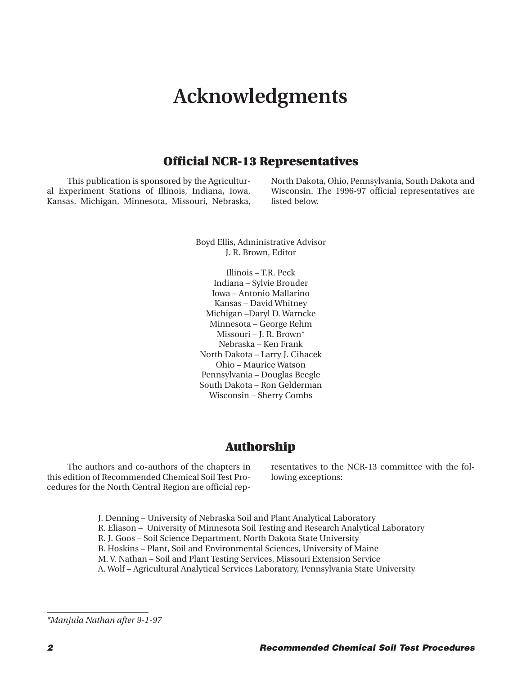# **Acknowledgments**

## **Official NCR-13 Representatives**

This publication is sponsored by the Agricultural Experiment Stations of Illinois, Indiana, Iowa, Kansas, Michigan, Minnesota, Missouri, Nebraska, North Dakota, Ohio, Pennsylvania, South Dakota and Wisconsin. The 1996-97 official representatives are listed below.

Boyd Ellis, Administrative Advisor J. R. Brown, Editor

Illinois – T.R. Peck Indiana – Sylvie Brouder Iowa – Antonio Mallarino Kansas – David Whitney Michigan –Daryl D. Warncke Minnesota – George Rehm Missouri – J. R. Brown\* Nebraska – Ken Frank North Dakota – Larry J. Cihacek Ohio – Maurice Watson Pennsylvania – Douglas Beegle South Dakota – Ron Gelderman Wisconsin – Sherry Combs

## **Authorship**

The authors and co-authors of the chapters in this edition of Recommended Chemical Soil Test Procedures for the North Central Region are official representatives to the NCR-13 committee with the following exceptions:

J. Denning – University of Nebraska Soil and Plant Analytical Laboratory R. Eliason – University of Minnesota Soil Testing and Research Analytical Laboratory R. J. Goos – Soil Science Department, North Dakota State University B. Hoskins – Plant, Soil and Environmental Sciences, University of Maine M. V. Nathan – Soil and Plant Testing Services, Missouri Extension Service A. Wolf – Agricultural Analytical Services Laboratory, Pennsylvania State University

*<sup>\*</sup>Manjula Nathan after 9-1-97*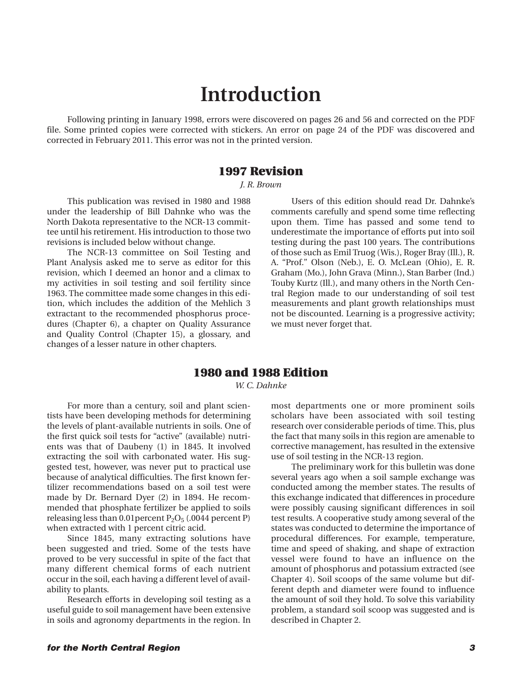# **Introduction**

Following printing in January 1998, errors were discovered on pages 26 and 56 and corrected on the PDF file. Some printed copies were corrected with stickers. An error on page 24 of the PDF was discovered and corrected in February 2011. This error was not in the printed version.

## **1997 Revision**

*J. R. Brown*

This publication was revised in 1980 and 1988 under the leadership of Bill Dahnke who was the North Dakota representative to the NCR-13 committee until his retirement. His introduction to those two revisions is included below without change.

The NCR-13 committee on Soil Testing and Plant Analysis asked me to serve as editor for this revision, which I deemed an honor and a climax to my activities in soil testing and soil fertility since 1963. The committee made some changes in this edition, which includes the addition of the Mehlich 3 extractant to the recommended phosphorus procedures (Chapter 6), a chapter on Quality Assurance and Quality Control (Chapter 15), a glossary, and changes of a lesser nature in other chapters.

Users of this edition should read Dr. Dahnke's comments carefully and spend some time reflecting upon them. Time has passed and some tend to underestimate the importance of efforts put into soil testing during the past 100 years. The contributions of those such as Emil Truog (Wis.), Roger Bray (Ill.), R. A. "Prof." Olson (Neb.), E. O. McLean (Ohio), E. R. Graham (Mo.), John Grava (Minn.), Stan Barber (Ind.) Touby Kurtz (Ill.), and many others in the North Central Region made to our understanding of soil test measurements and plant growth relationships must not be discounted. Learning is a progressive activity; we must never forget that.

## **1980 and 1988 Edition**

*W. C. Dahnke*

For more than a century, soil and plant scientists have been developing methods for determining the levels of plant-available nutrients in soils. One of the first quick soil tests for "active" (available) nutrients was that of Daubeny (1) in 1845. It involved extracting the soil with carbonated water. His suggested test, however, was never put to practical use because of analytical difficulties. The first known fertilizer recommendations based on a soil test were made by Dr. Bernard Dyer (2) in 1894. He recommended that phosphate fertilizer be applied to soils releasing less than 0.01 percent  $P_2O_5$  (.0044 percent P) when extracted with 1 percent citric acid.

Since 1845, many extracting solutions have been suggested and tried. Some of the tests have proved to be very successful in spite of the fact that many different chemical forms of each nutrient occur in the soil, each having a different level of availability to plants.

Research efforts in developing soil testing as a useful guide to soil management have been extensive in soils and agronomy departments in the region. In most departments one or more prominent soils scholars have been associated with soil testing research over considerable periods of time. This, plus the fact that many soils in this region are amenable to corrective management, has resulted in the extensive use of soil testing in the NCR-13 region.

The preliminary work for this bulletin was done several years ago when a soil sample exchange was conducted among the member states. The results of this exchange indicated that differences in procedure were possibly causing significant differences in soil test results. A cooperative study among several of the states was conducted to determine the importance of procedural differences. For example, temperature, time and speed of shaking, and shape of extraction vessel were found to have an influence on the amount of phosphorus and potassium extracted (see Chapter 4). Soil scoops of the same volume but different depth and diameter were found to influence the amount of soil they hold. To solve this variability problem, a standard soil scoop was suggested and is described in Chapter 2.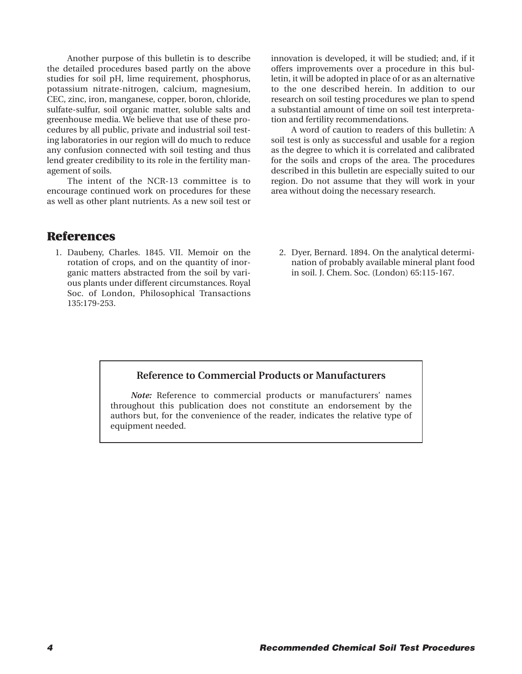Another purpose of this bulletin is to describe the detailed procedures based partly on the above studies for soil pH, lime requirement, phosphorus, potassium nitrate-nitrogen, calcium, magnesium, CEC, zinc, iron, manganese, copper, boron, chloride, sulfate-sulfur, soil organic matter, soluble salts and greenhouse media. We believe that use of these procedures by all public, private and industrial soil testing laboratories in our region will do much to reduce any confusion connected with soil testing and thus lend greater credibility to its role in the fertility management of soils.

The intent of the NCR-13 committee is to encourage continued work on procedures for these as well as other plant nutrients. As a new soil test or innovation is developed, it will be studied; and, if it offers improvements over a procedure in this bulletin, it will be adopted in place of or as an alternative to the one described herein. In addition to our research on soil testing procedures we plan to spend a substantial amount of time on soil test interpretation and fertility recommendations.

A word of caution to readers of this bulletin: A soil test is only as successful and usable for a region as the degree to which it is correlated and calibrated for the soils and crops of the area. The procedures described in this bulletin are especially suited to our region. Do not assume that they will work in your area without doing the necessary research.

## **References**

- 1. Daubeny, Charles. 1845. VII. Memoir on the rotation of crops, and on the quantity of inorganic matters abstracted from the soil by various plants under different circumstances. Royal Soc. of London, Philosophical Transactions 135:179-253.
- 2. Dyer, Bernard. 1894. On the analytical determination of probably available mineral plant food in soil. J. Chem. Soc. (London) 65:115-167.

#### **Reference to Commercial Products or Manufacturers**

*Note:* Reference to commercial products or manufacturers' names throughout this publication does not constitute an endorsement by the authors but, for the convenience of the reader, indicates the relative type of equipment needed.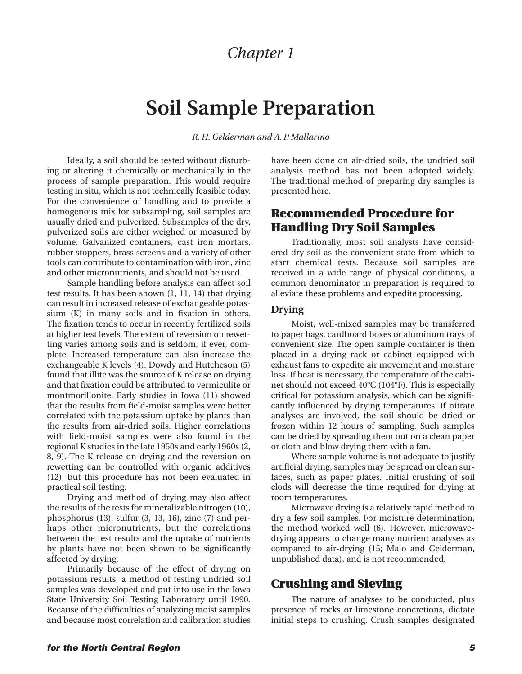# **Soil Sample Preparation**

*R. H. Gelderman and A. P. Mallarino*

Ideally, a soil should be tested without disturbing or altering it chemically or mechanically in the process of sample preparation. This would require testing in situ, which is not technically feasible today. For the convenience of handling and to provide a homogenous mix for subsampling, soil samples are usually dried and pulverized. Subsamples of the dry, pulverized soils are either weighed or measured by volume. Galvanized containers, cast iron mortars, rubber stoppers, brass screens and a variety of other tools can contribute to contamination with iron, zinc and other micronutrients, and should not be used.

Sample handling before analysis can affect soil test results. It has been shown (1, 11, 14) that drying can result in increased release of exchangeable potassium (K) in many soils and in fixation in others. The fixation tends to occur in recently fertilized soils at higher test levels. The extent of reversion on rewetting varies among soils and is seldom, if ever, complete. Increased temperature can also increase the exchangeable K levels (4). Dowdy and Hutcheson (5) found that illite was the source of K release on drying and that fixation could be attributed to vermiculite or montmorillonite. Early studies in Iowa (11) showed that the results from field-moist samples were better correlated with the potassium uptake by plants than the results from air-dried soils. Higher correlations with field-moist samples were also found in the regional K studies in the late 1950s and early 1960s (2, 8, 9). The K release on drying and the reversion on rewetting can be controlled with organic additives (12), but this procedure has not been evaluated in practical soil testing.

Drying and method of drying may also affect the results of the tests for mineralizable nitrogen (10), phosphorus (13), sulfur (3, 13, 16), zinc (7) and perhaps other micronutrients, but the correlations between the test results and the uptake of nutrients by plants have not been shown to be significantly affected by drying.

Primarily because of the effect of drying on potassium results, a method of testing undried soil samples was developed and put into use in the Iowa State University Soil Testing Laboratory until 1990. Because of the difficulties of analyzing moist samples and because most correlation and calibration studies

have been done on air-dried soils, the undried soil analysis method has not been adopted widely. The traditional method of preparing dry samples is presented here.

## **Recommended Procedure for Handling Dry Soil Samples**

Traditionally, most soil analysts have considered dry soil as the convenient state from which to start chemical tests. Because soil samples are received in a wide range of physical conditions, a common denominator in preparation is required to alleviate these problems and expedite processing.

#### **Drying**

Moist, well-mixed samples may be transferred to paper bags, cardboard boxes or aluminum trays of convenient size. The open sample container is then placed in a drying rack or cabinet equipped with exhaust fans to expedite air movement and moisture loss. If heat is necessary, the temperature of the cabinet should not exceed 40°C (104°F). This is especially critical for potassium analysis, which can be significantly influenced by drying temperatures. If nitrate analyses are involved, the soil should be dried or frozen within 12 hours of sampling. Such samples can be dried by spreading them out on a clean paper or cloth and blow drying them with a fan.

Where sample volume is not adequate to justify artificial drying, samples may be spread on clean surfaces, such as paper plates. Initial crushing of soil clods will decrease the time required for drying at room temperatures.

Microwave drying is a relatively rapid method to dry a few soil samples. For moisture determination, the method worked well (6). However, microwavedrying appears to change many nutrient analyses as compared to air-drying (15; Malo and Gelderman, unpublished data), and is not recommended.

## **Crushing and Sieving**

The nature of analyses to be conducted, plus presence of rocks or limestone concretions, dictate initial steps to crushing. Crush samples designated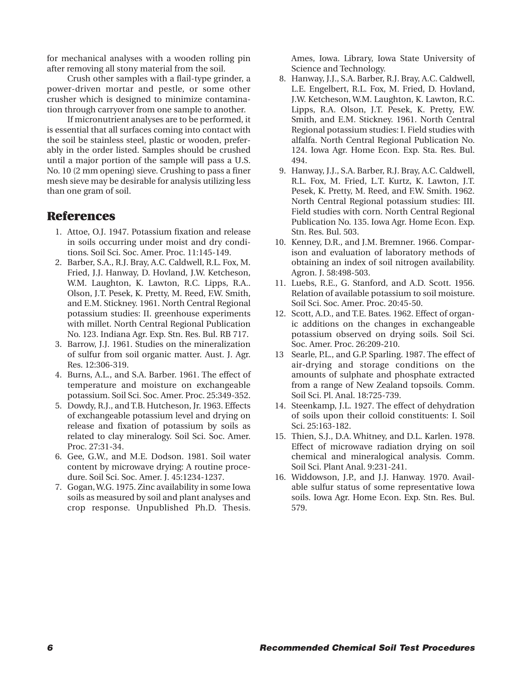for mechanical analyses with a wooden rolling pin after removing all stony material from the soil.

Crush other samples with a flail-type grinder, a power-driven mortar and pestle, or some other crusher which is designed to minimize contamination through carryover from one sample to another.

If micronutrient analyses are to be performed, it is essential that all surfaces coming into contact with the soil be stainless steel, plastic or wooden, preferably in the order listed. Samples should be crushed until a major portion of the sample will pass a U.S. No. 10 (2 mm opening) sieve. Crushing to pass a finer mesh sieve may be desirable for analysis utilizing less than one gram of soil.

## **References**

- 1. Attoe, O.J. 1947. Potassium fixation and release in soils occurring under moist and dry conditions. Soil Sci. Soc. Amer. Proc. 11:145-149.
- 2. Barber, S.A., R.J. Bray, A.C. Caldwell, R.L. Fox, M. Fried, J.J. Hanway, D. Hovland, J.W. Ketcheson, W.M. Laughton, K. Lawton, R.C. Lipps, R.A.. Olson, J.T. Pesek, K. Pretty, M. Reed, F.W. Smith, and E.M. Stickney. 1961. North Central Regional potassium studies: II. greenhouse experiments with millet. North Central Regional Publication No. 123. Indiana Agr. Exp. Stn. Res. Bul. RB 717.
- 3. Barrow, J.J. 1961. Studies on the mineralization of sulfur from soil organic matter. Aust. J. Agr. Res. 12:306-319.
- 4. Burns, A.L., and S.A. Barber. 1961. The effect of temperature and moisture on exchangeable potassium. Soil Sci. Soc. Amer. Proc. 25:349-352.
- 5. Dowdy, R.J., and T.B. Hutcheson, Jr. 1963. Effects of exchangeable potassium level and drying on release and fixation of potassium by soils as related to clay mineralogy. Soil Sci. Soc. Amer. Proc. 27:31-34.
- 6. Gee, G.W., and M.E. Dodson. 1981. Soil water content by microwave drying: A routine procedure. Soil Sci. Soc. Amer. J. 45:1234-1237.
- 7. Gogan, W.G. 1975. Zinc availability in some Iowa soils as measured by soil and plant analyses and crop response. Unpublished Ph.D. Thesis.

Ames, Iowa. Library, Iowa State University of Science and Technology.

- 8. Hanway, J.J., S.A. Barber, R.J. Bray, A.C. Caldwell, L.E. Engelbert, R.L. Fox, M. Fried, D. Hovland, J.W. Ketcheson, W.M. Laughton, K. Lawton, R.C. Lipps, R.A. Olson, J.T. Pesek, K. Pretty, F.W. Smith, and E.M. Stickney. 1961. North Central Regional potassium studies: I. Field studies with alfalfa. North Central Regional Publication No. 124. Iowa Agr. Home Econ. Exp. Sta. Res. Bul. 494.
- 9. Hanway, J.J., S.A. Barber, R.J. Bray, A.C. Caldwell, R.L. Fox, M. Fried, L.T. Kurtz, K. Lawton, J.T. Pesek, K. Pretty, M. Reed, and F.W. Smith. 1962. North Central Regional potassium studies: III. Field studies with corn. North Central Regional Publication No. 135. Iowa Agr. Home Econ. Exp. Stn. Res. Bul. 503.
- 10. Kenney, D.R., and J.M. Bremner. 1966. Comparison and evaluation of laboratory methods of obtaining an index of soil nitrogen availability. Agron. J. 58:498-503.
- 11. Luebs, R.E., G. Stanford, and A.D. Scott. 1956. Relation of available potassium to soil moisture. Soil Sci. Soc. Amer. Proc. 20:45-50.
- 12. Scott, A.D., and T.E. Bates. 1962. Effect of organic additions on the changes in exchangeable potassium observed on drying soils. Soil Sci. Soc. Amer. Proc. 26:209-210.
- 13 Searle, P.L., and G.P. Sparling. 1987. The effect of air-drying and storage conditions on the amounts of sulphate and phosphate extracted from a range of New Zealand topsoils. Comm. Soil Sci. Pl. Anal. 18:725-739.
- 14. Steenkamp, J.L. 1927. The effect of dehydration of soils upon their colloid constituents: I. Soil Sci. 25:163-182.
- 15. Thien, S.J., D.A. Whitney, and D.L. Karlen. 1978. Effect of microwave radiation drying on soil chemical and mineralogical analysis. Comm. Soil Sci. Plant Anal. 9:231-241.
- 16. Widdowson, J.P., and J.J. Hanway. 1970. Available sulfur status of some representative Iowa soils. Iowa Agr. Home Econ. Exp. Stn. Res. Bul. 579.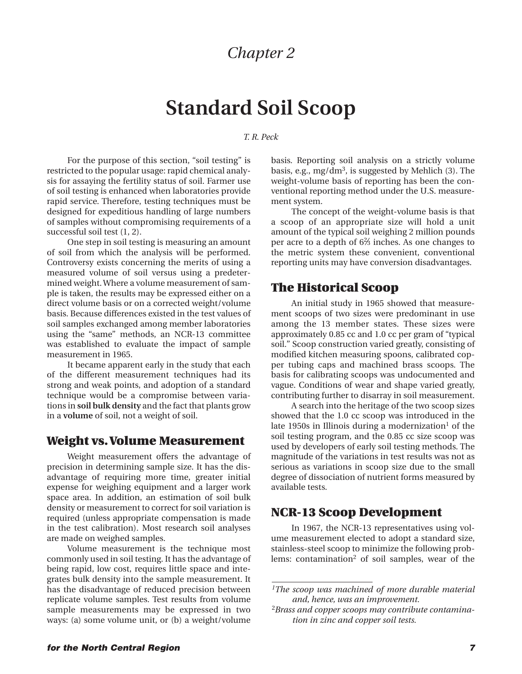# **Standard Soil Scoop**

#### *T. R. Peck*

For the purpose of this section, "soil testing" is restricted to the popular usage: rapid chemical analysis for assaying the fertility status of soil. Farmer use of soil testing is enhanced when laboratories provide rapid service. Therefore, testing techniques must be designed for expeditious handling of large numbers of samples without compromising requirements of a successful soil test (1, 2).

One step in soil testing is measuring an amount of soil from which the analysis will be performed. Controversy exists concerning the merits of using a measured volume of soil versus using a predetermined weight. Where a volume measurement of sample is taken, the results may be expressed either on a direct volume basis or on a corrected weight/volume basis. Because differences existed in the test values of soil samples exchanged among member laboratories using the "same" methods, an NCR-13 committee was established to evaluate the impact of sample measurement in 1965.

It became apparent early in the study that each of the different measurement techniques had its strong and weak points, and adoption of a standard technique would be a compromise between variations in **soil bulk density** and the fact that plants grow in a **volume** of soil, not a weight of soil.

## **Weight vs. Volume Measurement**

Weight measurement offers the advantage of precision in determining sample size. It has the disadvantage of requiring more time, greater initial expense for weighing equipment and a larger work space area. In addition, an estimation of soil bulk density or measurement to correct for soil variation is required (unless appropriate compensation is made in the test calibration). Most research soil analyses are made on weighed samples.

Volume measurement is the technique most commonly used in soil testing. It has the advantage of being rapid, low cost, requires little space and integrates bulk density into the sample measurement. It has the disadvantage of reduced precision between replicate volume samples. Test results from volume sample measurements may be expressed in two ways: (a) some volume unit, or (b) a weight/volume

basis. Reporting soil analysis on a strictly volume basis, e.g.,  $mg/dm^3$ , is suggested by Mehlich (3). The weight-volume basis of reporting has been the conventional reporting method under the U.S. measurement system.

The concept of the weight-volume basis is that a scoop of an appropriate size will hold a unit amount of the typical soil weighing 2 million pounds per acre to a depth of 62 ⁄3 inches. As one changes to the metric system these convenient, conventional reporting units may have conversion disadvantages.

## **The Historical Scoop**

An initial study in 1965 showed that measurement scoops of two sizes were predominant in use among the 13 member states. These sizes were approximately 0.85 cc and 1.0 cc per gram of "typical soil." Scoop construction varied greatly, consisting of modified kitchen measuring spoons, calibrated copper tubing caps and machined brass scoops. The basis for calibrating scoops was undocumented and vague. Conditions of wear and shape varied greatly, contributing further to disarray in soil measurement.

A search into the heritage of the two scoop sizes showed that the 1.0 cc scoop was introduced in the late 1950s in Illinois during a modernization<sup>1</sup> of the soil testing program, and the 0.85 cc size scoop was used by developers of early soil testing methods. The magnitude of the variations in test results was not as serious as variations in scoop size due to the small degree of dissociation of nutrient forms measured by available tests.

## **NCR-13 Scoop Development**

In 1967, the NCR-13 representatives using volume measurement elected to adopt a standard size, stainless-steel scoop to minimize the following problems: contamination<sup>2</sup> of soil samples, wear of the

*<sup>1</sup>The scoop was machined of more durable material and, hence, was an improvement.*

<sup>2</sup>*Brass and copper scoops may contribute contamination in zinc and copper soil tests.*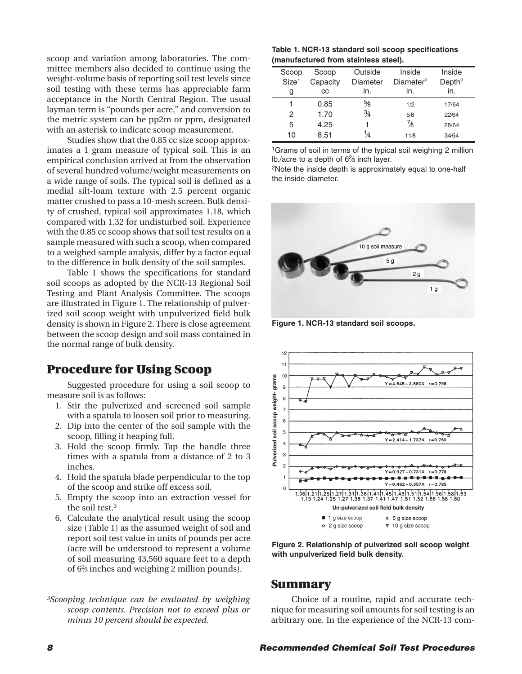scoop and variation among laboratories. The committee members also decided to continue using the weight-volume basis of reporting soil test levels since soil testing with these terms has appreciable farm acceptance in the North Central Region. The usual layman term is "pounds per acre," and conversion to the metric system can be pp2m or ppm, designated with an asterisk to indicate scoop measurement.

Studies show that the 0.85 cc size scoop approximates a 1 gram measure of typical soil. This is an empirical conclusion arrived at from the observation of several hundred volume/weight measurements on a wide range of soils. The typical soil is defined as a medial silt-loam texture with 2.5 percent organic matter crushed to pass a 10-mesh screen. Bulk density of crushed, typical soil approximates 1.18, which compared with 1.32 for undisturbed soil. Experience with the 0.85 cc scoop shows that soil test results on a sample measured with such a scoop, when compared to a weighed sample analysis, differ by a factor equal to the difference in bulk density of the soil samples.

Table 1 shows the specifications for standard soil scoops as adopted by the NCR-13 Regional Soil Testing and Plant Analysis Committee. The scoops are illustrated in Figure 1. The relationship of pulverized soil scoop weight with unpulverized field bulk density is shown in Figure 2. There is close agreement between the scoop design and soil mass contained in the normal range of bulk density.

## **Procedure for Using Scoop**

Suggested procedure for using a soil scoop to measure soil is as follows:

- 1. Stir the pulverized and screened soil sample with a spatula to loosen soil prior to measuring.
- 2. Dip into the center of the soil sample with the scoop, filling it heaping full.
- 3. Hold the scoop firmly. Tap the handle three times with a spatula from a distance of 2 to 3 inches.
- 4. Hold the spatula blade perpendicular to the top of the scoop and strike off excess soil.
- 5. Empty the scoop into an extraction vessel for the soil test.3
- 6. Calculate the analytical result using the scoop size (Table 1) as the assumed weight of soil and report soil test value in units of pounds per acre (acre will be understood to represent a volume of soil measuring 43,560 square feet to a depth of 62 ⁄3 inches and weighing 2 million pounds).

**Table 1. NCR-13 standard soil scoop specifications (manufactured from stainless steel).**

| Scoop             | Scoop    | Outside         | Inside                | Inside             |  |
|-------------------|----------|-----------------|-----------------------|--------------------|--|
| Size <sup>1</sup> | Capacity | <b>Diameter</b> | Diameter <sup>2</sup> | Depth <sup>2</sup> |  |
| g                 | CС       | in.             | in.                   | in.                |  |
|                   | 0.85     | $\frac{5}{8}$   | 1/2                   | 17/64              |  |
| 2                 | 1.70     | $\frac{3}{4}$   | 5⁄8                   | 22/64              |  |
| 5                 | 4.25     |                 | $\frac{7}{8}$         | 28/64              |  |
| 10                | 8.51     | 1⁄4             | 11/8                  | 34/64              |  |
|                   |          |                 |                       |                    |  |

1Grams of soil in terms of the typical soil weighing 2 million Ib./acre to a depth of 6<sup>2</sup>/<sub>3</sub> inch layer.

2Note the inside depth is approximately equal to one-half the inside diameter.



**Figure 1. NCR-13 standard soil scoops.**



**Figure 2. Relationship of pulverized soil scoop weight with unpulverized field bulk density.**

#### **Summary**

Choice of a routine, rapid and accurate technique for measuring soil amounts for soil testing is an arbitrary one. In the experience of the NCR-13 com-

*<sup>3</sup>Scooping technique can be evaluated by weighing scoop contents. Precision not to exceed plus or minus 10 percent should be expected.*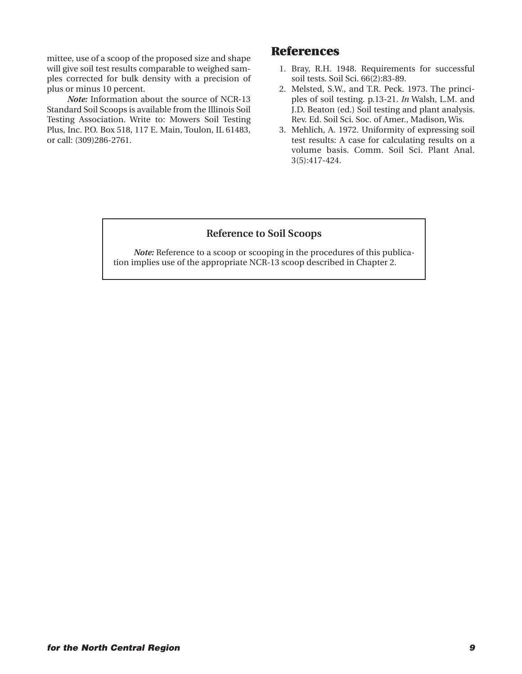mittee, use of a scoop of the proposed size and shape will give soil test results comparable to weighed samples corrected for bulk density with a precision of plus or minus 10 percent.

*Note:* Information about the source of NCR-13 Standard Soil Scoops is available from the Illinois Soil Testing Association. Write to: Mowers Soil Testing Plus, Inc. P.O. Box 518, 117 E. Main, Toulon, IL 61483, or call: (309)286-2761.

## **References**

- 1. Bray, R.H. 1948. Requirements for successful soil tests. Soil Sci. 66(2):83-89.
- 2. Melsted, S.W., and T.R. Peck. 1973. The principles of soil testing. p.13-21. *In* Walsh, L.M. and J.D. Beaton (ed.) Soil testing and plant analysis. Rev. Ed. Soil Sci. Soc. of Amer., Madison, Wis.
- 3. Mehlich, A. 1972. Uniformity of expressing soil test results: A case for calculating results on a volume basis. Comm. Soil Sci. Plant Anal. 3(5):417-424.

#### **Reference to Soil Scoops**

*Note:* Reference to a scoop or scooping in the procedures of this publication implies use of the appropriate NCR-13 scoop described in Chapter 2.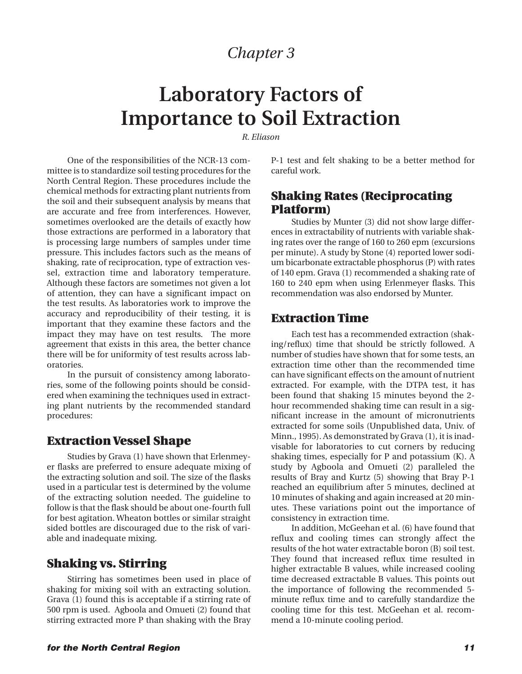# **Laboratory Factors of Importance to Soil Extraction**

*R. Eliason*

One of the responsibilities of the NCR-13 committee is to standardize soil testing procedures for the North Central Region. These procedures include the chemical methods for extracting plant nutrients from the soil and their subsequent analysis by means that are accurate and free from interferences. However, sometimes overlooked are the details of exactly how those extractions are performed in a laboratory that is processing large numbers of samples under time pressure. This includes factors such as the means of shaking, rate of reciprocation, type of extraction vessel, extraction time and laboratory temperature. Although these factors are sometimes not given a lot of attention, they can have a significant impact on the test results. As laboratories work to improve the accuracy and reproducibility of their testing, it is important that they examine these factors and the impact they may have on test results. The more agreement that exists in this area, the better chance there will be for uniformity of test results across laboratories.

In the pursuit of consistency among laboratories, some of the following points should be considered when examining the techniques used in extracting plant nutrients by the recommended standard procedures:

## **Extraction Vessel Shape**

Studies by Grava (1) have shown that Erlenmeyer flasks are preferred to ensure adequate mixing of the extracting solution and soil. The size of the flasks used in a particular test is determined by the volume of the extracting solution needed. The guideline to follow is that the flask should be about one-fourth full for best agitation. Wheaton bottles or similar straight sided bottles are discouraged due to the risk of variable and inadequate mixing.

## **Shaking vs. Stirring**

Stirring has sometimes been used in place of shaking for mixing soil with an extracting solution. Grava (1) found this is acceptable if a stirring rate of 500 rpm is used. Agboola and Omueti (2) found that stirring extracted more P than shaking with the Bray

P-1 test and felt shaking to be a better method for careful work.

## **Shaking Rates (Reciprocating Platform)**

Studies by Munter (3) did not show large differences in extractability of nutrients with variable shaking rates over the range of 160 to 260 epm (excursions per minute). A study by Stone (4) reported lower sodium bicarbonate extractable phosphorus (P) with rates of 140 epm. Grava (1) recommended a shaking rate of 160 to 240 epm when using Erlenmeyer flasks. This recommendation was also endorsed by Munter.

## **Extraction Time**

Each test has a recommended extraction (shaking/reflux) time that should be strictly followed. A number of studies have shown that for some tests, an extraction time other than the recommended time can have significant effects on the amount of nutrient extracted. For example, with the DTPA test, it has been found that shaking 15 minutes beyond the 2 hour recommended shaking time can result in a significant increase in the amount of micronutrients extracted for some soils (Unpublished data, Univ. of Minn., 1995). As demonstrated by Grava (1), it is inadvisable for laboratories to cut corners by reducing shaking times, especially for P and potassium (K). A study by Agboola and Omueti (2) paralleled the results of Bray and Kurtz (5) showing that Bray P-1 reached an equilibrium after 5 minutes, declined at 10 minutes of shaking and again increased at 20 minutes. These variations point out the importance of consistency in extraction time.

In addition, McGeehan et al. (6) have found that reflux and cooling times can strongly affect the results of the hot water extractable boron (B) soil test. They found that increased reflux time resulted in higher extractable B values, while increased cooling time decreased extractable B values. This points out the importance of following the recommended 5 minute reflux time and to carefully standardize the cooling time for this test. McGeehan et al. recommend a 10-minute cooling period.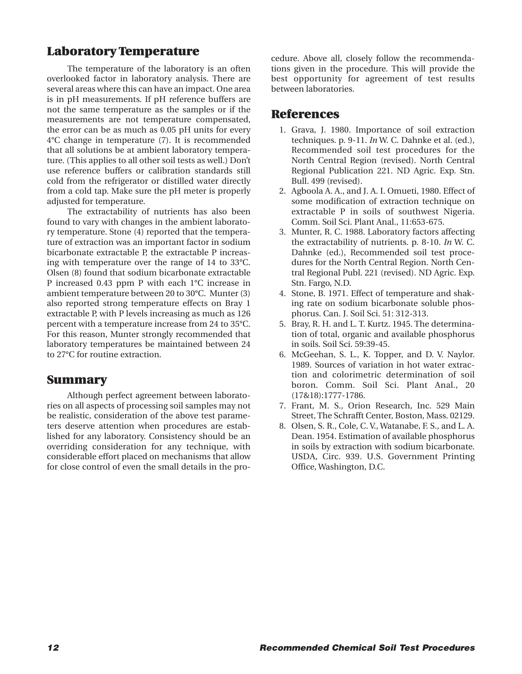## **Laboratory Temperature**

The temperature of the laboratory is an often overlooked factor in laboratory analysis. There are several areas where this can have an impact. One area is in pH measurements. If pH reference buffers are not the same temperature as the samples or if the measurements are not temperature compensated, the error can be as much as 0.05 pH units for every 4°C change in temperature (7). It is recommended that all solutions be at ambient laboratory temperature. (This applies to all other soil tests as well.) Don't use reference buffers or calibration standards still cold from the refrigerator or distilled water directly from a cold tap. Make sure the pH meter is properly adjusted for temperature.

The extractability of nutrients has also been found to vary with changes in the ambient laboratory temperature. Stone (4) reported that the temperature of extraction was an important factor in sodium bicarbonate extractable P, the extractable P increasing with temperature over the range of 14 to 33°C. Olsen (8) found that sodium bicarbonate extractable P increased 0.43 ppm P with each 1°C increase in ambient temperature between 20 to 30°C. Munter (3) also reported strong temperature effects on Bray 1 extractable P, with P levels increasing as much as 126 percent with a temperature increase from 24 to 35°C. For this reason, Munter strongly recommended that laboratory temperatures be maintained between 24 to 27°C for routine extraction.

## **Summary**

Although perfect agreement between laboratories on all aspects of processing soil samples may not be realistic, consideration of the above test parameters deserve attention when procedures are established for any laboratory. Consistency should be an overriding consideration for any technique, with considerable effort placed on mechanisms that allow for close control of even the small details in the procedure. Above all, closely follow the recommendations given in the procedure. This will provide the best opportunity for agreement of test results between laboratories.

## **References**

- 1. Grava, J. 1980. Importance of soil extraction techniques. p. 9-11. *In* W. C. Dahnke et al. (ed.), Recommended soil test procedures for the North Central Region (revised). North Central Regional Publication 221. ND Agric. Exp. Stn. Bull. 499 (revised).
- 2. Agboola A. A., and J. A. I. Omueti, 1980. Effect of some modification of extraction technique on extractable P in soils of southwest Nigeria. Comm. Soil Sci. Plant Anal., 11:653-675.
- 3. Munter, R. C. 1988. Laboratory factors affecting the extractability of nutrients. p. 8-10. *In* W. C. Dahnke (ed.), Recommended soil test procedures for the North Central Region. North Central Regional Publ. 221 (revised). ND Agric. Exp. Stn. Fargo, N.D.
- 4. Stone, B. 1971. Effect of temperature and shaking rate on sodium bicarbonate soluble phosphorus. Can. J. Soil Sci. 51: 312-313.
- 5. Bray, R. H. and L. T. Kurtz. 1945. The determination of total, organic and available phosphorus in soils. Soil Sci. 59:39-45.
- 6. McGeehan, S. L., K. Topper, and D. V. Naylor. 1989. Sources of variation in hot water extraction and colorimetric determination of soil boron. Comm. Soil Sci. Plant Anal., 20 (17&18):1777-1786.
- 7. Frant, M. S., Orion Research, Inc. 529 Main Street, The Schrafft Center, Boston, Mass. 02129.
- 8. Olsen, S. R., Cole, C. V., Watanabe, F. S., and L. A. Dean. 1954. Estimation of available phosphorus in soils by extraction with sodium bicarbonate. USDA, Circ. 939. U.S. Government Printing Office, Washington, D.C.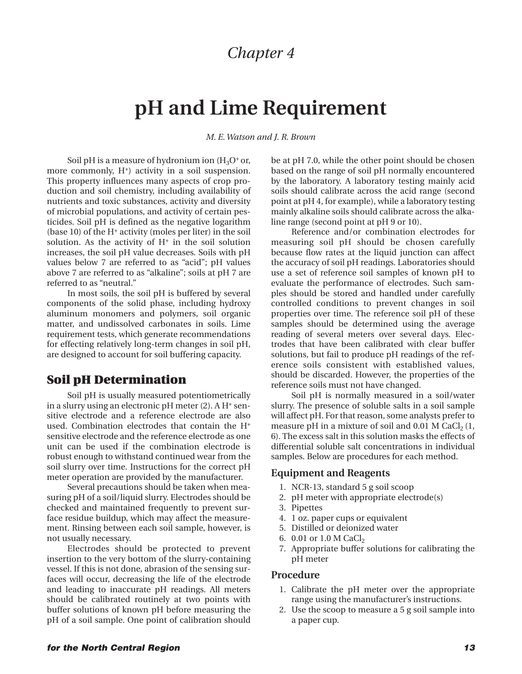# **pH and Lime Requirement**

*M. E. Watson and J. R. Brown*

Soil pH is a measure of hydronium ion  $(H_3O^+$  or, more commonly, H<sup>+</sup>) activity in a soil suspension. This property influences many aspects of crop production and soil chemistry, including availability of nutrients and toxic substances, activity and diversity of microbial populations, and activity of certain pesticides. Soil pH is defined as the negative logarithm (base 10) of the H+ activity (moles per liter) in the soil solution. As the activity of  $H^+$  in the soil solution increases, the soil pH value decreases. Soils with pH values below 7 are referred to as "acid"; pH values above 7 are referred to as "alkaline"; soils at pH 7 are referred to as "neutral."

In most soils, the soil pH is buffered by several components of the solid phase, including hydroxy aluminum monomers and polymers, soil organic matter, and undissolved carbonates in soils. Lime requirement tests, which generate recommendations for effecting relatively long-term changes in soil pH, are designed to account for soil buffering capacity.

## **Soil pH Determination**

Soil pH is usually measured potentiometrically in a slurry using an electronic  $pH$  meter (2). A  $H^+$  sensitive electrode and a reference electrode are also used. Combination electrodes that contain the H+ sensitive electrode and the reference electrode as one unit can be used if the combination electrode is robust enough to withstand continued wear from the soil slurry over time. Instructions for the correct pH meter operation are provided by the manufacturer.

Several precautions should be taken when measuring pH of a soil/liquid slurry. Electrodes should be checked and maintained frequently to prevent surface residue buildup, which may affect the measurement. Rinsing between each soil sample, however, is not usually necessary.

Electrodes should be protected to prevent insertion to the very bottom of the slurry-containing vessel. If this is not done, abrasion of the sensing surfaces will occur, decreasing the life of the electrode and leading to inaccurate pH readings. All meters should be calibrated routinely at two points with buffer solutions of known pH before measuring the pH of a soil sample. One point of calibration should

be at pH 7.0, while the other point should be chosen based on the range of soil pH normally encountered by the laboratory. A laboratory testing mainly acid soils should calibrate across the acid range (second point at pH 4, for example), while a laboratory testing mainly alkaline soils should calibrate across the alkaline range (second point at pH 9 or 10).

Reference and/or combination electrodes for measuring soil pH should be chosen carefully because flow rates at the liquid junction can affect the accuracy of soil pH readings. Laboratories should use a set of reference soil samples of known pH to evaluate the performance of electrodes. Such samples should be stored and handled under carefully controlled conditions to prevent changes in soil properties over time. The reference soil pH of these samples should be determined using the average reading of several meters over several days. Electrodes that have been calibrated with clear buffer solutions, but fail to produce pH readings of the reference soils consistent with established values, should be discarded. However, the properties of the reference soils must not have changed.

Soil pH is normally measured in a soil/water slurry. The presence of soluble salts in a soil sample will affect pH. For that reason, some analysts prefer to measure pH in a mixture of soil and  $0.01$  M CaCl<sub>2</sub> (1, 6). The excess salt in this solution masks the effects of differential soluble salt concentrations in individual samples. Below are procedures for each method.

#### **Equipment and Reagents**

- 1. NCR-13, standard 5 g soil scoop
- 2. pH meter with appropriate electrode(s)
- 3. Pipettes
- 4. 1 oz. paper cups or equivalent
- 5. Distilled or deionized water
- 6. 0.01 or 1.0 M CaCl<sub>2</sub>
- 7. Appropriate buffer solutions for calibrating the pH meter

#### **Procedure**

- 1. Calibrate the pH meter over the appropriate range using the manufacturer's instructions.
- 2. Use the scoop to measure a 5 g soil sample into a paper cup.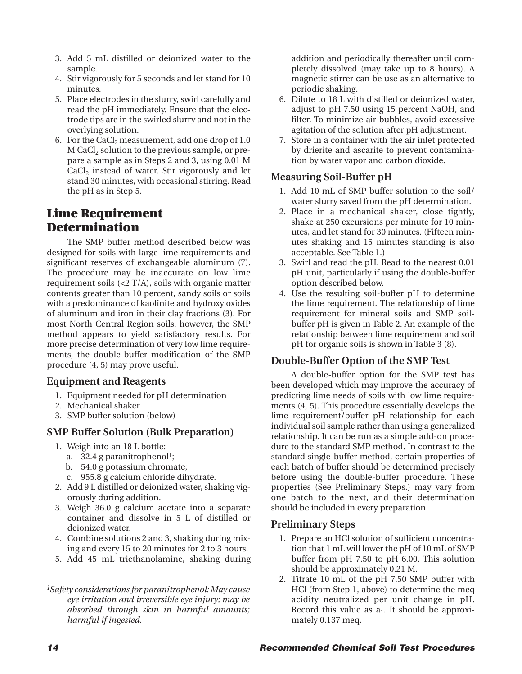- 3. Add 5 mL distilled or deionized water to the sample.
- 4. Stir vigorously for 5 seconds and let stand for 10 minutes.
- 5. Place electrodes in the slurry, swirl carefully and read the pH immediately. Ensure that the electrode tips are in the swirled slurry and not in the overlying solution.
- 6. For the CaCl<sub>2</sub> measurement, add one drop of  $1.0$  $M$  CaCl<sub>2</sub> solution to the previous sample, or prepare a sample as in Steps 2 and 3, using 0.01 M  $CaCl<sub>2</sub>$  instead of water. Stir vigorously and let stand 30 minutes, with occasional stirring. Read the pH as in Step 5.

## **Lime Requirement Determination**

The SMP buffer method described below was designed for soils with large lime requirements and significant reserves of exchangeable aluminum (7). The procedure may be inaccurate on low lime requirement soils (<2 T/A), soils with organic matter contents greater than 10 percent, sandy soils or soils with a predominance of kaolinite and hydroxy oxides of aluminum and iron in their clay fractions (3). For most North Central Region soils, however, the SMP method appears to yield satisfactory results. For more precise determination of very low lime requirements, the double-buffer modification of the SMP procedure (4, 5) may prove useful.

## **Equipment and Reagents**

- 1. Equipment needed for pH determination
- 2. Mechanical shaker
- 3. SMP buffer solution (below)

## **SMP Buffer Solution (Bulk Preparation)**

- 1. Weigh into an 18 L bottle:
	- a. 32.4 g paranitrophenol<sup>1</sup>;
	- b. 54.0 g potassium chromate;
	- c. 955.8 g calcium chloride dihydrate.
- 2. Add 9 L distilled or deionized water, shaking vigorously during addition.
- 3. Weigh 36.0 g calcium acetate into a separate container and dissolve in 5 L of distilled or deionized water.
- 4. Combine solutions 2 and 3, shaking during mixing and every 15 to 20 minutes for 2 to 3 hours.
- 5. Add 45 mL triethanolamine, shaking during

addition and periodically thereafter until completely dissolved (may take up to 8 hours). A magnetic stirrer can be use as an alternative to periodic shaking.

- 6. Dilute to 18 L with distilled or deionized water, adjust to pH 7.50 using 15 percent NaOH, and filter. To minimize air bubbles, avoid excessive agitation of the solution after pH adjustment.
- 7. Store in a container with the air inlet protected by drierite and ascarite to prevent contamination by water vapor and carbon dioxide.

## **Measuring Soil-Buffer pH**

- 1. Add 10 mL of SMP buffer solution to the soil/ water slurry saved from the pH determination.
- 2. Place in a mechanical shaker, close tightly, shake at 250 excursions per minute for 10 minutes, and let stand for 30 minutes. (Fifteen minutes shaking and 15 minutes standing is also acceptable. See Table 1.)
- 3. Swirl and read the pH. Read to the nearest 0.01 pH unit, particularly if using the double-buffer option described below.
- 4. Use the resulting soil-buffer pH to determine the lime requirement. The relationship of lime requirement for mineral soils and SMP soilbuffer pH is given in Table 2. An example of the relationship between lime requirement and soil pH for organic soils is shown in Table 3 (8).

## **Double-Buffer Option of the SMP Test**

A double-buffer option for the SMP test has been developed which may improve the accuracy of predicting lime needs of soils with low lime requirements (4, 5). This procedure essentially develops the lime requirement/buffer pH relationship for each individual soil sample rather than using a generalized relationship. It can be run as a simple add-on procedure to the standard SMP method. In contrast to the standard single-buffer method, certain properties of each batch of buffer should be determined precisely before using the double-buffer procedure. These properties (See Preliminary Steps.) may vary from one batch to the next, and their determination should be included in every preparation.

## **Preliminary Steps**

- 1. Prepare an HCl solution of sufficient concentration that 1 mL will lower the pH of 10 mL of SMP buffer from pH 7.50 to pH 6.00. This solution should be approximately 0.21 M.
- 2. Titrate 10 mL of the pH 7.50 SMP buffer with HCl (from Step 1, above) to determine the meq acidity neutralized per unit change in pH. Record this value as  $a_1$ . It should be approximately 0.137 meq.

*<sup>1</sup>Safety considerations for paranitrophenol: May cause eye irritation and irreversible eye injury; may be absorbed through skin in harmful amounts; harmful if ingested.*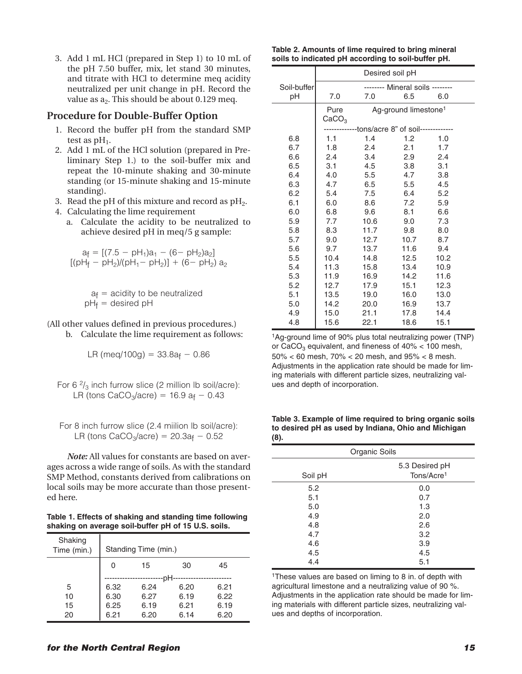3. Add 1 mL HCl (prepared in Step 1) to 10 mL of the pH 7.50 buffer, mix, let stand 30 minutes, and titrate with HCl to determine meq acidity neutralized per unit change in pH. Record the value as  $a_2$ . This should be about 0.129 meq.

#### **Procedure for Double-Buffer Option**

- 1. Record the buffer pH from the standard SMP test as  $pH_1$ .
- 2. Add 1 mL of the HCl solution (prepared in Preliminary Step 1.) to the soil-buffer mix and repeat the 10-minute shaking and 30-minute standing (or 15-minute shaking and 15-minute standing).
- 3. Read the pH of this mixture and record as  $pH_2$ .
- 4. Calculating the lime requirement
	- a. Calculate the acidity to be neutralized to achieve desired pH in meq/5 g sample:

$$
a_f = [(7.5 - pH_1)a_1 - (6 - pH_2)a_2]
$$
  
[(pH<sub>f</sub> - pH<sub>2</sub>)/(pH<sub>1</sub> - pH<sub>2</sub>)] + (6 - pH<sub>2</sub>) a<sub>2</sub>

 $a_f$  = acidity to be neutralized  $pH_f$  = desired  $pH$ 

(All other values defined in previous procedures.)

b. Calculate the lime requirement as follows:

LR (meg/100g)  $=$  33.8a<sub>f</sub>  $-$  0.86

For 6  $\frac{2}{3}$  inch furrow slice (2 million lb soil/acre): LR (tons  $CaCO<sub>3</sub>/acre$ ) = 16.9  $a_f$  - 0.43

For 8 inch furrow slice (2.4 miilion lb soil/acre): LR (tons  $CaCO<sub>3</sub>/acre$ ) =  $20.3a<sub>f</sub> - 0.52$ 

*Note:* All values for constants are based on averages across a wide range of soils. As with the standard SMP Method, constants derived from calibrations on local soils may be more accurate than those presented here.

**Table 1. Effects of shaking and standing time following shaking on average soil-buffer pH of 15 U.S. soils.**

| Shaking<br>Time (min.) | Standing Time (min.) |      |      |      |  |  |  |
|------------------------|----------------------|------|------|------|--|--|--|
|                        | 0                    | 15   | 30   | 45   |  |  |  |
|                        |                      |      |      |      |  |  |  |
| 5                      | 6.32                 | 6.24 | 6.20 | 6.21 |  |  |  |
| 10                     | 6.30                 | 6.27 | 6.19 | 6.22 |  |  |  |
| 15                     | 6.25                 | 6.19 | 6.21 | 6.19 |  |  |  |
| 20                     | 6.21                 | 6.20 | 6.14 | 6.20 |  |  |  |

|  | Table 2. Amounts of lime required to bring mineral |
|--|----------------------------------------------------|
|  | soils to indicated pH according to soil-buffer pH. |

|             | Desired soil pH               |                   |                                   |      |  |  |  |  |  |
|-------------|-------------------------------|-------------------|-----------------------------------|------|--|--|--|--|--|
| Soil-buffer | ------ Mineral soils -------- |                   |                                   |      |  |  |  |  |  |
| pH          | 7.0                           | 7.0<br>6.5<br>6.0 |                                   |      |  |  |  |  |  |
|             | Pure                          |                   | Ag-ground limestone <sup>1</sup>  |      |  |  |  |  |  |
|             | CaCO <sub>3</sub>             |                   |                                   |      |  |  |  |  |  |
|             |                               |                   | ----tons/acre 8" of soil--------- |      |  |  |  |  |  |
| 6.8         | 1.1                           | 1.4               | 1.2                               | 1.0  |  |  |  |  |  |
| 6.7         | 1.8                           | 2.4               | 2.1                               | 1.7  |  |  |  |  |  |
| 6.6         | 2.4                           | 3.4               | 2.9                               | 2.4  |  |  |  |  |  |
| 6.5         | 3.1                           | 4.5               | 3.8                               | 3.1  |  |  |  |  |  |
| 6.4         | 4.0                           | 5.5               | 4.7                               | 3.8  |  |  |  |  |  |
| 6.3         | 4.7                           | 6.5               | 5.5                               | 4.5  |  |  |  |  |  |
| 6.2         | 5.4                           | 7.5               | 6.4                               | 5.2  |  |  |  |  |  |
| 6.1         | 6.0                           | 8.6               | 7.2                               | 5.9  |  |  |  |  |  |
| 6.0         | 6.8                           | 9.6               | 8.1                               | 6.6  |  |  |  |  |  |
| 5.9         | 7.7                           | 10.6              | 9.0                               | 7.3  |  |  |  |  |  |
| 5.8         | 8.3                           | 11.7              | 9.8                               | 8.0  |  |  |  |  |  |
| 5.7         | 9.0                           | 12.7              | 10.7                              | 8.7  |  |  |  |  |  |
| 5.6         | 9.7                           | 13.7              | 11.6                              | 9.4  |  |  |  |  |  |
| 5.5         | 10.4                          | 14.8              | 12.5                              | 10.2 |  |  |  |  |  |
| 5.4         | 11.3                          | 15.8              | 13.4                              | 10.9 |  |  |  |  |  |
| 5.3         | 11.9                          | 16.9              | 14.2                              | 11.6 |  |  |  |  |  |
| 5.2         | 12.7                          | 17.9              | 15.1                              | 12.3 |  |  |  |  |  |
| 5.1         | 13.5                          | 19.0              | 16.0                              | 13.0 |  |  |  |  |  |
| 5.0         | 14.2                          | 20.0              | 16.9                              | 13.7 |  |  |  |  |  |
| 4.9         | 15.0                          | 21.1              | 17.8                              | 14.4 |  |  |  |  |  |
| 4.8         | 15.6                          | 22.1              | 18.6                              | 15.1 |  |  |  |  |  |

1Ag-ground lime of 90% plus total neutralizing power (TNP) or  $CaCO<sub>3</sub>$  equivalent, and fineness of 40%  $<$  100 mesh, 50% < 60 mesh, 70% < 20 mesh, and 95% < 8 mesh. Adjustments in the application rate should be made for liming materials with different particle sizes, neutralizing values and depth of incorporation.

| Table 3. Example of lime required to bring organic soils |
|----------------------------------------------------------|
| to desired pH as used by Indiana, Ohio and Michigan      |
| (8).                                                     |

|         | Organic Soils                            |
|---------|------------------------------------------|
| Soil pH | 5.3 Desired pH<br>Tons/Acre <sup>1</sup> |
| 5.2     | 0.0                                      |
| 5.1     | 0.7                                      |
| 5.0     | 1.3                                      |
| 4.9     | 2.0                                      |
| 4.8     | 2.6                                      |
| 4.7     | 3.2                                      |
| 4.6     | 3.9                                      |
| 4.5     | 4.5                                      |
| 4.4     | 5.1                                      |

<sup>1</sup>These values are based on liming to 8 in. of depth with agricultural limestone and a neutralizing value of 90 %. Adjustments in the application rate should be made for liming materials with different particle sizes, neutralizing values and depths of incorporation.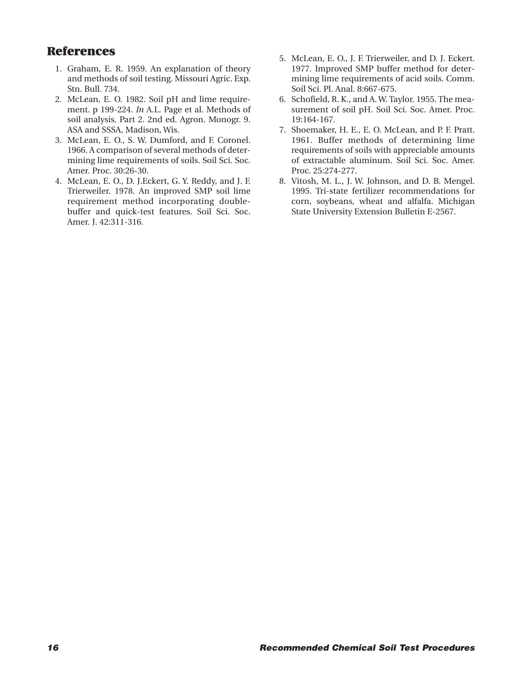## **References**

- 1. Graham, E. R. 1959. An explanation of theory and methods of soil testing. Missouri Agric. Exp. Stn. Bull. 734.
- 2. McLean, E. O. 1982. Soil pH and lime requirement. p 199-224. *In* A.L. Page et al. Methods of soil analysis. Part 2. 2nd ed. Agron. Monogr. 9. ASA and SSSA, Madison, Wis.
- 3. McLean, E. O., S. W. Dumford, and F. Coronel. 1966. A comparison of several methods of determining lime requirements of soils. Soil Sci. Soc. Amer. Proc. 30:26-30.
- 4. McLean, E. O., D. J.Eckert, G. Y. Reddy, and J. F. Trierweiler. 1978. An improved SMP soil lime requirement method incorporating doublebuffer and quick-test features. Soil Sci. Soc. Amer. J. 42:311-316.
- 5. McLean, E. O., J. F. Trierweiler, and D. J. Eckert. 1977. Improved SMP buffer method for determining lime requirements of acid soils. Comm. Soil Sci. Pl. Anal. 8:667-675.
- 6. Schofield, R. K., and A. W. Taylor. 1955. The measurement of soil pH. Soil Sci. Soc. Amer. Proc. 19:164-167.
- 7. Shoemaker, H. E., E. O. McLean, and P. F. Pratt. 1961. Buffer methods of determining lime requirements of soils with appreciable amounts of extractable aluminum. Soil Sci. Soc. Amer. Proc. 25:274-277.
- 8. Vitosh, M. L., J. W. Johnson, and D. B. Mengel. 1995. Tri-state fertilizer recommendations for corn, soybeans, wheat and alfalfa. Michigan State University Extension Bulletin E-2567.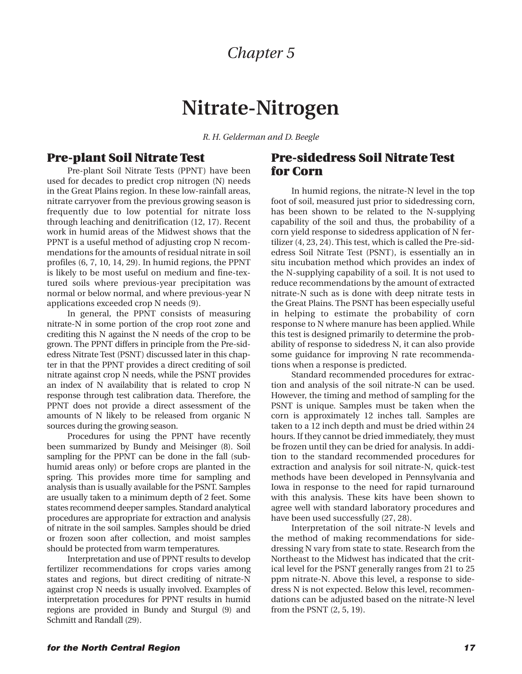# **Nitrate-Nitrogen**

*R. H. Gelderman and D. Beegle*

## **Pre-plant Soil Nitrate Test**

Pre-plant Soil Nitrate Tests (PPNT) have been used for decades to predict crop nitrogen (N) needs in the Great Plains region. In these low-rainfall areas, nitrate carryover from the previous growing season is frequently due to low potential for nitrate loss through leaching and denitrification (12, 17). Recent work in humid areas of the Midwest shows that the PPNT is a useful method of adjusting crop N recommendations for the amounts of residual nitrate in soil profiles (6, 7, 10, 14, 29). In humid regions, the PPNT is likely to be most useful on medium and fine-textured soils where previous-year precipitation was normal or below normal, and where previous-year N applications exceeded crop N needs (9).

In general, the PPNT consists of measuring nitrate-N in some portion of the crop root zone and crediting this N against the N needs of the crop to be grown. The PPNT differs in principle from the Pre-sidedress Nitrate Test (PSNT) discussed later in this chapter in that the PPNT provides a direct crediting of soil nitrate against crop  $\overline{N}$  needs, while the PSNT provides an index of N availability that is related to crop N response through test calibration data. Therefore, the PPNT does not provide a direct assessment of the amounts of N likely to be released from organic N sources during the growing season.

Procedures for using the PPNT have recently been summarized by Bundy and Meisinger (8). Soil sampling for the PPNT can be done in the fall (subhumid areas only) or before crops are planted in the spring. This provides more time for sampling and analysis than is usually available for the PSNT. Samples are usually taken to a minimum depth of 2 feet. Some states recommend deeper samples. Standard analytical procedures are appropriate for extraction and analysis of nitrate in the soil samples. Samples should be dried or frozen soon after collection, and moist samples should be protected from warm temperatures.

Interpretation and use of PPNT results to develop fertilizer recommendations for crops varies among states and regions, but direct crediting of nitrate-N against crop N needs is usually involved. Examples of interpretation procedures for PPNT results in humid regions are provided in Bundy and Sturgul (9) and Schmitt and Randall (29).

## **Pre-sidedress Soil Nitrate Test for Corn**

In humid regions, the nitrate-N level in the top foot of soil, measured just prior to sidedressing corn, has been shown to be related to the N-supplying capability of the soil and thus, the probability of a corn yield response to sidedress application of N fertilizer (4, 23, 24). This test, which is called the Pre-sidedress Soil Nitrate Test (PSNT), is essentially an in situ incubation method which provides an index of the N-supplying capability of a soil. It is not used to reduce recommendations by the amount of extracted nitrate-N such as is done with deep nitrate tests in the Great Plains. The PSNT has been especially useful in helping to estimate the probability of corn response to N where manure has been applied. While this test is designed primarily to determine the probability of response to sidedress N, it can also provide some guidance for improving N rate recommendations when a response is predicted.

Standard recommended procedures for extraction and analysis of the soil nitrate-N can be used. However, the timing and method of sampling for the PSNT is unique. Samples must be taken when the corn is approximately 12 inches tall. Samples are taken to a 12 inch depth and must be dried within 24 hours. If they cannot be dried immediately, they must be frozen until they can be dried for analysis. In addition to the standard recommended procedures for extraction and analysis for soil nitrate-N, quick-test methods have been developed in Pennsylvania and Iowa in response to the need for rapid turnaround with this analysis. These kits have been shown to agree well with standard laboratory procedures and have been used successfully (27, 28).

Interpretation of the soil nitrate-N levels and the method of making recommendations for sidedressing N vary from state to state. Research from the Northeast to the Midwest has indicated that the critical level for the PSNT generally ranges from 21 to 25 ppm nitrate-N. Above this level, a response to sidedress N is not expected. Below this level, recommendations can be adjusted based on the nitrate-N level from the PSNT (2, 5, 19).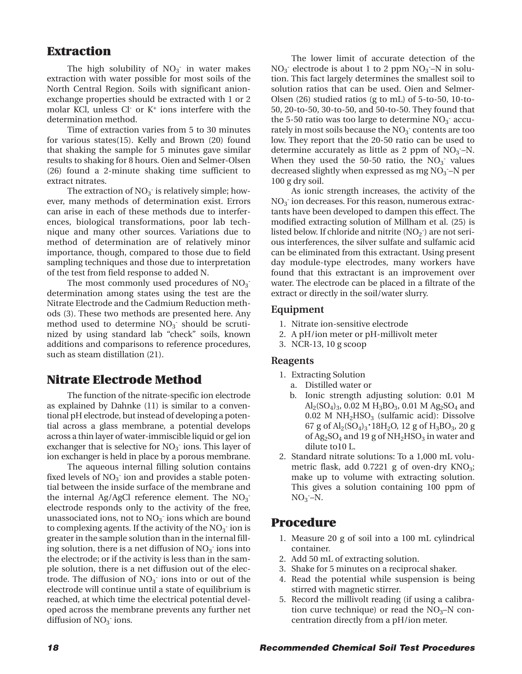## **Extraction**

The high solubility of  $NO<sub>3</sub>$  in water makes extraction with water possible for most soils of the North Central Region. Soils with significant anionexchange properties should be extracted with 1 or 2 molar KCl, unless Cl- or K+ ions interfere with the determination method.

Time of extraction varies from 5 to 30 minutes for various states(15). Kelly and Brown (20) found that shaking the sample for 5 minutes gave similar results to shaking for 8 hours. Oien and Selmer-Olsen (26) found a 2-minute shaking time sufficient to extract nitrates.

The extraction of  $NO<sub>3</sub>$  is relatively simple; however, many methods of determination exist. Errors can arise in each of these methods due to interferences, biological transformations, poor lab technique and many other sources. Variations due to method of determination are of relatively minor importance, though, compared to those due to field sampling techniques and those due to interpretation of the test from field response to added N.

The most commonly used procedures of  $NO<sub>3</sub>$ . determination among states using the test are the Nitrate Electrode and the Cadmium Reduction methods (3). These two methods are presented here. Any method used to determine  $NO<sub>3</sub>$  should be scrutinized by using standard lab "check" soils, known additions and comparisons to reference procedures, such as steam distillation (21).

## **Nitrate Electrode Method**

The function of the nitrate-specific ion electrode as explained by Dahnke (11) is similar to a conventional pH electrode, but instead of developing a potential across a glass membrane, a potential develops across a thin layer of water-immiscible liquid or gel ion exchanger that is selective for  $NO<sub>3</sub>$  ions. This layer of ion exchanger is held in place by a porous membrane.

The aqueous internal filling solution contains fixed levels of  $NO<sub>3</sub>$  ion and provides a stable potential between the inside surface of the membrane and the internal Ag/AgCl reference element. The  $NO<sub>3</sub>$ electrode responds only to the activity of the free, unassociated ions, not to  $NO<sub>3</sub>$  ions which are bound to complexing agents. If the activity of the  $NO_3^-$  ion is greater in the sample solution than in the internal filling solution, there is a net diffusion of  $NO<sub>3</sub>$  ions into the electrode; or if the activity is less than in the sample solution, there is a net diffusion out of the electrode. The diffusion of  $NO<sub>3</sub>$  ions into or out of the electrode will continue until a state of equilibrium is reached, at which time the electrical potential developed across the membrane prevents any further net diffusion of  $NO<sub>3</sub>$  ions.

The lower limit of accurate detection of the  $NO<sub>3</sub>$  electrode is about 1 to 2 ppm  $NO<sub>3</sub>$ –N in solution. This fact largely determines the smallest soil to solution ratios that can be used. Oien and Selmer-Olsen (26) studied ratios (g to mL) of 5-to-50, 10-to-50, 20-to-50, 30-to-50, and 50-to-50. They found that the 5-50 ratio was too large to determine  $NO<sub>3</sub>$  accurately in most soils because the  $\rm NO_3^-$  contents are too low. They report that the 20-50 ratio can be used to determine accurately as little as 2 ppm of  $NO<sub>3</sub> - N$ . When they used the  $50-50$  ratio, the  $NO<sub>3</sub>$  values decreased slightly when expressed as mg  $NO<sub>3</sub>$ -N per 100 g dry soil.

As ionic strength increases, the activity of the  $NO<sub>3</sub>$  ion decreases. For this reason, numerous extractants have been developed to dampen this effect. The modified extracting solution of Millham et al. (25) is listed below. If chloride and nitrite  $(NO<sub>2</sub>^-)$  are not serious interferences, the silver sulfate and sulfamic acid can be eliminated from this extractant. Using present day module-type electrodes, many workers have found that this extractant is an improvement over water. The electrode can be placed in a filtrate of the extract or directly in the soil/water slurry.

#### **Equipment**

- 1. Nitrate ion-sensitive electrode
- 2. A pH/ion meter or pH-millivolt meter
- 3. NCR-13, 10 g scoop

#### **Reagents**

- 1. Extracting Solution
	- a. Distilled water or
	- b. Ionic strength adjusting solution: 0.01 M  $\text{Al}_2(\text{SO}_4)_3$ , 0.02 M  $\text{H}_3\text{BO}_3$ , 0.01 M  $\text{Ag}_2\text{SO}_4$  and 0.02 M  $NH<sub>2</sub>HSO<sub>3</sub>$  (sulfamic acid): Dissolve 67 g of Al2(SO4)3**•**18H2O, 12 g of H3BO3, 20 g of  $Ag_2SO_4$  and 19 g of  $NH_2HSO_3$  in water and dilute to10 L.
- 2. Standard nitrate solutions: To a 1,000 mL volumetric flask, add  $0.7221$  g of oven-dry KNO<sub>3</sub>; make up to volume with extracting solution. This gives a solution containing 100 ppm of  $NO<sub>3</sub>-N$ .

## **Procedure**

- 1. Measure 20 g of soil into a 100 mL cylindrical container.
- 2. Add 50 mL of extracting solution.
- 3. Shake for 5 minutes on a reciprocal shaker.
- 4. Read the potential while suspension is being stirred with magnetic stirrer.
- 5. Record the millivolt reading (if using a calibration curve technique) or read the  $NO<sub>3</sub>–N$  concentration directly from a pH/ion meter.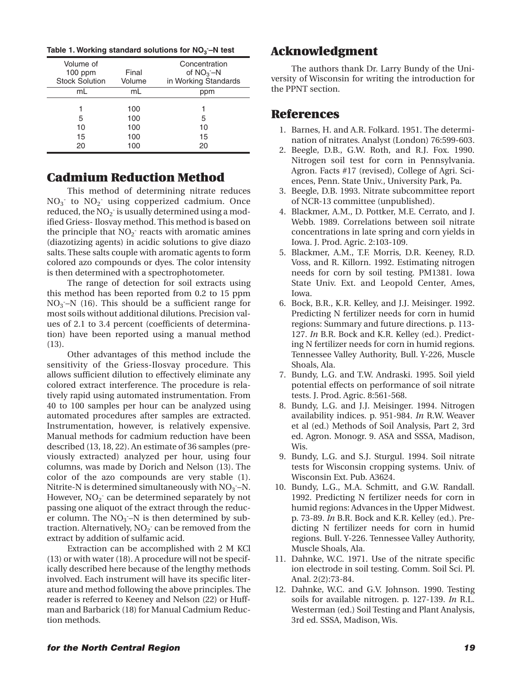| Volume of<br>$100$ ppm<br><b>Stock Solution</b> | Final<br>Volume   | Concentration<br>of $NO3 - N$<br>in Working Standards |
|-------------------------------------------------|-------------------|-------------------------------------------------------|
| ml                                              | mL                | ppm                                                   |
| 5                                               | 100<br>100        | 5                                                     |
| 10<br>15<br>20                                  | 100<br>100<br>100 | 10<br>15<br>20                                        |

## **Cadmium Reduction Method**

This method of determining nitrate reduces  $NO<sub>3</sub>$  to  $NO<sub>2</sub>$  using copperized cadmium. Once reduced, the  $NO<sub>2</sub>$  is usually determined using a modified Griess- Ilosvay method. This method is based on the principle that  $NO<sub>2</sub>$  reacts with aromatic amines (diazotizing agents) in acidic solutions to give diazo salts. These salts couple with aromatic agents to form colored azo compounds or dyes. The color intensity is then determined with a spectrophotometer.

The range of detection for soil extracts using this method has been reported from 0.2 to 15 ppm  $NO<sub>3</sub> - N$  (16). This should be a sufficient range for most soils without additional dilutions. Precision values of 2.1 to 3.4 percent (coefficients of determination) have been reported using a manual method (13).

Other advantages of this method include the sensitivity of the Griess-Ilosvay procedure. This allows sufficient dilution to effectively eliminate any colored extract interference. The procedure is relatively rapid using automated instrumentation. From 40 to 100 samples per hour can be analyzed using automated procedures after samples are extracted. Instrumentation, however, is relatively expensive. Manual methods for cadmium reduction have been described (13, 18, 22). An estimate of 36 samples (previously extracted) analyzed per hour, using four columns, was made by Dorich and Nelson (13). The color of the azo compounds are very stable (1). Nitrite-N is determined simultaneously with  $NO<sub>3</sub>$  –N. However,  $NO<sub>2</sub>$  can be determined separately by not passing one aliquot of the extract through the reducer column. The  $NO<sub>3</sub> - N$  is then determined by subtraction. Alternatively,  $NO<sub>2</sub>$  can be removed from the extract by addition of sulfamic acid.

Extraction can be accomplished with 2 M KCl (13) or with water (18). A procedure will not be specifically described here because of the lengthy methods involved. Each instrument will have its specific literature and method following the above principles. The reader is referred to Keeney and Nelson (22) or Huffman and Barbarick (18) for Manual Cadmium Reduction methods.

## **Acknowledgment**

The authors thank Dr. Larry Bundy of the University of Wisconsin for writing the introduction for the PPNT section.

## **References**

- 1. Barnes, H. and A.R. Folkard. 1951. The determination of nitrates. Analyst (London) 76:599-603.
- 2. Beegle, D.B., G.W. Roth, and R.J. Fox. 1990. Nitrogen soil test for corn in Pennsylvania. Agron. Facts #17 (revised), College of Agri. Sciences, Penn. State Univ., University Park, Pa.
- 3. Beegle, D.B. 1993. Nitrate subcommittee report of NCR-13 committee (unpublished).
- 4. Blackmer, A.M., D. Pottker, M.E. Cerrato, and J. Webb. 1989. Correlations between soil nitrate concentrations in late spring and corn yields in Iowa. J. Prod. Agric. 2:103-109.
- 5. Blackmer, A.M., T.F. Morris, D.R. Keeney, R.D. Voss, and R. Killorn. 1992. Estimating nitrogen needs for corn by soil testing. PM1381. Iowa State Univ. Ext. and Leopold Center, Ames, Iowa.
- 6. Bock, B.R., K.R. Kelley, and J.J. Meisinger. 1992. Predicting N fertilizer needs for corn in humid regions: Summary and future directions. p. 113- 127. *In* B.R. Bock and K.R. Kelley (ed.). Predicting N fertilizer needs for corn in humid regions. Tennessee Valley Authority, Bull. Y-226, Muscle Shoals, Ala.
- 7. Bundy, L.G. and T.W. Andraski. 1995. Soil yield potential effects on performance of soil nitrate tests. J. Prod. Agric. 8:561-568.
- 8. Bundy, L.G. and J.J. Meisinger. 1994. Nitrogen availability indices. p. 951-984. *In* R.W. Weaver et al (ed.) Methods of Soil Analysis, Part 2, 3rd ed. Agron. Monogr. 9. ASA and SSSA, Madison, Wis.
- 9. Bundy, L.G. and S.J. Sturgul. 1994. Soil nitrate tests for Wisconsin cropping systems. Univ. of Wisconsin Ext. Pub. A3624.
- 10. Bundy, L.G., M.A. Schmitt, and G.W. Randall. 1992. Predicting N fertilizer needs for corn in humid regions: Advances in the Upper Midwest. p. 73-89. *In* B.R. Bock and K.R. Kelley (ed.). Predicting N fertilizer needs for corn in humid regions. Bull. Y-226. Tennessee Valley Authority, Muscle Shoals, Ala.
- 11. Dahnke, W.C. 1971. Use of the nitrate specific ion electrode in soil testing. Comm. Soil Sci. Pl. Anal. 2(2):73-84.
- 12. Dahnke, W.C. and G.V. Johnson. 1990. Testing soils for available nitrogen. p. 127-139. *In* R.L. Westerman (ed.) Soil Testing and Plant Analysis, 3rd ed. SSSA, Madison, Wis.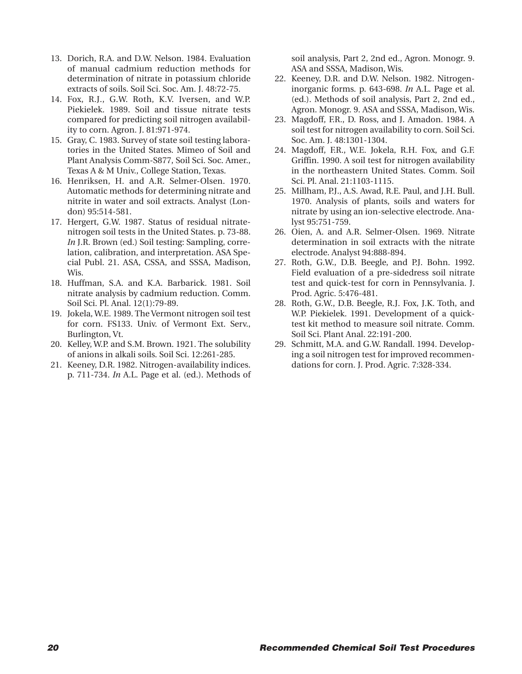- 13. Dorich, R.A. and D.W. Nelson. 1984. Evaluation of manual cadmium reduction methods for determination of nitrate in potassium chloride extracts of soils. Soil Sci. Soc. Am. J. 48:72-75.
- 14. Fox, R.J., G.W. Roth, K.V. Iversen, and W.P. Piekielek. 1989. Soil and tissue nitrate tests compared for predicting soil nitrogen availability to corn. Agron. J. 81:971-974.
- 15. Gray, C. 1983. Survey of state soil testing laboratories in the United States. Mimeo of Soil and Plant Analysis Comm-S877, Soil Sci. Soc. Amer., Texas A & M Univ., College Station, Texas.
- 16. Henriksen, H. and A.R. Selmer-Olsen. 1970. Automatic methods for determining nitrate and nitrite in water and soil extracts. Analyst (London) 95:514-581.
- 17. Hergert, G.W. 1987. Status of residual nitratenitrogen soil tests in the United States. p. 73-88. *In* J.R. Brown (ed.) Soil testing: Sampling, correlation, calibration, and interpretation. ASA Special Publ. 21. ASA, CSSA, and SSSA, Madison, Wis.
- 18. Huffman, S.A. and K.A. Barbarick. 1981. Soil nitrate analysis by cadmium reduction. Comm. Soil Sci. Pl. Anal. 12(1):79-89.
- 19. Jokela, W.E. 1989. The Vermont nitrogen soil test for corn. FS133. Univ. of Vermont Ext. Serv., Burlington, Vt.
- 20. Kelley, W.P. and S.M. Brown. 1921. The solubility of anions in alkali soils. Soil Sci. 12:261-285.
- 21. Keeney, D.R. 1982. Nitrogen-availability indices. p. 711-734. *In* A.L. Page et al. (ed.). Methods of

soil analysis, Part 2, 2nd ed., Agron. Monogr. 9. ASA and SSSA, Madison, Wis.

- 22. Keeney, D.R. and D.W. Nelson. 1982. Nitrogeninorganic forms. p. 643-698. *In* A.L. Page et al. (ed.). Methods of soil analysis, Part 2, 2nd ed., Agron. Monogr. 9. ASA and SSSA, Madison, Wis.
- 23. Magdoff, F.R., D. Ross, and J. Amadon. 1984. A soil test for nitrogen availability to corn. Soil Sci. Soc. Am. J. 48:1301-1304.
- 24. Magdoff, F.R., W.E. Jokela, R.H. Fox, and G.F. Griffin. 1990. A soil test for nitrogen availability in the northeastern United States. Comm. Soil Sci. Pl. Anal. 21:1103-1115.
- 25. Millham, P.J., A.S. Awad, R.E. Paul, and J.H. Bull. 1970. Analysis of plants, soils and waters for nitrate by using an ion-selective electrode. Analyst 95:751-759.
- 26. Oien, A. and A.R. Selmer-Olsen. 1969. Nitrate determination in soil extracts with the nitrate electrode. Analyst 94:888-894.
- 27. Roth, G.W., D.B. Beegle, and P.J. Bohn. 1992. Field evaluation of a pre-sidedress soil nitrate test and quick-test for corn in Pennsylvania. J. Prod. Agric. 5:476-481.
- 28. Roth, G.W., D.B. Beegle, R.J. Fox, J.K. Toth, and W.P. Piekielek. 1991. Development of a quicktest kit method to measure soil nitrate. Comm. Soil Sci. Plant Anal. 22:191-200.
- 29. Schmitt, M.A. and G.W. Randall. 1994. Developing a soil nitrogen test for improved recommendations for corn. J. Prod. Agric. 7:328-334.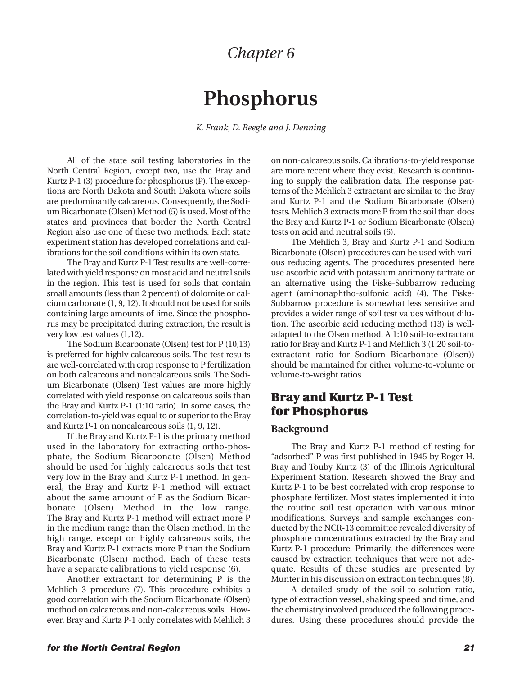# **Phosphorus**

*K. Frank, D. Beegle and J. Denning*

All of the state soil testing laboratories in the North Central Region, except two, use the Bray and Kurtz P-1 (3) procedure for phosphorus (P). The exceptions are North Dakota and South Dakota where soils are predominantly calcareous. Consequently, the Sodium Bicarbonate (Olsen) Method (5) is used. Most of the states and provinces that border the North Central Region also use one of these two methods. Each state experiment station has developed correlations and calibrations for the soil conditions within its own state.

The Bray and Kurtz P-1 Test results are well-correlated with yield response on most acid and neutral soils in the region. This test is used for soils that contain small amounts (less than 2 percent) of dolomite or calcium carbonate (1, 9, 12). It should not be used for soils containing large amounts of lime. Since the phosphorus may be precipitated during extraction, the result is very low test values (1,12).

The Sodium Bicarbonate (Olsen) test for P (10,13) is preferred for highly calcareous soils. The test results are well-correlated with crop response to P fertilization on both calcareous and noncalcareous soils. The Sodium Bicarbonate (Olsen) Test values are more highly correlated with yield response on calcareous soils than the Bray and Kurtz P-1 (1:10 ratio). In some cases, the correlation-to-yield was equal to or superior to the Bray and Kurtz P-1 on noncalcareous soils (1, 9, 12).

If the Bray and Kurtz P-1 is the primary method used in the laboratory for extracting ortho-phosphate, the Sodium Bicarbonate (Olsen) Method should be used for highly calcareous soils that test very low in the Bray and Kurtz P-1 method. In general, the Bray and Kurtz P-1 method will extract about the same amount of P as the Sodium Bicarbonate (Olsen) Method in the low range. The Bray and Kurtz P-1 method will extract more P in the medium range than the Olsen method. In the high range, except on highly calcareous soils, the Bray and Kurtz P-1 extracts more P than the Sodium Bicarbonate (Olsen) method. Each of these tests have a separate calibrations to yield response (6).

Another extractant for determining P is the Mehlich 3 procedure (7). This procedure exhibits a good correlation with the Sodium Bicarbonate (Olsen) method on calcareous and non-calcareous soils.. However, Bray and Kurtz P-1 only correlates with Mehlich 3

on non-calcareous soils. Calibrations-to-yield response are more recent where they exist. Research is continuing to supply the calibration data. The response patterns of the Mehlich 3 extractant are similar to the Bray and Kurtz P-1 and the Sodium Bicarbonate (Olsen) tests. Mehlich 3 extracts more P from the soil than does the Bray and Kurtz P-1 or Sodium Bicarbonate (Olsen) tests on acid and neutral soils (6).

The Mehlich 3, Bray and Kurtz P-1 and Sodium Bicarbonate (Olsen) procedures can be used with various reducing agents. The procedures presented here use ascorbic acid with potassium antimony tartrate or an alternative using the Fiske-Subbarrow reducing agent (aminonaphtho-sulfonic acid) (4). The Fiske-Subbarrow procedure is somewhat less sensitive and provides a wider range of soil test values without dilution. The ascorbic acid reducing method (13) is welladapted to the Olsen method. A 1:10 soil-to-extractant ratio for Bray and Kurtz P-1 and Mehlich 3 (1:20 soil-toextractant ratio for Sodium Bicarbonate (Olsen)) should be maintained for either volume-to-volume or volume-to-weight ratios.

## **Bray and Kurtz P-1 Test for Phosphorus**

#### **Background**

The Bray and Kurtz P-1 method of testing for "adsorbed" P was first published in 1945 by Roger H. Bray and Touby Kurtz (3) of the Illinois Agricultural Experiment Station. Research showed the Bray and Kurtz P-1 to be best correlated with crop response to phosphate fertilizer. Most states implemented it into the routine soil test operation with various minor modifications. Surveys and sample exchanges conducted by the NCR-13 committee revealed diversity of phosphate concentrations extracted by the Bray and Kurtz P-1 procedure. Primarily, the differences were caused by extraction techniques that were not adequate. Results of these studies are presented by Munter in his discussion on extraction techniques (8).

A detailed study of the soil-to-solution ratio, type of extraction vessel, shaking speed and time, and the chemistry involved produced the following procedures. Using these procedures should provide the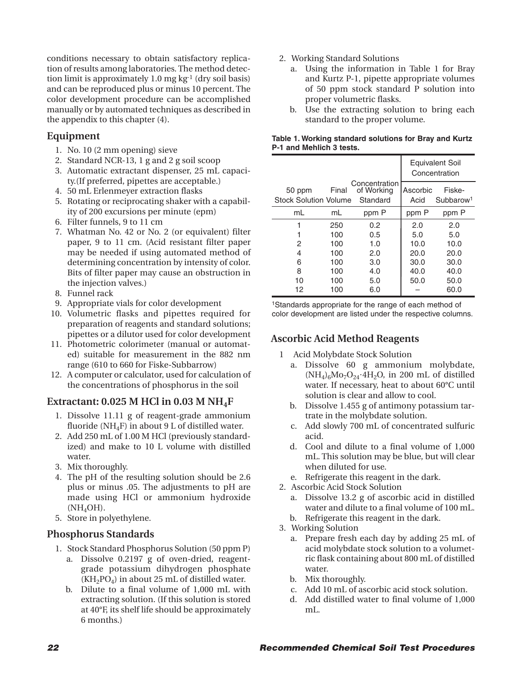conditions necessary to obtain satisfactory replication of results among laboratories. The method detection limit is approximately 1.0 mg kg-1 (dry soil basis) and can be reproduced plus or minus 10 percent. The color development procedure can be accomplished manually or by automated techniques as described in the appendix to this chapter (4).

## **Equipment**

- 1. No. 10 (2 mm opening) sieve
- 2. Standard NCR-13, 1 g and 2 g soil scoop
- 3. Automatic extractant dispenser, 25 mL capacity.(If preferred, pipettes are acceptable.)
- 4. 50 mL Erlenmeyer extraction flasks
- 5. Rotating or reciprocating shaker with a capability of 200 excursions per minute (epm)
- 6. Filter funnels, 9 to 11 cm
- 7. Whatman No. 42 or No. 2 (or equivalent) filter paper, 9 to 11 cm. (Acid resistant filter paper may be needed if using automated method of determining concentration by intensity of color. Bits of filter paper may cause an obstruction in the injection valves.)
- 8. Funnel rack
- 9. Appropriate vials for color development
- 10. Volumetric flasks and pipettes required for preparation of reagents and standard solutions; pipettes or a dilutor used for color development
- 11. Photometric colorimeter (manual or automated) suitable for measurement in the 882 nm range (610 to 660 for Fiske-Subbarrow)
- 12. A computer or calculator, used for calculation of the concentrations of phosphorus in the soil

#### **Extractant: 0.025 M HCl in 0.03 M NH4F**

- 1. Dissolve 11.11 g of reagent-grade ammonium fluoride ( $NH_4F$ ) in about 9 L of distilled water.
- 2. Add 250 mL of 1.00 M HCl (previously standardized) and make to 10 L volume with distilled water.
- 3. Mix thoroughly.
- 4. The pH of the resulting solution should be 2.6 plus or minus .05. The adjustments to pH are made using HCl or ammonium hydroxide (NH4OH).
- 5. Store in polyethylene.

#### **Phosphorus Standards**

- 1. Stock Standard Phosphorus Solution (50 ppm P)
	- a. Dissolve 0.2197 g of oven-dried, reagentgrade potassium dihydrogen phosphate  $(KH_2PO_4)$  in about 25 mL of distilled water.
	- b. Dilute to a final volume of 1,000 mL with extracting solution. (If this solution is stored at 40°F, its shelf life should be approximately 6 months.)
- 2. Working Standard Solutions
	- a. Using the information in Table 1 for Bray and Kurtz P-1, pipette appropriate volumes of 50 ppm stock standard P solution into proper volumetric flasks.
	- b. Use the extracting solution to bring each standard to the proper volume.

#### **Table 1. Working standard solutions for Bray and Kurtz P-1 and Mehlich 3 tests.**

|                                        |       |                                         |                  | Equivalent Soil<br>Concentration |
|----------------------------------------|-------|-----------------------------------------|------------------|----------------------------------|
| 50 ppm<br><b>Stock Solution Volume</b> | Final | Concentration<br>of Working<br>Standard | Ascorbic<br>Acid | Fiske-<br>Subbarow <sup>1</sup>  |
| mL                                     | mL    | ppm P                                   | ppm P            | ppm P                            |
| 1                                      | 250   | 0.2                                     | 2.0              | 2.0                              |
| 1                                      | 100   | 0.5                                     | 5.0              | 5.0                              |
| 2                                      | 100   | 1.0                                     | 10.0             | 10.0                             |
| 4                                      | 100   | 2.0                                     | 20.0             | 20.0                             |
| 6                                      | 100   | 3.0                                     | 30.0             | 30.0                             |
| 8                                      | 100   | 4.0                                     | 40.0             | 40.0                             |
| 10                                     | 100   | 5.0                                     | 50.0             | 50.0                             |
| 12                                     | 100   | 6.0                                     |                  | 60.0                             |

<sup>1</sup>Standards appropriate for the range of each method of color development are listed under the respective columns.

## **Ascorbic Acid Method Reagents**

- 1 Acid Molybdate Stock Solution
	- a. Dissolve 60 g ammonium molybdate,  $(NH_4)_6Mo_7O_{24}·4H_2O$ , in 200 mL of distilled water. If necessary, heat to about 60°C until solution is clear and allow to cool.
	- b. Dissolve 1.455 g of antimony potassium tartrate in the molybdate solution.
	- c. Add slowly 700 mL of concentrated sulfuric acid.
	- d. Cool and dilute to a final volume of 1,000 mL. This solution may be blue, but will clear when diluted for use.
	- e. Refrigerate this reagent in the dark.
- 2. Ascorbic Acid Stock Solution
	- a. Dissolve 13.2 g of ascorbic acid in distilled water and dilute to a final volume of 100 mL.
	- b. Refrigerate this reagent in the dark.
- 3. Working Solution
	- a. Prepare fresh each day by adding 25 mL of acid molybdate stock solution to a volumetric flask containing about 800 mL of distilled water.
	- b. Mix thoroughly.
	- c. Add 10 mL of ascorbic acid stock solution.
	- d. Add distilled water to final volume of 1,000 mL.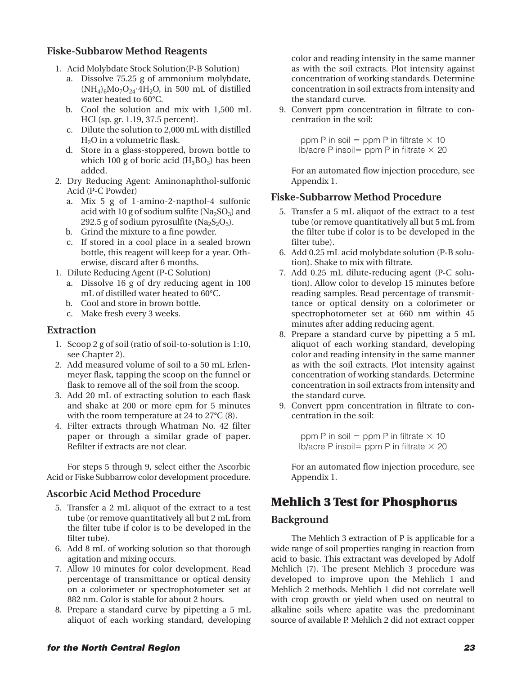## **Fiske-Subbarow Method Reagents**

- 1. Acid Molybdate Stock Solution(P-B Solution)
	- a. Dissolve 75.25 g of ammonium molybdate,  $(NH_4)_6Mo_7O_{24}$ <sup> $\cdot$ </sup>4H<sub>2</sub>O, in 500 mL of distilled water heated to 60°C.
	- b. Cool the solution and mix with 1,500 mL HCl (sp. gr. 1.19, 37.5 percent).
	- c. Dilute the solution to 2,000 mL with distilled H2O in a volumetric flask.
	- d. Store in a glass-stoppered, brown bottle to which 100 g of boric acid  $(H_3BO_3)$  has been added.
- 2. Dry Reducing Agent: Aminonaphthol-sulfonic Acid (P-C Powder)
	- a. Mix 5 g of 1-amino-2-napthol-4 sulfonic acid with 10 g of sodium sulfite  $(Na_2SO_3)$  and 292.5 g of sodium pyrosulfite  $(Na_2S_2O_5)$ .
	- b. Grind the mixture to a fine powder.
	- c. If stored in a cool place in a sealed brown bottle, this reagent will keep for a year. Otherwise, discard after 6 months.
- 1. Dilute Reducing Agent (P-C Solution)
	- a. Dissolve 16 g of dry reducing agent in 100 mL of distilled water heated to 60°C.
	- b. Cool and store in brown bottle.
	- c. Make fresh every 3 weeks.

#### **Extraction**

- 1. Scoop 2 g of soil (ratio of soil-to-solution is 1:10, see Chapter 2).
- 2. Add measured volume of soil to a 50 mL Erlenmeyer flask, tapping the scoop on the funnel or flask to remove all of the soil from the scoop.
- 3. Add 20 mL of extracting solution to each flask and shake at 200 or more epm for 5 minutes with the room temperature at 24 to 27°C (8).
- 4. Filter extracts through Whatman No. 42 filter paper or through a similar grade of paper. Refilter if extracts are not clear.

For steps 5 through 9, select either the Ascorbic Acid or Fiske Subbarrow color development procedure.

## **Ascorbic Acid Method Procedure**

- 5. Transfer a 2 mL aliquot of the extract to a test tube (or remove quantitatively all but 2 mL from the filter tube if color is to be developed in the filter tube).
- 6. Add 8 mL of working solution so that thorough agitation and mixing occurs.
- 7. Allow 10 minutes for color development. Read percentage of transmittance or optical density on a colorimeter or spectrophotometer set at 882 nm. Color is stable for about 2 hours.
- 8. Prepare a standard curve by pipetting a 5 mL aliquot of each working standard, developing

color and reading intensity in the same manner as with the soil extracts. Plot intensity against concentration of working standards. Determine concentration in soil extracts from intensity and the standard curve.

9. Convert ppm concentration in filtrate to concentration in the soil:

> ppm P in soil  $=$  ppm P in filtrate  $\times$  10  $\frac{1}{2}$ **b**/acre P insoil= ppm P in filtrate  $\times$  20

For an automated flow injection procedure, see Appendix 1.

#### **Fiske-Subbarrow Method Procedure**

- 5. Transfer a 5 mL aliquot of the extract to a test tube (or remove quantitatively all but 5 mL from the filter tube if color is to be developed in the filter tube).
- 6. Add 0.25 mL acid molybdate solution (P-B solution). Shake to mix with filtrate.
- 7. Add 0.25 mL dilute-reducing agent (P-C solution). Allow color to develop 15 minutes before reading samples. Read percentage of transmittance or optical density on a colorimeter or spectrophotometer set at 660 nm within 45 minutes after adding reducing agent.
- 8. Prepare a standard curve by pipetting a 5 mL aliquot of each working standard, developing color and reading intensity in the same manner as with the soil extracts. Plot intensity against concentration of working standards. Determine concentration in soil extracts from intensity and the standard curve.
- 9. Convert ppm concentration in filtrate to concentration in the soil:

ppm P in soil  $=$  ppm P in filtrate  $\times$  10 lb/acre P insoil =  $ppm$  P in filtrate  $\times$  20

For an automated flow injection procedure, see Appendix 1.

## **Mehlich 3 Test for Phosphorus**

## **Background**

The Mehlich 3 extraction of P is applicable for a wide range of soil properties ranging in reaction from acid to basic. This extractant was developed by Adolf Mehlich (7). The present Mehlich 3 procedure was developed to improve upon the Mehlich 1 and Mehlich 2 methods. Mehlich 1 did not correlate well with crop growth or yield when used on neutral to alkaline soils where apatite was the predominant source of available P. Mehlich 2 did not extract copper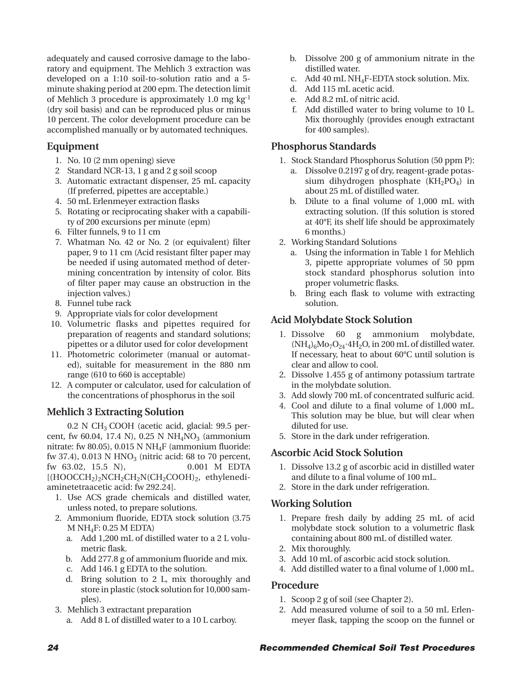adequately and caused corrosive damage to the laboratory and equipment. The Mehlich 3 extraction was developed on a 1:10 soil-to-solution ratio and a 5 minute shaking period at 200 epm. The detection limit of Mehlich 3 procedure is approximately 1.0 mg kg-1 (dry soil basis) and can be reproduced plus or minus 10 percent. The color development procedure can be accomplished manually or by automated techniques.

## **Equipment**

- 1. No. 10 (2 mm opening) sieve
- 2 Standard NCR-13, 1 g and 2 g soil scoop
- 3. Automatic extractant dispenser, 25 mL capacity (If preferred, pipettes are acceptable.)
- 4. 50 mL Erlenmeyer extraction flasks
- 5. Rotating or reciprocating shaker with a capability of 200 excursions per minute (epm)
- 6. Filter funnels, 9 to 11 cm
- 7. Whatman No. 42 or No. 2 (or equivalent) filter paper, 9 to 11 cm (Acid resistant filter paper may be needed if using automated method of determining concentration by intensity of color. Bits of filter paper may cause an obstruction in the injection valves.)
- 8. Funnel tube rack
- 9. Appropriate vials for color development
- 10. Volumetric flasks and pipettes required for preparation of reagents and standard solutions; pipettes or a dilutor used for color development
- 11. Photometric colorimeter (manual or automated), suitable for measurement in the 880 nm range (610 to 660 is acceptable)
- 12. A computer or calculator, used for calculation of the concentrations of phosphorus in the soil

## **Mehlich 3 Extracting Solution**

 $0.2$  N CH<sub>3</sub> COOH (acetic acid, glacial: 99.5 percent, fw 60.04, 17.4 N), 0.25 N  $NH_4NO_3$  (ammonium nitrate: fw 80.05), 0.015 N  $NH_4F$  (ammonium fluoride: fw 37.4), 0.013 N  $HNO<sub>3</sub>$  (nitric acid: 68 to 70 percent, fw 63.02, 15.5 N), 0.001 M EDTA  $[(HOOCCH<sub>2</sub>)<sub>2</sub>NCH<sub>2</sub>CH<sub>2</sub>N(CH<sub>2</sub>COOH)<sub>2</sub>, ethylenedi$ aminetetraacetic acid: fw 292.24].

- 1. Use ACS grade chemicals and distilled water, unless noted, to prepare solutions.
- 2. Ammonium fluoride, EDTA stock solution (3.75  $M NH<sub>4</sub>F: 0.25 M EDTA$ 
	- a. Add 1,200 mL of distilled water to a 2 L volumetric flask.
	- b. Add 277.8 g of ammonium fluoride and mix.
	- c. Add 146.1 g EDTA to the solution.
	- d. Bring solution to 2 L, mix thoroughly and store in plastic (stock solution for 10,000 samples).
- 3. Mehlich 3 extractant preparation
	- a. Add 8 L of distilled water to a 10 L carboy.
- b. Dissolve 200 g of ammonium nitrate in the distilled water.
- c. Add 40 mL NH4F-EDTA stock solution. Mix.
- d. Add 115 mL acetic acid.
- e. Add 8.2 mL of nitric acid.
- f. Add distilled water to bring volume to 10 L. Mix thoroughly (provides enough extractant for 400 samples).

## **Phosphorus Standards**

- 1. Stock Standard Phosphorus Solution (50 ppm P):
	- a. Dissolve 0.2197 g of dry, reagent-grade potassium dihydrogen phosphate  $(KH_2PO_4)$  in about 25 mL of distilled water.
	- b. Dilute to a final volume of 1,000 mL with extracting solution. (If this solution is stored at 40°F, its shelf life should be approximately 6 months.)
- 2. Working Standard Solutions
	- a. Using the information in Table 1 for Mehlich 3, pipette appropriate volumes of 50 ppm stock standard phosphorus solution into proper volumetric flasks.
	- b. Bring each flask to volume with extracting solution.

## **Acid Molybdate Stock Solution**

- 1. Dissolve 60 g ammonium molybdate, (NH4)6Mo7O24**•**4H2O, in 200 mL of distilled water. If necessary, heat to about 60°C until solution is clear and allow to cool.
- 2. Dissolve 1.455 g of antimony potassium tartrate in the molybdate solution.
- 3. Add slowly 700 mL of concentrated sulfuric acid.
- 4. Cool and dilute to a final volume of 1,000 mL. This solution may be blue, but will clear when diluted for use.
- 5. Store in the dark under refrigeration.

## **Ascorbic Acid Stock Solution**

- 1. Dissolve 13.2 g of ascorbic acid in distilled water and dilute to a final volume of 100 mL.
- 2. Store in the dark under refrigeration.

## **Working Solution**

- 1. Prepare fresh daily by adding 25 mL of acid molybdate stock solution to a volumetric flask containing about 800 mL of distilled water.
- 2. Mix thoroughly.
- 3. Add 10 mL of ascorbic acid stock solution.
- 4. Add distilled water to a final volume of 1,000 mL.

## **Procedure**

- 1. Scoop 2 g of soil (see Chapter 2).
- 2. Add measured volume of soil to a 50 mL Erlenmeyer flask, tapping the scoop on the funnel or

#### **24 Recommended Chemical Soil Test Procedures**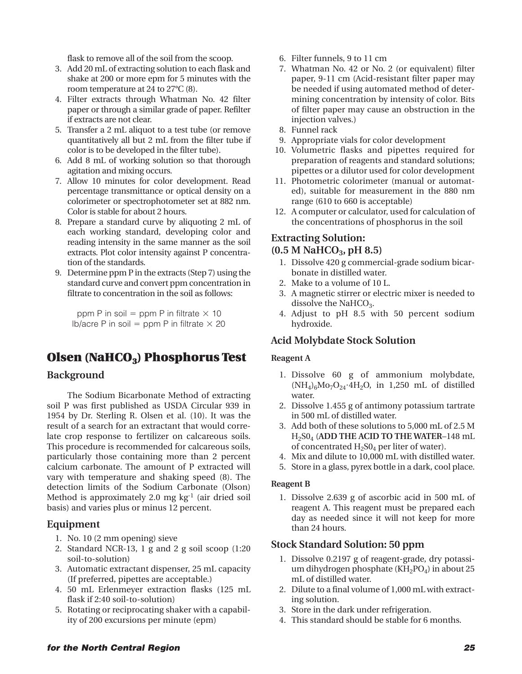flask to remove all of the soil from the scoop.

- 3. Add 20 mL of extracting solution to each flask and shake at 200 or more epm for 5 minutes with the room temperature at 24 to 27°C (8).
- 4. Filter extracts through Whatman No. 42 filter paper or through a similar grade of paper. Refilter if extracts are not clear.
- 5. Transfer a 2 mL aliquot to a test tube (or remove quantitatively all but 2 mL from the filter tube if color is to be developed in the filter tube).
- 6. Add 8 mL of working solution so that thorough agitation and mixing occurs.
- 7. Allow 10 minutes for color development. Read percentage transmittance or optical density on a colorimeter or spectrophotometer set at 882 nm. Color is stable for about 2 hours.
- 8. Prepare a standard curve by aliquoting 2 mL of each working standard, developing color and reading intensity in the same manner as the soil extracts. Plot color intensity against P concentration of the standards.
- 9. Determine ppm P in the extracts (Step 7) using the standard curve and convert ppm concentration in filtrate to concentration in the soil as follows:

ppm P in soil  $=$  ppm P in filtrate  $\times$  10 lb/acre P in soil =  $ppm$  P in filtrate  $\times$  20

## **Olsen (NaHCO<sub>3</sub>) Phosphorus Test**

## **Background**

The Sodium Bicarbonate Method of extracting soil P was first published as USDA Circular 939 in 1954 by Dr. Sterling R. Olsen et al. (10). It was the result of a search for an extractant that would correlate crop response to fertilizer on calcareous soils. This procedure is recommended for calcareous soils, particularly those containing more than 2 percent calcium carbonate. The amount of P extracted will vary with temperature and shaking speed (8). The detection limits of the Sodium Carbonate (Olson) Method is approximately 2.0 mg  $kg<sup>-1</sup>$  (air dried soil basis) and varies plus or minus 12 percent.

#### **Equipment**

- 1. No. 10 (2 mm opening) sieve
- 2. Standard NCR-13, 1 g and 2 g soil scoop (1:20 soil-to-solution)
- 3. Automatic extractant dispenser, 25 mL capacity (If preferred, pipettes are acceptable.)
- 4. 50 mL Erlenmeyer extraction flasks (125 mL flask if 2:40 soil-to-solution)
- 5. Rotating or reciprocating shaker with a capability of 200 excursions per minute (epm)
- 6. Filter funnels, 9 to 11 cm
- 7. Whatman No. 42 or No. 2 (or equivalent) filter paper, 9-11 cm (Acid-resistant filter paper may be needed if using automated method of determining concentration by intensity of color. Bits of filter paper may cause an obstruction in the injection valves.)
- 8. Funnel rack
- 9. Appropriate vials for color development
- 10. Volumetric flasks and pipettes required for preparation of reagents and standard solutions; pipettes or a dilutor used for color development
- 11. Photometric colorimeter (manual or automated), suitable for measurement in the 880 nm range (610 to 660 is acceptable)
- 12. A computer or calculator, used for calculation of the concentrations of phosphorus in the soil

## **Extracting Solution:**

### (0.5 M NaHCO<sub>3</sub>, pH 8.5)

- 1. Dissolve 420 g commercial-grade sodium bicarbonate in distilled water.
- 2. Make to a volume of 10 L.
- 3. A magnetic stirrer or electric mixer is needed to dissolve the NaHCO<sub>3</sub>.
- 4. Adjust to pH 8.5 with 50 percent sodium hydroxide.

#### **Acid Molybdate Stock Solution**

#### **Reagent A**

- 1. Dissolve 60 g of ammonium molybdate, (NH4)6Mo7O24**•**4H2O, in 1,250 mL of distilled water.
- 2. Dissolve 1.455 g of antimony potassium tartrate in 500 mL of distilled water.
- 3. Add both of these solutions to 5,000 mL of 2.5 M H2S04 (**ADD THE ACID TO THE WATER**–148 mL of concentrated  $H_2SO_4$  per liter of water).
- 4. Mix and dilute to 10,000 mL with distilled water.
- 5. Store in a glass, pyrex bottle in a dark, cool place.

#### **Reagent B**

1. Dissolve 2.639 g of ascorbic acid in 500 mL of reagent A. This reagent must be prepared each day as needed since it will not keep for more than 24 hours.

#### **Stock Standard Solution: 50 ppm**

- 1. Dissolve 0.2197 g of reagent-grade, dry potassium dihydrogen phosphate ( $KH<sub>2</sub>PO<sub>4</sub>$ ) in about 25 mL of distilled water.
- 2. Dilute to a final volume of 1,000 mL with extracting solution.
- 3. Store in the dark under refrigeration.
- 4. This standard should be stable for 6 months.

#### **for the North Central Region 25**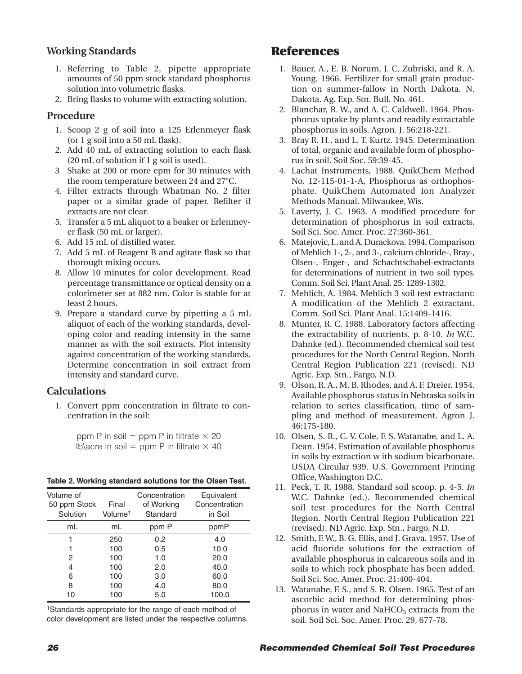## **Working Standards**

- 1. Referring to Table 2, pipette appropriate amounts of 50 ppm stock standard phosphorus solution into volumetric flasks.
- 2. Bring flasks to volume with extracting solution.

#### **Procedure**

- 1. Scoop 2 g of soil into a 125 Erlenmeyer flask (or 1 g soil into a 50 mL flask).
- 2. Add 40 mL of extracting solution to each flask (20 mL of solution if 1 g soil is used).
- 3 Shake at 200 or more epm for 30 minutes with the room temperature between 24 and 27°C.
- 4. Filter extracts through Whatman No. 2 filter paper or a similar grade of paper. Refilter if extracts are not clear.
- 5. Transfer a 5 mL aliquot to a beaker or Erlenmeyer flask (50 mL or larger).
- 6. Add 15 mL of distilled water.
- 7. Add 5 mL of Reagent B and agitate flask so that thorough mixing occurs.
- 8. Allow 10 minutes for color development. Read percentage transmittance or optical density on a colorimeter set at 882 nm. Color is stable for at least 2 hours.
- 9. Prepare a standard curve by pipetting a 5 mL aliquot of each of the working standards, developing color and reading intensity in the same manner as with the soil extracts. Plot intensity against concentration of the working standards. Determine concentration in soil extract from intensity and standard curve.

## **Calculations**

1. Convert ppm concentration in filtrate to concentration in the soil:

| ppm P in soil = ppm P in filtrate $\times$ 20   |  |  |  |  |  |
|-------------------------------------------------|--|--|--|--|--|
| Ib\acre in soil = ppm P in filtrate $\times$ 40 |  |  |  |  |  |

|  |  | Table 2. Working standard solutions for the Olsen Test. |  |  |
|--|--|---------------------------------------------------------|--|--|
|  |  |                                                         |  |  |

| Volume of<br>50 ppm Stock<br>Solution | Final<br>Volume <sup>1</sup> | Concentration<br>of Working<br>Standard | Equivalent<br>Concentration<br>in Soil |
|---------------------------------------|------------------------------|-----------------------------------------|----------------------------------------|
| mL                                    | mL                           | ppm P                                   | ppmP                                   |
| 1                                     | 250                          | 0.2                                     | 4.0                                    |
| 1                                     | 100                          | 0.5                                     | 10.0                                   |
| 2                                     | 100                          | 1.0                                     | 20.0                                   |
| 4                                     | 100                          | 2.0                                     | 40.0                                   |
| 6                                     | 100                          | 3.0                                     | 60.0                                   |
| 8                                     | 100                          | 4.0                                     | 80.0                                   |
| 10                                    | 100                          | 5.0                                     | 100.0                                  |

1Standards appropriate for the range of each method of color development are listed under the respective columns.

## **References**

- 1. Bauer, A., E. B. Norum, J. C. Zubriski, and R. A. Young. 1966. Fertilizer for small grain production on summer-fallow in North Dakota. N. Dakota. Ag. Exp. Stn. Bull. No. 461.
- 2. Blanchar, R. W., and A. C. Caldwell. 1964. Phosphorus uptake by plants and readily extractable phosphorus in soils. Agron. J. 56:218-221.
- 3. Bray R. H., and L. T. Kurtz. 1945. Determination of total, organic and available form of phosphorus in soil. Soil Soc. 59:39-45.
- 4. Lachat Instruments, 1988. QuikChem Method No. 12-115-01-1-A, Phosphorus as orthophosphate. QuikChem Automated Ion Analyzer Methods Manual. Milwaukee, Wis.
- 5. Laverty, J. C. 1963. A modified procedure for determination of phosphorus in soil extracts. Soil Sci. Soc. Amer. Proc. 27:360-361.
- 6. Matejovic, I., and A. Durackova. 1994. Comparison of Mehlich 1-, 2-, and 3-, calcium chloride-, Bray-, Olsen-, Enger-, and Schachtschabel-extractants for determinations of nutrient in two soil types. Comm. Soil Sci. Plant Anal. 25: 1289-1302.
- 7. Mehlich, A. 1984. Mehlich 3 soil test extractant: A modification of the Mehlich 2 extractant. Comm. Soil Sci. Plant Anal. 15:1409-1416.
- 8. Munter, R. C. 1988. Laboratory factors affecting the extractability of nutrients. p. 8-10. *In* W.C. Dahnke (ed.). Recommended chemical soil test procedures for the North Central Region. North Central Region Publication 221 (revised). ND Agric. Exp. Stn., Fargo, N.D.
- 9. Olson, R. A., M. B. Rhodes, and A. F. Dreier. 1954. Available phosphorus status in Nebraska soils in relation to series classification, time of sampling and method of measurement. Agron J. 46:175-180.
- 10. Olsen, S. R., C. V. Cole, F. S. Watanabe, and L. A. Dean. 1954. Estimation of available phosphorus in soils by extraction w ith sodium bicarbonate. USDA Circular 939. U.S. Government Printing Office, Washington D.C.
- 11. Peck, T. R. 1988. Standard soil scoop. p. 4-5. *In* W.C. Dahnke (ed.). Recommended chemical soil test procedures for the North Central Region. North Central Region Publication 221 (revised). ND Agric. Exp. Stn., Fargo, N.D.
- 12. Smith, F. W., B. G. Ellis, and J. Grava. 1957. Use of acid fluoride solutions for the extraction of available phosphorus in calcareous soils and in soils to which rock phosphate has been added. Soil Sci. Soc. Amer. Proc. 21:400-404.
- 13. Watanabe, F. S., and S. R. Olsen. 1965. Test of an ascorbic acid method for determining phosphorus in water and  $NaHCO<sub>3</sub>$  extracts from the soil. Soil Sci. Soc. Amer. Proc. 29, 677-78.

#### **26 Recommended Chemical Soil Test Procedures**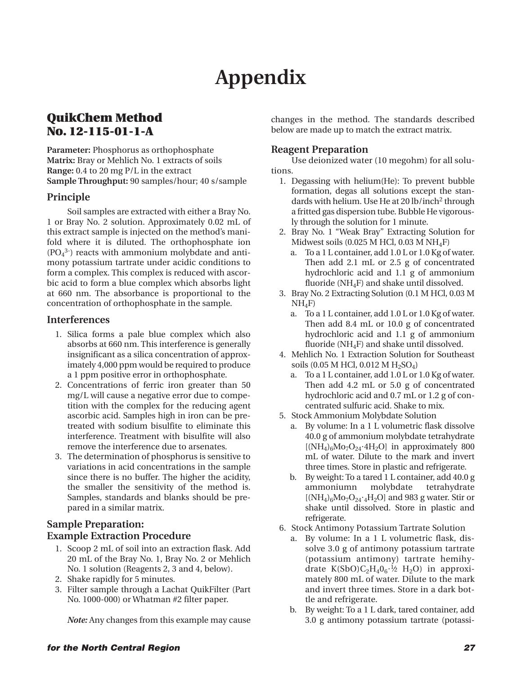# **Appendix**

## **QuikChem Method No. 12-115-01-1-A**

**Parameter:** Phosphorus as orthophosphate **Matrix:** Bray or Mehlich No. 1 extracts of soils **Range:** 0.4 to 20 mg P/L in the extract **Sample Throughput:** 90 samples/hour; 40 s/sample

#### **Principle**

Soil samples are extracted with either a Bray No. 1 or Bray No. 2 solution. Approximately 0.02 mL of this extract sample is injected on the method's manifold where it is diluted. The orthophosphate ion  $(PO<sub>4</sub><sup>3</sup>)$  reacts with ammonium molybdate and antimony potassium tartrate under acidic conditions to form a complex. This complex is reduced with ascorbic acid to form a blue complex which absorbs light at 660 nm. The absorbance is proportional to the concentration of orthophosphate in the sample.

#### **Interferences**

- 1. Silica forms a pale blue complex which also absorbs at 660 nm. This interference is generally insignificant as a silica concentration of approximately 4,000 ppm would be required to produce a 1 ppm positive error in orthophosphate.
- 2. Concentrations of ferric iron greater than 50 mg/L will cause a negative error due to competition with the complex for the reducing agent ascorbic acid. Samples high in iron can be pretreated with sodium bisulfite to eliminate this interference. Treatment with bisulfite will also remove the interference due to arsenates.
- 3. The determination of phosphorus is sensitive to variations in acid concentrations in the sample since there is no buffer. The higher the acidity, the smaller the sensitivity of the method is. Samples, standards and blanks should be prepared in a similar matrix.

## **Sample Preparation: Example Extraction Procedure**

- 1. Scoop 2 mL of soil into an extraction flask. Add 20 mL of the Bray No. 1, Bray No. 2 or Mehlich No. 1 solution (Reagents 2, 3 and 4, below).
- 2. Shake rapidly for 5 minutes.
- 3. Filter sample through a Lachat QuikFilter (Part No. 1000-000) or Whatman #2 filter paper.

*Note:* Any changes from this example may cause

changes in the method. The standards described below are made up to match the extract matrix.

#### **Reagent Preparation**

Use deionized water (10 megohm) for all solutions.

- 1. Degassing with helium(He): To prevent bubble formation, degas all solutions except the standards with helium. Use He at 20 lb/inch<sup>2</sup> through a fritted gas dispersion tube. Bubble He vigorously through the solution for 1 minute.
- 2. Bray No. 1 "Weak Bray" Extracting Solution for Midwest soils (0.025 M HCl, 0.03 M NH<sub>4</sub>F)
	- a. To a 1 L container, add 1.0 L or 1.0 Kg of water. Then add 2.1 mL or 2.5 g of concentrated hydrochloric acid and 1.1 g of ammonium fluoride ( $NH_4F$ ) and shake until dissolved.
- 3. Bray No. 2 Extracting Solution (0.1 M HCl, 0.03 M  $NH<sub>4</sub>F$ 
	- a. To a 1 L container, add 1.0 L or 1.0 Kg of water. Then add 8.4 mL or 10.0 g of concentrated hydrochloric acid and 1.1 g of ammonium fluoride ( $NH_4F$ ) and shake until dissolved.
- 4. Mehlich No. 1 Extraction Solution for Southeast soils (0.05 M HCl, 0.012 M H<sub>2</sub>SO<sub>4</sub>)
	- To a 1 L container, add 1.0 L or 1.0 Kg of water. Then add 4.2 mL or 5.0 g of concentrated hydrochloric acid and 0.7 mL or 1.2 g of concentrated sulfuric acid. Shake to mix.
- 5. Stock Ammonium Molybdate Solution
	- a. By volume: In a 1 L volumetric flask dissolve 40.0 g of ammonium molybdate tetrahydrate  $[(NH_4)_6Mo_7O_{24}·4H_2O]$  in approximately 800 mL of water. Dilute to the mark and invert three times. Store in plastic and refrigerate.
	- b. By weight: To a tared 1 L container, add 40.0 g ammoniumn molybdate tetrahydrate  $[(NH_4)_6Mo_7O_{24} \cdot {}_4H_2O]$  and 983 g water. Stir or shake until dissolved. Store in plastic and refrigerate.
- 6. Stock Antimony Potassium Tartrate Solution
	- a. By volume: In a 1 L volumetric flask, dissolve 3.0 g of antimony potassium tartrate (potassium antimony) tartrate hemihydrate K(SbO)C<sub>2</sub>H<sub>4</sub>0<sub>6</sub>·<sup>1</sup>/<sub>2</sub> H<sub>2</sub>O) in approximately 800 mL of water. Dilute to the mark and invert three times. Store in a dark bottle and refrigerate.
	- b. By weight: To a 1 L dark, tared container, add 3.0 g antimony potassium tartrate (potassi-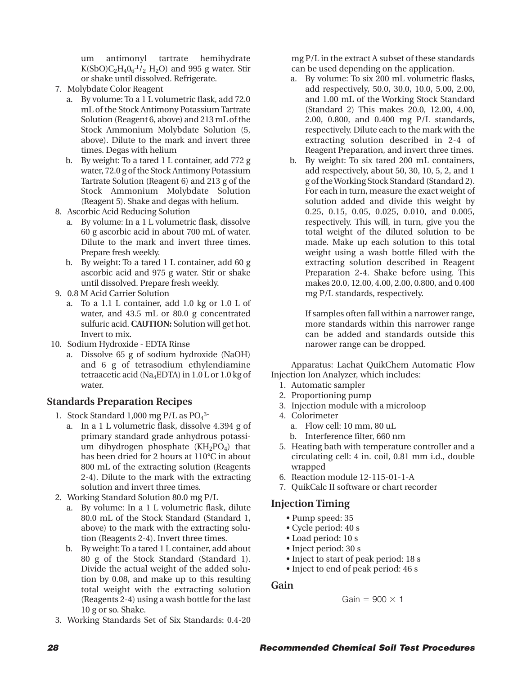um antimonyl tartrate hemihydrate  $K(SbO)C_2H_4O_6^{-1}/_2H_2O$  and 995 g water. Stir or shake until dissolved. Refrigerate.

- 7. Molybdate Color Reagent
	- a. By volume: To a 1 L volumetric flask, add 72.0 mL of the Stock Antimony Potassium Tartrate Solution (Reagent 6, above) and 213 mL of the Stock Ammonium Molybdate Solution (5, above). Dilute to the mark and invert three times. Degas with helium
	- b. By weight: To a tared 1 L container, add 772 g water, 72.0 g of the Stock Antimony Potassium Tartrate Solution (Reagent 6) and 213 g of the Stock Ammonium Molybdate Solution (Reagent 5). Shake and degas with helium.
- 8. Ascorbic Acid Reducing Solution
	- a. By volume: In a 1 L volumetric flask, dissolve 60 g ascorbic acid in about 700 mL of water. Dilute to the mark and invert three times. Prepare fresh weekly.
	- b. By weight: To a tared 1 L container, add 60 g ascorbic acid and 975 g water. Stir or shake until dissolved. Prepare fresh weekly.
- 9. 0.8 M Acid Carrier Solution
	- a. To a 1.1 L container, add 1.0 kg or 1.0 L of water, and 43.5 mL or 80.0 g concentrated sulfuric acid. **CAUTION:** Solution will get hot. Invert to mix.
- 10. Sodium Hydroxide EDTA Rinse
	- a. Dissolve 65 g of sodium hydroxide (NaOH) and 6 g of tetrasodium ethylendiamine tetraacetic acid (Na<sub>4</sub>EDTA) in  $1.0$  L or  $1.0$  kg of water.

## **Standards Preparation Recipes**

- 1. Stock Standard 1,000 mg P/L as  $PO<sub>4</sub><sup>3</sup>$ 
	- a. In a 1 L volumetric flask, dissolve 4.394 g of primary standard grade anhydrous potassium dihydrogen phosphate  $(KH_2PO_4)$  that has been dried for 2 hours at 110°C in about 800 mL of the extracting solution (Reagents 2-4). Dilute to the mark with the extracting solution and invert three times.
- 2. Working Standard Solution 80.0 mg P/L
	- a. By volume: In a 1 L volumetric flask, dilute 80.0 mL of the Stock Standard (Standard 1, above) to the mark with the extracting solution (Reagents 2-4). Invert three times.
	- b. By weight: To a tared 1 L container, add about 80 g of the Stock Standard (Standard 1). Divide the actual weight of the added solution by 0.08, and make up to this resulting total weight with the extracting solution (Reagents 2-4) using a wash bottle for the last 10 g or so. Shake.
- 3. Working Standards Set of Six Standards: 0.4-20

mg P/L in the extract A subset of these standards can be used depending on the application.

- a. By volume: To six 200 mL volumetric flasks, add respectively, 50.0, 30.0, 10.0, 5.00, 2.00, and 1.00 mL of the Working Stock Standard (Standard 2) This makes 20.0, 12.00, 4.00, 2.00, 0.800, and 0.400 mg P/L standards, respectively. Dilute each to the mark with the extracting solution described in 2-4 of Reagent Preparation, and invert three times.
- b. By weight: To six tared 200 mL containers, add respectively, about 50, 30, 10, 5, 2, and 1 g of the Working Stock Standard (Standard 2). For each in turn, measure the exact weight of solution added and divide this weight by 0.25, 0.15, 0.05, 0.025, 0.010, and 0.005, respectively. This will, in turn, give you the total weight of the diluted solution to be made. Make up each solution to this total weight using a wash bottle filled with the extracting solution described in Reagent Preparation 2-4. Shake before using. This makes 20.0, 12.00, 4.00, 2.00, 0.800, and 0.400 mg P/L standards, respectively.

If samples often fall within a narrower range, more standards within this narrower range can be added and standards outside this narower range can be dropped.

Apparatus: Lachat QuikChem Automatic Flow Injection Ion Analyzer, which includes:

- 1. Automatic sampler
- 2. Proportioning pump
- 3. Injection module with a microloop
- 4. Colorimeter
	- a. Flow cell: 10 mm, 80 uL
	- b. Interference filter, 660 nm
- 5. Heating bath with temperature controller and a circulating cell: 4 in. coil, 0.81 mm i.d., double wrapped
- 6. Reaction module 12-115-01-1-A
- 7. QuikCalc II software or chart recorder

## **Injection Timing**

- Pump speed: 35
- Cycle period: 40 s
- Load period: 10 s
- Inject period: 30 s
- Inject to start of peak period: 18 s
- Inject to end of peak period: 46 s

## **Gain**

$$
Gain = 900 \times 1
$$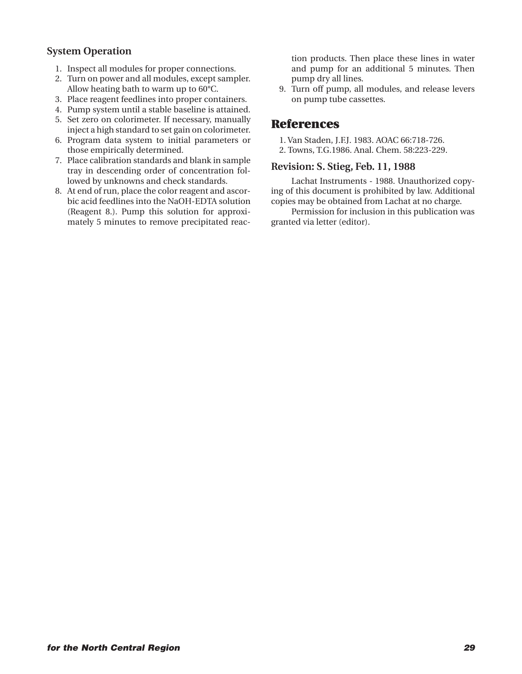## **System Operation**

- 1. Inspect all modules for proper connections.
- 2. Turn on power and all modules, except sampler. Allow heating bath to warm up to 60°C.
- 3. Place reagent feedlines into proper containers.
- 4. Pump system until a stable baseline is attained.
- 5. Set zero on colorimeter. If necessary, manually inject a high standard to set gain on colorimeter.
- 6. Program data system to initial parameters or those empirically determined.
- 7. Place calibration standards and blank in sample tray in descending order of concentration followed by unknowns and check standards.
- 8. At end of run, place the color reagent and ascorbic acid feedlines into the NaOH-EDTA solution (Reagent 8.). Pump this solution for approximately 5 minutes to remove precipitated reac-

tion products. Then place these lines in water and pump for an additional 5 minutes. Then pump dry all lines.

9. Turn off pump, all modules, and release levers on pump tube cassettes.

## **References**

- 1. Van Staden, J.F.J. 1983. AOAC 66:718-726.
- 2. Towns, T.G.1986. Anal. Chem. 58:223-229.

#### **Revision: S. Stieg, Feb. 11, 1988**

Lachat Instruments - 1988. Unauthorized copying of this document is prohibited by law. Additional copies may be obtained from Lachat at no charge.

Permission for inclusion in this publication was granted via letter (editor).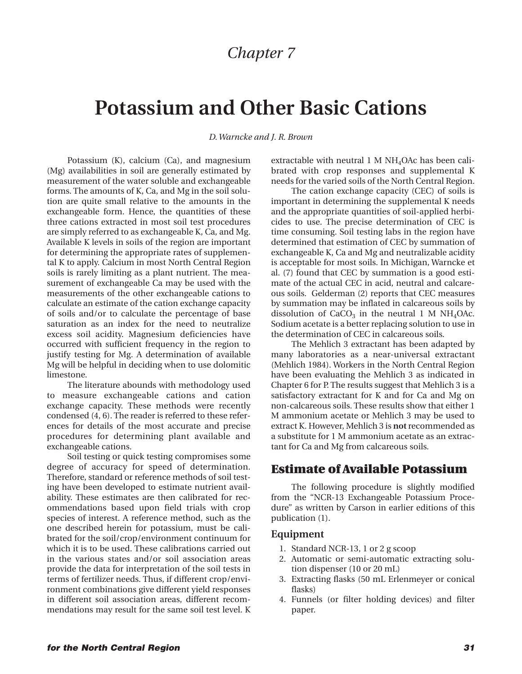# **Potassium and Other Basic Cations**

*D. Warncke and J. R. Brown*

Potassium (K), calcium (Ca), and magnesium (Mg) availabilities in soil are generally estimated by measurement of the water soluble and exchangeable forms. The amounts of K, Ca, and Mg in the soil solution are quite small relative to the amounts in the exchangeable form. Hence, the quantities of these three cations extracted in most soil test procedures are simply referred to as exchangeable K, Ca, and Mg. Available K levels in soils of the region are important for determining the appropriate rates of supplemental K to apply. Calcium in most North Central Region soils is rarely limiting as a plant nutrient. The measurement of exchangeable Ca may be used with the measurements of the other exchangeable cations to calculate an estimate of the cation exchange capacity of soils and/or to calculate the percentage of base saturation as an index for the need to neutralize excess soil acidity. Magnesium deficiencies have occurred with sufficient frequency in the region to justify testing for Mg. A determination of available Mg will be helpful in deciding when to use dolomitic limestone.

The literature abounds with methodology used to measure exchangeable cations and cation exchange capacity. These methods were recently condensed (4, 6). The reader is referred to these references for details of the most accurate and precise procedures for determining plant available and exchangeable cations.

Soil testing or quick testing compromises some degree of accuracy for speed of determination. Therefore, standard or reference methods of soil testing have been developed to estimate nutrient availability. These estimates are then calibrated for recommendations based upon field trials with crop species of interest. A reference method, such as the one described herein for potassium, must be calibrated for the soil/crop/environment continuum for which it is to be used. These calibrations carried out in the various states and/or soil association areas provide the data for interpretation of the soil tests in terms of fertilizer needs. Thus, if different crop/environment combinations give different yield responses in different soil association areas, different recommendations may result for the same soil test level. K extractable with neutral  $1 M NH<sub>4</sub>OAC$  has been calibrated with crop responses and supplemental K needs for the varied soils of the North Central Region.

The cation exchange capacity (CEC) of soils is important in determining the supplemental K needs and the appropriate quantities of soil-applied herbicides to use. The precise determination of CEC is time consuming. Soil testing labs in the region have determined that estimation of CEC by summation of exchangeable K, Ca and Mg and neutralizable acidity is acceptable for most soils. In Michigan, Warncke et al. (7) found that CEC by summation is a good estimate of the actual CEC in acid, neutral and calcareous soils. Gelderman (2) reports that CEC measures by summation may be inflated in calcareous soils by dissolution of  $CaCO<sub>3</sub>$  in the neutral 1 M NH<sub>4</sub>OAc. Sodium acetate is a better replacing solution to use in the determination of CEC in calcareous soils.

The Mehlich 3 extractant has been adapted by many laboratories as a near-universal extractant (Mehlich 1984). Workers in the North Central Region have been evaluating the Mehlich 3 as indicated in Chapter 6 for P. The results suggest that Mehlich 3 is a satisfactory extractant for K and for Ca and Mg on non-calcareous soils. These results show that either 1 M ammonium acetate or Mehlich 3 may be used to extract K. However, Mehlich 3 is **not** recommended as a substitute for 1 M ammonium acetate as an extractant for Ca and Mg from calcareous soils.

## **Estimate of Available Potassium**

The following procedure is slightly modified from the "NCR-13 Exchangeable Potassium Procedure" as written by Carson in earlier editions of this publication (1).

#### **Equipment**

- 1. Standard NCR-13, 1 or 2 g scoop
- 2. Automatic or semi-automatic extracting solution dispenser (10 or 20 mL)
- 3. Extracting flasks (50 mL Erlenmeyer or conical flasks)
- 4. Funnels (or filter holding devices) and filter paper.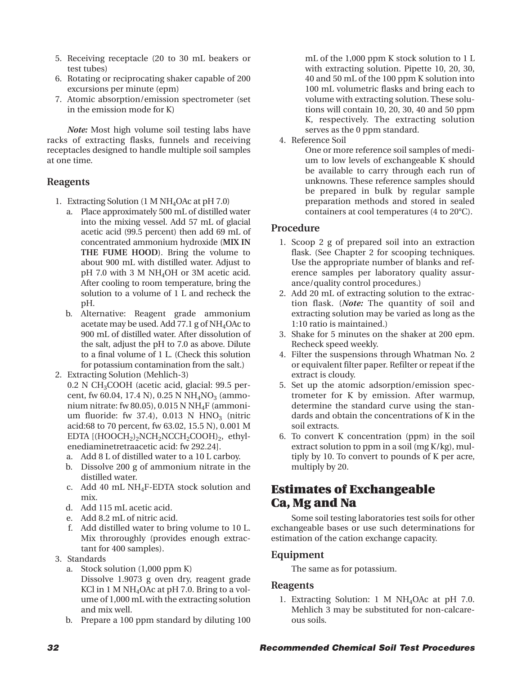- 5. Receiving receptacle (20 to 30 mL beakers or test tubes)
- 6. Rotating or reciprocating shaker capable of 200 excursions per minute (epm)
- 7. Atomic absorption/emission spectrometer (set in the emission mode for K)

*Note:* Most high volume soil testing labs have racks of extracting flasks, funnels and receiving receptacles designed to handle multiple soil samples at one time.

## **Reagents**

- 1. Extracting Solution (1 M NH4OAc at pH 7.0)
	- a. Place approximately 500 mL of distilled water into the mixing vessel. Add 57 mL of glacial acetic acid (99.5 percent) then add 69 mL of concentrated ammonium hydroxide (**MIX IN THE FUME HOOD**). Bring the volume to about 900 mL with distilled water. Adjust to pH 7.0 with 3 M NH4OH or 3M acetic acid. After cooling to room temperature, bring the solution to a volume of 1 L and recheck the pH.
	- b. Alternative: Reagent grade ammonium acetate may be used. Add 77.1 g of NH4OAc to 900 mL of distilled water. After dissolution of the salt, adjust the pH to 7.0 as above. Dilute to a final volume of 1 L. (Check this solution for potassium contamination from the salt.)
- 2. Extracting Solution (Mehlich-3)
	- 0.2 N CH3COOH (acetic acid, glacial: 99.5 percent, fw 60.04, 17.4 N), 0.25 N  $NH_4NO_3$  (ammonium nitrate: fw 80.05), 0.015 N NH<sub>4</sub>F (ammonium fluoride: fw 37.4),  $0.013$  N HNO<sub>3</sub> (nitric acid:68 to 70 percent, fw 63.02, 15.5 N), 0.001 M EDTA  $[(HOOCH<sub>2</sub>)<sub>2</sub>NCH<sub>2</sub>NCCH<sub>2</sub>COOH)<sub>2</sub>$ , ethylenediaminetretraacetic acid: fw 292.24].
	- a. Add 8 L of distilled water to a 10 L carboy.
	- b. Dissolve 200 g of ammonium nitrate in the distilled water.
	- c. Add 40 mL NH4F-EDTA stock solution and mix.
	- d. Add 115 mL acetic acid.
	- e. Add 8.2 mL of nitric acid.
	- f. Add distilled water to bring volume to 10 L. Mix throroughly (provides enough extractant for 400 samples).
- 3. Standards
	- a. Stock solution (1,000 ppm K) Dissolve 1.9073 g oven dry, reagent grade KCl in 1 M NH<sub>4</sub>OAc at pH 7.0. Bring to a volume of 1,000 mL with the extracting solution and mix well.
	- b. Prepare a 100 ppm standard by diluting 100

mL of the 1,000 ppm K stock solution to 1 L with extracting solution. Pipette 10, 20, 30, 40 and 50 mL of the 100 ppm K solution into 100 mL volumetric flasks and bring each to volume with extracting solution. These solutions will contain 10, 20, 30, 40 and 50 ppm K, respectively. The extracting solution serves as the 0 ppm standard.

4. Reference Soil

One or more reference soil samples of medium to low levels of exchangeable K should be available to carry through each run of unknowns. These reference samples should be prepared in bulk by regular sample preparation methods and stored in sealed containers at cool temperatures (4 to 20°C).

## **Procedure**

- 1. Scoop 2 g of prepared soil into an extraction flask. (See Chapter 2 for scooping techniques. Use the appropriate number of blanks and reference samples per laboratory quality assurance/quality control procedures.)
- 2. Add 20 mL of extracting solution to the extraction flask. (*Note:* The quantity of soil and extracting solution may be varied as long as the 1:10 ratio is maintained.)
- 3. Shake for 5 minutes on the shaker at 200 epm. Recheck speed weekly.
- 4. Filter the suspensions through Whatman No. 2 or equivalent filter paper. Refilter or repeat if the extract is cloudy.
- 5. Set up the atomic adsorption/emission spectrometer for K by emission. After warmup, determine the standard curve using the standards and obtain the concentrations of K in the soil extracts.
- 6. To convert K concentration (ppm) in the soil extract solution to ppm in a soil (mg K/kg), multiply by 10. To convert to pounds of K per acre, multiply by 20.

## **Estimates of Exchangeable Ca, Mg and Na**

Some soil testing laboratories test soils for other exchangeable bases or use such determinations for estimation of the cation exchange capacity.

## **Equipment**

The same as for potassium.

## **Reagents**

1. Extracting Solution: 1 M NH4OAc at pH 7.0. Mehlich 3 may be substituted for non-calcareous soils.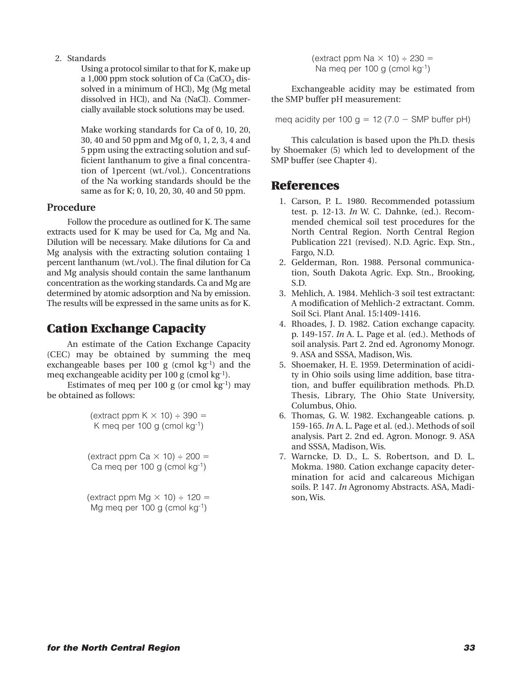#### 2. Standards

Using a protocol similar to that for K, make up a 1,000 ppm stock solution of Ca  $(CaCO<sub>3</sub>$  dissolved in a minimum of HCl), Mg (Mg metal dissolved in HCl), and Na (NaCl). Commercially available stock solutions may be used.

Make working standards for Ca of 0, 10, 20, 30, 40 and 50 ppm and Mg of 0, 1, 2, 3, 4 and 5 ppm using the extracting solution and sufficient lanthanum to give a final concentration of 1percent (wt./vol.). Concentrations of the Na working standards should be the same as for K; 0, 10, 20, 30, 40 and 50 ppm.

#### **Procedure**

Follow the procedure as outlined for K. The same extracts used for K may be used for Ca, Mg and Na. Dilution will be necessary. Make dilutions for Ca and Mg analysis with the extracting solution contaiing 1 percent lanthanum (wt./vol.). The final dilution for Ca and Mg analysis should contain the same lanthanum concentration as the working standards. Ca and Mg are determined by atomic adsorption and Na by emission. The results will be expressed in the same units as for K.

## **Cation Exchange Capacity**

An estimate of the Cation Exchange Capacity (CEC) may be obtained by summing the meq exchangeable bases per 100 g (cmol  $kg^{-1}$ ) and the meq exchangeable acidity per 100 g (cmol kg-1).

Estimates of meq per 100 g (or cmol  $kg^{-1}$ ) may be obtained as follows:

> (extract ppm  $K \times 10$ )  $\div 390 =$ K meq per 100 g (cmol kg-1)

(extract ppm  $Ca \times 10$ )  $\div 200 =$ Ca meg per 100 g (cmol  $kg^{-1}$ )

(extract ppm  $Mg \times 10$ )  $\div 120 =$ Mg meq per 100 g (cmol kg-1)

(extract ppm  $Na \times 10$ )  $\div$  230  $=$ Na meq per 100 g (cmol kg-1)

Exchangeable acidity may be estimated from the SMP buffer pH measurement:

meg acidity per  $100 g = 12 (7.0 - SMP)$  buffer pH)

This calculation is based upon the Ph.D. thesis by Shoemaker (5) which led to development of the SMP buffer (see Chapter 4).

## **References**

- 1. Carson, P. L. 1980. Recommended potassium test. p. 12-13. *In* W. C. Dahnke, (ed.). Recommended chemical soil test procedures for the North Central Region. North Central Region Publication 221 (revised). N.D. Agric. Exp. Stn., Fargo, N.D.
- 2. Gelderman, Ron. 1988. Personal communication, South Dakota Agric. Exp. Stn., Brooking, S.D.
- 3. Mehlich, A. 1984. Mehlich-3 soil test extractant: A modification of Mehlich-2 extractant. Comm. Soil Sci. Plant Anal. 15:1409-1416.
- 4. Rhoades, J. D. 1982. Cation exchange capacity. p. 149-157. *In* A. L. Page et al. (ed.). Methods of soil analysis. Part 2. 2nd ed. Agronomy Monogr. 9. ASA and SSSA, Madison, Wis.
- 5. Shoemaker, H. E. 1959. Determination of acidity in Ohio soils using lime addition, base titration, and buffer equilibration methods. Ph.D. Thesis, Library, The Ohio State University, Columbus, Ohio.
- 6. Thomas, G. W. 1982. Exchangeable cations. p. 159-165. *In* A. L. Page et al. (ed.). Methods of soil analysis. Part 2. 2nd ed. Agron. Monogr. 9. ASA and SSSA, Madison, Wis.
- 7. Warncke, D. D., L. S. Robertson, and D. L. Mokma. 1980. Cation exchange capacity determination for acid and calcareous Michigan soils. P. 147. *In* Agronomy Abstracts. ASA, Madison, Wis.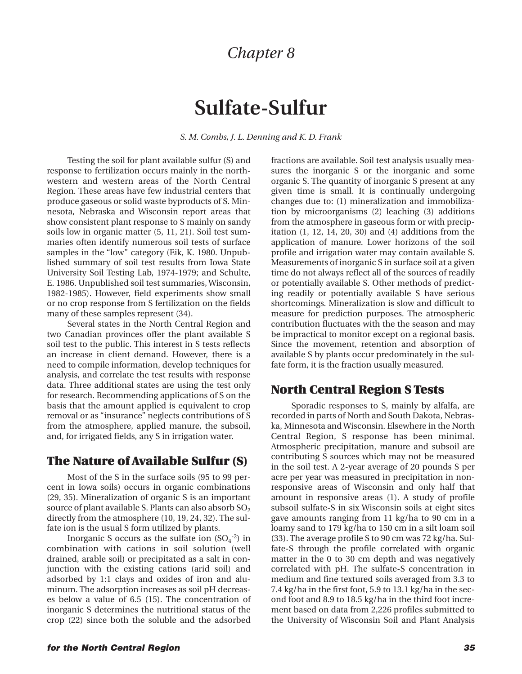# **Sulfate-Sulfur**

*S. M. Combs, J. L. Denning and K. D. Frank*

Testing the soil for plant available sulfur (S) and response to fertilization occurs mainly in the northwestern and western areas of the North Central Region. These areas have few industrial centers that produce gaseous or solid waste byproducts of S. Minnesota, Nebraska and Wisconsin report areas that show consistent plant response to S mainly on sandy soils low in organic matter (5, 11, 21). Soil test summaries often identify numerous soil tests of surface samples in the "low" category (Eik, K. 1980. Unpublished summary of soil test results from Iowa State University Soil Testing Lab, 1974-1979; and Schulte, E. 1986. Unpublished soil test summaries, Wisconsin, 1982-1985). However, field experiments show small or no crop response from S fertilization on the fields many of these samples represent (34).

Several states in the North Central Region and two Canadian provinces offer the plant available S soil test to the public. This interest in S tests reflects an increase in client demand. However, there is a need to compile information, develop techniques for analysis, and correlate the test results with response data. Three additional states are using the test only for research. Recommending applications of S on the basis that the amount applied is equivalent to crop removal or as "insurance" neglects contributions of S from the atmosphere, applied manure, the subsoil, and, for irrigated fields, any S in irrigation water.

## **The Nature of Available Sulfur (S)**

Most of the S in the surface soils (95 to 99 percent in Iowa soils) occurs in organic combinations (29, 35). Mineralization of organic S is an important source of plant available S. Plants can also absorb  $SO<sub>2</sub>$ directly from the atmosphere (10, 19, 24, 32). The sulfate ion is the usual S form utilized by plants.

Inorganic S occurs as the sulfate ion  $(SO<sub>4</sub><sup>-2</sup>)$  in combination with cations in soil solution (well drained, arable soil) or precipitated as a salt in conjunction with the existing cations (arid soil) and adsorbed by 1:1 clays and oxides of iron and aluminum. The adsorption increases as soil pH decreases below a value of 6.5 (15). The concentration of inorganic S determines the nutritional status of the crop (22) since both the soluble and the adsorbed

fractions are available. Soil test analysis usually measures the inorganic S or the inorganic and some organic S. The quantity of inorganic S present at any given time is small. It is continually undergoing changes due to: (1) mineralization and immobilization by microorganisms (2) leaching (3) additions from the atmosphere in gaseous form or with precipitation (1, 12, 14, 20, 30) and (4) additions from the application of manure. Lower horizons of the soil profile and irrigation water may contain available S. Measurements of inorganic S in surface soil at a given time do not always reflect all of the sources of readily or potentially available S. Other methods of predicting readily or potentially available S have serious shortcomings. Mineralization is slow and difficult to measure for prediction purposes. The atmospheric contribution fluctuates with the the season and may be impractical to monitor except on a regional basis. Since the movement, retention and absorption of available S by plants occur predominately in the sulfate form, it is the fraction usually measured.

## **North Central Region S Tests**

Sporadic responses to S, mainly by alfalfa, are recorded in parts of North and South Dakota, Nebraska, Minnesota and Wisconsin. Elsewhere in the North Central Region, S response has been minimal. Atmospheric precipitation, manure and subsoil are contributing S sources which may not be measured in the soil test. A 2-year average of 20 pounds S per acre per year was measured in precipitation in nonresponsive areas of Wisconsin and only half that amount in responsive areas (1). A study of profile subsoil sulfate-S in six Wisconsin soils at eight sites gave amounts ranging from 11 kg/ha to 90 cm in a loamy sand to 179 kg/ha to 150 cm in a silt loam soil (33). The average profile S to 90 cm was 72 kg/ha. Sulfate-S through the profile correlated with organic matter in the 0 to 30 cm depth and was negatively correlated with pH. The sulfate-S concentration in medium and fine textured soils averaged from 3.3 to 7.4 kg/ha in the first foot, 5.9 to 13.1 kg/ha in the second foot and 8.9 to 18.5 kg/ha in the third foot increment based on data from 2,226 profiles submitted to the University of Wisconsin Soil and Plant Analysis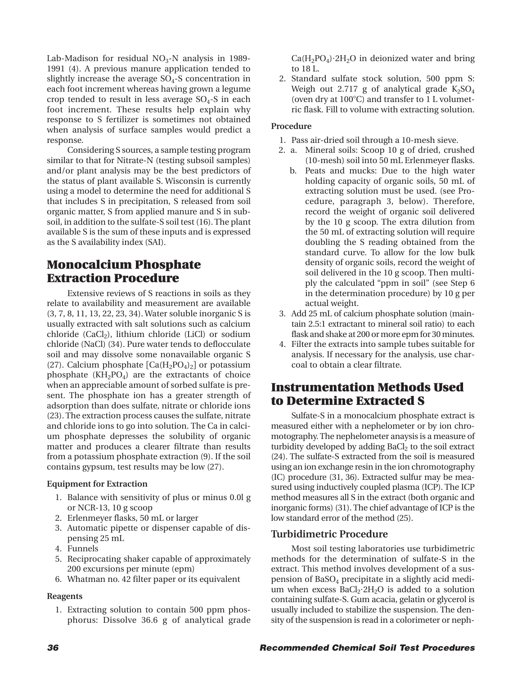Lab-Madison for residual  $NO<sub>3</sub>$ -N analysis in 1989-1991 (4). A previous manure application tended to slightly increase the average  $SO_4$ -S concentration in each foot increment whereas having grown a legume crop tended to result in less average  $SO_4$ -S in each foot increment. These results help explain why response to S fertilizer is sometimes not obtained when analysis of surface samples would predict a response.

Considering S sources, a sample testing program similar to that for Nitrate-N (testing subsoil samples) and/or plant analysis may be the best predictors of the status of plant available S. Wisconsin is currently using a model to determine the need for additional S that includes S in precipitation, S released from soil organic matter, S from applied manure and S in subsoil, in addition to the sulfate-S soil test (16). The plant available S is the sum of these inputs and is expressed as the S availability index (SAI).

# **Monocalcium Phosphate Extraction Procedure**

Extensive reviews of S reactions in soils as they relate to availability and measurement are available (3, 7, 8, 11, 13, 22, 23, 34). Water soluble inorganic S is usually extracted with salt solutions such as calcium chloride  $(CaCl<sub>2</sub>)$ , lithium chloride (LiCl) or sodium chloride (NaCl) (34). Pure water tends to deflocculate soil and may dissolve some nonavailable organic S (27). Calcium phosphate  $\text{[Ca(H<sub>2</sub>PO<sub>4</sub>)<sub>2</sub>]}$  or potassium phosphate  $(KH_2PO_4)$  are the extractants of choice when an appreciable amount of sorbed sulfate is present. The phosphate ion has a greater strength of adsorption than does sulfate, nitrate or chloride ions (23). The extraction process causes the sulfate, nitrate and chloride ions to go into solution. The Ca in calcium phosphate depresses the solubility of organic matter and produces a clearer filtrate than results from a potassium phosphate extraction (9). If the soil contains gypsum, test results may be low (27).

### **Equipment for Extraction**

- 1. Balance with sensitivity of plus or minus 0.0l g or NCR-13, 10 g scoop
- 2. Erlenmeyer flasks, 50 mL or larger
- 3. Automatic pipette or dispenser capable of dispensing 25 mL
- 4. Funnels
- 5. Reciprocating shaker capable of approximately 200 excursions per minute (epm)
- 6. Whatman no. 42 filter paper or its equivalent

### **Reagents**

1. Extracting solution to contain 500 ppm phosphorus: Dissolve 36.6 g of analytical grade  $Ca(H_2PO_4)$ <sup>2H<sub>2</sub>O in deionized water and bring</sup> to 18 L.

2. Standard sulfate stock solution, 500 ppm S: Weigh out 2.717 g of analytical grade  $K_2SO_4$ (oven dry at 100°C) and transfer to 1 L volumetric flask. Fill to volume with extracting solution.

### **Procedure**

- 1. Pass air-dried soil through a 10-mesh sieve.
- 2. a. Mineral soils: Scoop 10 g of dried, crushed (10-mesh) soil into 50 mL Erlenmeyer flasks.
	- b. Peats and mucks: Due to the high water holding capacity of organic soils, 50 mL of extracting solution must be used. (see Procedure, paragraph 3, below). Therefore, record the weight of organic soil delivered by the 10 g scoop. The extra dilution from the 50 mL of extracting solution will require doubling the S reading obtained from the standard curve. To allow for the low bulk density of organic soils, record the weight of soil delivered in the 10 g scoop. Then multiply the calculated "ppm in soil" (see Step 6 in the determination procedure) by 10 g per actual weight.
- 3. Add 25 mL of calcium phosphate solution (maintain 2.5:1 extractant to mineral soil ratio) to each flask and shake at 200 or more epm for 30 minutes.
- 4. Filter the extracts into sample tubes suitable for analysis. If necessary for the analysis, use charcoal to obtain a clear filtrate.

# **Instrumentation Methods Used to Determine Extracted S**

Sulfate-S in a monocalcium phosphate extract is measured either with a nephelometer or by ion chromotography. The nephelometer anaysis is a measure of turbidity developed by adding  $BaCl<sub>2</sub>$  to the soil extract (24). The sulfate-S extracted from the soil is measured using an ion exchange resin in the ion chromotography (IC) procedure (31, 36). Extracted sulfur may be measured using inductively coupled plasma (ICP). The ICP method measures all S in the extract (both organic and inorganic forms) (31). The chief advantage of ICP is the low standard error of the method (25).

### **Turbidimetric Procedure**

Most soil testing laboratories use turbidimetric methods for the determination of sulfate-S in the extract. This method involves development of a suspension of BaSO<sub>4</sub> precipitate in a slightly acid medium when excess BaCl<sub>2</sub>·2H<sub>2</sub>O is added to a solution containing sulfate-S. Gum acacia, gelatin or glycerol is usually included to stabilize the suspension. The density of the suspension is read in a colorimeter or neph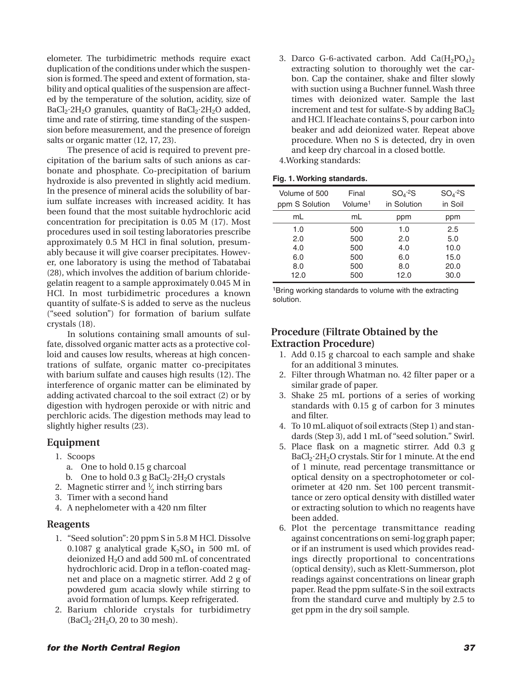elometer. The turbidimetric methods require exact duplication of the conditions under which the suspension is formed. The speed and extent of formation, stability and optical qualities of the suspension are affected by the temperature of the solution, acidity, size of BaCl<sub>2</sub>**·2H<sub>2</sub>O** granules, quantity of BaCl<sub>2</sub>·2H<sub>2</sub>O added, time and rate of stirring, time standing of the suspension before measurement, and the presence of foreign salts or organic matter (12, 17, 23).

The presence of acid is required to prevent precipitation of the barium salts of such anions as carbonate and phosphate. Co-precipitation of barium hydroxide is also prevented in slightly acid medium. In the presence of mineral acids the solubility of barium sulfate increases with increased acidity. It has been found that the most suitable hydrochloric acid concentration for precipitation is 0.05 M (17). Most procedures used in soil testing laboratories prescribe approximately 0.5 M HCl in final solution, presumably because it will give coarser precipitates. However, one laboratory is using the method of Tabatabai (28), which involves the addition of barium chloridegelatin reagent to a sample approximately 0.045 M in HCl. In most turbidimetric procedures a known quantity of sulfate-S is added to serve as the nucleus ("seed solution") for formation of barium sulfate crystals (18).

In solutions containing small amounts of sulfate, dissolved organic matter acts as a protective colloid and causes low results, whereas at high concentrations of sulfate, organic matter co-precipitates with barium sulfate and causes high results (12). The interference of organic matter can be eliminated by adding activated charcoal to the soil extract (2) or by digestion with hydrogen peroxide or with nitric and perchloric acids. The digestion methods may lead to slightly higher results (23).

## **Equipment**

- 1. Scoops
	- a. One to hold 0.15 g charcoal
- b. One to hold 0.3 g BaCl<sub>2</sub>·2H<sub>2</sub>O crystals
- 2. Magnetic stirrer and  $\frac{1}{2}$  inch stirring bars ⁄
- 3. Timer with a second hand
- 4. A nephelometer with a 420 nm filter

### **Reagents**

- 1. "Seed solution": 20 ppm S in 5.8 M HCl. Dissolve 0.1087 g analytical grade  $K_2SO_4$  in 500 mL of deionized H<sub>2</sub>O and add 500 mL of concentrated hydrochloric acid. Drop in a teflon-coated magnet and place on a magnetic stirrer. Add 2 g of powdered gum acacia slowly while stirring to avoid formation of lumps. Keep refrigerated.
- 2. Barium chloride crystals for turbidimetry (BaCl2**•**2H2O, 20 to 30 mesh).

3. Darco G-6-activated carbon. Add  $Ca(H_2PO_4)_2$ extracting solution to thoroughly wet the carbon. Cap the container, shake and filter slowly with suction using a Buchner funnel. Wash three times with deionized water. Sample the last increment and test for sulfate-S by adding  $BaCl<sub>2</sub>$ and HCl. If leachate contains S, pour carbon into beaker and add deionized water. Repeat above procedure. When no S is detected, dry in oven and keep dry charcoal in a closed bottle.

4.Working standards:

#### **Fig. 1. Working standards.**

| Volume of 500  | Final               | $SO4$ <sup>-2</sup> S | $SO4$ <sup>-2</sup> S |
|----------------|---------------------|-----------------------|-----------------------|
| ppm S Solution | Volume <sup>1</sup> | in Solution           | in Soil               |
| mL             | mL                  | ppm                   | ppm                   |
| 1.0            | 500                 | 1.0                   | 2.5                   |
| 2.0            | 500                 | 2.0                   | 5.0                   |
| 4.0            | 500                 | 4.0                   | 10.0                  |
| 6.0            | 500                 | 6.0                   | 15.0                  |
| 8.0            | 500                 | 8.0                   | 20.0                  |
| 12.0           | 500                 | 12.0                  | 30.0                  |

1Bring working standards to volume with the extracting solution.

## **Procedure (Filtrate Obtained by the Extraction Procedure)**

- 1. Add 0.15 g charcoal to each sample and shake for an additional 3 minutes.
- 2. Filter through Whatman no. 42 filter paper or a similar grade of paper.
- 3. Shake 25 mL portions of a series of working standards with 0.15 g of carbon for 3 minutes and filter.
- 4. To 10 mL aliquot of soil extracts (Step 1) and standards (Step 3), add 1 mL of "seed solution." Swirl.
- 5. Place flask on a magnetic stirrer. Add 0.3 g BaCl<sub>2</sub>·2H<sub>2</sub>O crystals. Stir for 1 minute. At the end of 1 minute, read percentage transmittance or optical density on a spectrophotometer or colorimeter at 420 nm. Set 100 percent transmittance or zero optical density with distilled water or extracting solution to which no reagents have been added.
- 6. Plot the percentage transmittance reading against concentrations on semi-log graph paper; or if an instrument is used which provides readings directly proportional to concentrations (optical density), such as Klett-Summerson, plot readings against concentrations on linear graph paper. Read the ppm sulfate-S in the soil extracts from the standard curve and multiply by 2.5 to get ppm in the dry soil sample.

### **for the North Central Region 37**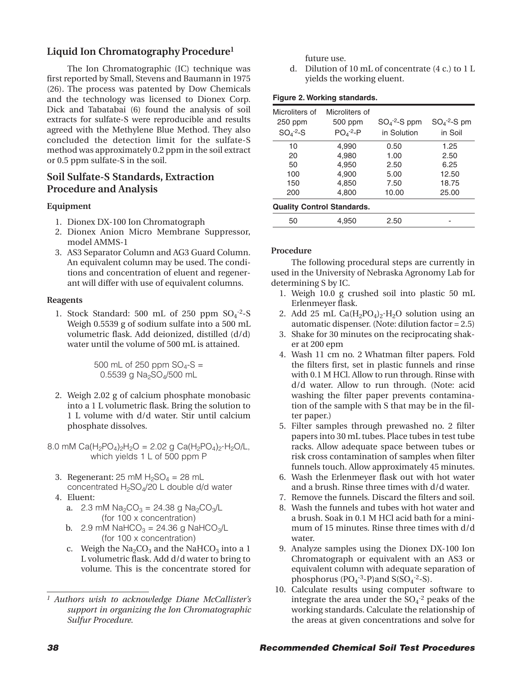## **Liquid Ion Chromatography Procedure1**

The Ion Chromatographic (IC) technique was first reported by Small, Stevens and Baumann in 1975 (26). The process was patented by Dow Chemicals and the technology was licensed to Dionex Corp. Dick and Tabatabai (6) found the analysis of soil extracts for sulfate-S were reproducible and results agreed with the Methylene Blue Method. They also concluded the detection limit for the sulfate-S method was approximately 0.2 ppm in the soil extract or 0.5 ppm sulfate-S in the soil.

### **Soil Sulfate-S Standards, Extraction Procedure and Analysis**

### **Equipment**

- 1. Dionex DX-100 Ion Chromatograph
- 2. Dionex Anion Micro Membrane Suppressor, model AMMS-1
- 3. AS3 Separator Column and AG3 Guard Column. An equivalent column may be used. The conditions and concentration of eluent and regenerant will differ with use of equivalent columns.

### **Reagents**

1. Stock Standard: 500 mL of 250 ppm  $SO_4^{-2}-S$ Weigh 0.5539 g of sodium sulfate into a 500 mL volumetric flask. Add deionized, distilled (d/d) water until the volume of 500 mL is attained.

> 500 mL of 250 ppm  $SO_4$ -S = 0.5539 g Na<sub>2</sub>SO<sub>4</sub>/500 mL

- 2. Weigh 2.02 g of calcium phosphate monobasic into a 1 L volumetric flask. Bring the solution to 1 L volume with d/d water. Stir until calcium phosphate dissolves.
- 8.0 mM Ca(H<sub>2</sub>PO<sub>4</sub>)<sub>2</sub>H<sub>2</sub>O = 2.02 g Ca(H<sub>2</sub>PO<sub>4</sub>)<sub>2</sub>·H<sub>2</sub>O/L, which yields 1 L of 500 ppm P
	- 3. Regenerant:  $25 \text{ mM H}_2\text{SO}_4 = 28 \text{ mL}$ concentrated H<sub>2</sub>SO<sub>4</sub>/20 L double d/d water
	- 4. Eluent:
		- a. 2.3 mM  $Na_2CO_3 = 24.38$  g  $Na_2CO_3/L$ (for 100 x concentration)
		- b. 2.9 mM NaHCO<sub>3</sub> = 24.36 g NaHCO<sub>3</sub>/L (for 100 x concentration)
		- c. Weigh the  $Na<sub>2</sub>CO<sub>3</sub>$  and the NaHCO<sub>3</sub> into a 1 L volumetric flask. Add d/d water to bring to volume. This is the concentrate stored for

future use.

d. Dilution of 10 mL of concentrate (4 c.) to 1 L yields the working eluent.

| Microliters of<br>250 ppm<br>$SO_4^{-2}$ -S | Microliters of<br>500 ppm<br>$PO4 -2 - P$ | $SO_4$ -2-S ppm<br>in Solution | $SO4$ -2-S pm<br>in Soil |
|---------------------------------------------|-------------------------------------------|--------------------------------|--------------------------|
| 10                                          | 4,990                                     | 0.50                           | 1.25                     |
| 20                                          | 4,980                                     | 1.00                           | 2.50                     |
| 50                                          | 4,950                                     | 2.50                           | 6.25                     |
| 100                                         | 4,900                                     | 5.00                           | 12.50                    |
| 150                                         | 4,850                                     | 7.50                           | 18.75                    |
| 200                                         | 4,800                                     | 10.00                          | 25.00                    |
| <b>Quality Control Standards.</b>           |                                           |                                |                          |
| 50                                          | 4.950                                     | 2.50                           |                          |

### **Procedure**

The following procedural steps are currently in used in the University of Nebraska Agronomy Lab for determining S by IC.

- 1. Weigh 10.0 g crushed soil into plastic 50 mL Erlenmeyer flask.
- 2. Add 25 mL Ca(H<sub>2</sub>PO<sub>4</sub>)<sub>2</sub>·H<sub>2</sub>O solution using an automatic dispenser. (Note: dilution factor = 2.5)
- 3. Shake for 30 minutes on the reciprocating shaker at 200 epm
- 4. Wash 11 cm no. 2 Whatman filter papers. Fold the filters first, set in plastic funnels and rinse with 0.1 M HCl. Allow to run through. Rinse with d/d water. Allow to run through. (Note: acid washing the filter paper prevents contamination of the sample with S that may be in the filter paper.)
- 5. Filter samples through prewashed no. 2 filter papers into 30 mL tubes. Place tubes in test tube racks. Allow adequate space between tubes or risk cross contamination of samples when filter funnels touch. Allow approximately 45 minutes.
- 6. Wash the Erlenmeyer flask out with hot water and a brush. Rinse three times with d/d water.
- 7. Remove the funnels. Discard the filters and soil.
- 8. Wash the funnels and tubes with hot water and a brush. Soak in 0.1 M HCl acid bath for a minimum of 15 minutes. Rinse three times with d/d water.
- 9. Analyze samples using the Dionex DX-100 Ion Chromatograph or equivalent with an AS3 or equivalent column with adequate separation of phosphorus ( $PO<sub>4</sub>$ <sup>-3</sup>-P)and S( $SO<sub>4</sub>$ <sup>-2</sup>-S).
- 10. Calculate results using computer software to integrate the area under the  $SO_4$ <sup>-2</sup> peaks of the working standards. Calculate the relationship of the areas at given concentrations and solve for

*<sup>1</sup> Authors wish to acknowledge Diane McCallister's support in organizing the Ion Chromatographic Sulfur Procedure.*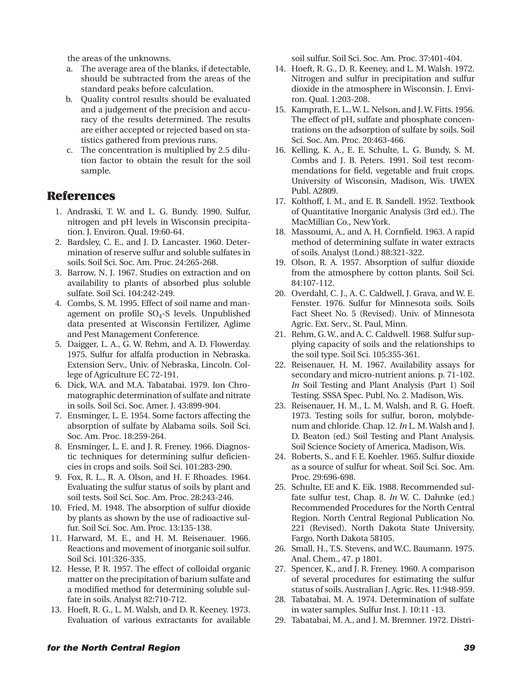the areas of the unknowns.

- a. The average area of the blanks, if detectable, should be subtracted from the areas of the standard peaks before calculation.
- b. Quality control results should be evaluated and a judgement of the precision and accuracy of the results determined. The results are either accepted or rejected based on statistics gathered from previous runs.
- c. The concentration is multiplied by 2.5 dilution factor to obtain the result for the soil sample.

## **References**

- 1. Andraski, T. W. and L. G. Bundy. 1990. Sulfur, nitrogen and pH levels in Wisconsin precipitation. J. Environ. Qual. 19:60-64.
- 2. Bardsley, C. E., and J. D. Lancaster. 1960. Determination of reserve sulfur and soluble sulfates in soils. Soil Sci. Soc. Am. Proc. 24:265-268.
- 3. Barrow, N. J. 1967. Studies on extraction and on availability to plants of absorbed plus soluble sulfate. Soil Sci. 104:242-249.
- 4. Combs, S. M. 1995. Effect of soil name and management on profile SO<sub>4</sub>-S levels. Unpublished data presented at Wisconsin Fertilizer, Aglime and Pest Management Conference.
- 5. Daigger, L. A., G. W. Rehm, and A. D. Flowerday. 1975. Sulfur for alfalfa production in Nebraska. Extension Serv., Univ. of Nebraska, Lincoln. College of Agriculture EC 72-191.
- 6. Dick, W.A. and M.A. Tabatabai. 1979. Ion Chromatographic determination of sulfate and nitrate in soils. Soil Sci. Soc. Amer. J. 43:899-904.
- 7. Ensminger, L. E. 1954. Some factors affecting the absorption of sulfate by Alabama soils. Soil Sci. Soc. Am. Proc. 18:259-264.
- 8. Ensminger, L. E. and J. R. Freney. 1966. Diagnostic techniques for determining sulfur deficiencies in crops and soils. Soil Sci. 101:283-290.
- 9. Fox, R. L., R. A. Olson, and H. F. Rhoades. 1964. Evaluating the sulfur status of soils by plant and soil tests. Soil Sci. Soc. Am. Proc. 28:243-246.
- 10. Fried, M. 1948. The absorption of sulfur dioxide by plants as shown by the use of radioactive sulfur. Soil Sci. Soc. Am. Proc. 13:135-138.
- 11. Harward, M. E., and H. M. Reisenauer. 1966. Reactions and movement of inorganic soil sulfur. Soil Sci. 101:326-335.
- 12. Hesse, P. R. 1957. The effect of colloidal organic matter on the precipitation of barium sulfate and a modified method for determining soluble sulfate in soils. Analyst 82:710-712.
- 13. Hoeft, R. G., L. M. Walsh, and D. R. Keeney. 1973. Evaluation of various extractants for available

soil sulfur. Soil Sci. Soc. Am. Proc. 37:401-404.

- 14. Hoeft, R. G., D. R. Keeney, and L. M. Walsh. 1972. Nitrogen and sulfur in precipitation and sulfur dioxide in the atmosphere in Wisconsin. J. Environ. Qual. 1:203-208.
- 15. Kamprath, E. L., W. L. Nelson, and J. W. Fitts. 1956. The effect of pH, sulfate and phosphate concentrations on the adsorption of sulfate by soils. Soil Sci. Soc. Am. Proc. 20:463-466.
- 16. Kelling, K. A., E. E. Schulte, L. G. Bundy, S. M. Combs and J. B. Peters. 1991. Soil test recommendations for field, vegetable and fruit crops. University of Wisconsin, Madison, Wis. UWEX Publ. A2809.
- 17. Kolthoff, I. M., and E. B. Sandell. 1952. Textbook of Quantitative Inorganic Analysis (3rd ed.). The MacMillian Co., New York.
- 18. Massoumi, A., and A. H. Cornfield. 1963. A rapid method of determining sulfate in water extracts of soils. Analyst (Lond.) 88:321-322.
- 19. Olson, R. A. 1957. Absorption of sulfur dioxide from the atmosphere by cotton plants. Soil Sci. 84:107-112.
- 20. Overdahl, C. J., A. C. Caldwell, J. Grava, and W. E. Fenster. 1976. Sulfur for Minnesota soils. Soils Fact Sheet No. 5 (Revised). Univ. of Minnesota Agric. Ext. Serv., St. Paul, Minn.
- 21. Rehm, G. W., and A. C. Caldwell. 1968. Sulfur supplying capacity of soils and the relationships to the soil type. Soil Sci. 105:355-361.
- 22. Reisenauer, H. M. 1967. Availability assays for secondary and micro-nutrient anions. p. 71-102. *In* Soil Testing and Plant Analysis (Part 1) Soil Testing. SSSA Spec. Publ. No. 2. Madison, Wis.
- 23. Reisenauer, H. M., L. M. Walsh, and R. G. Hoeft. 1973. Testing soils for sulfur, boron, molybdenum and chloride. Chap. 12. *In* L. M. Walsh and J. D. Beaton (ed.) Soil Testing and Plant Analysis. Soil Science Society of America, Madison, Wis.
- 24. Roberts, S., and F. E. Koehler. 1965. Sulfur dioxide as a source of sulfur for wheat. Soil Sci. Soc. Am. Proc. 29:696-698.
- 25. Schulte, EE and K. Eik. 1988. Recommended sulfate sulfur test, Chap. 8. *In* W. C. Dahnke (ed.) Recommended Procedures for the North Central Region. North Central Regional Publication No. 221 (Revised). North Dakota State University, Fargo, North Dakota 58105.
- 26. Small, H., T.S. Stevens, and W.C. Baumann. 1975. Anal. Chem., 47. p 1801.
- 27. Spencer, K., and J. R. Freney. 1960. A comparison of several procedures for estimating the sulfur status of soils. Australian J. Agric. Res. 11:948-959.
- 28. Tabatabai, M. A. 1974. Determination of sulfate in water samples. Sulfur Inst. J. 10:11 -13.
- 29. Tabatabai, M. A., and J. M. Bremner. 1972. Distri-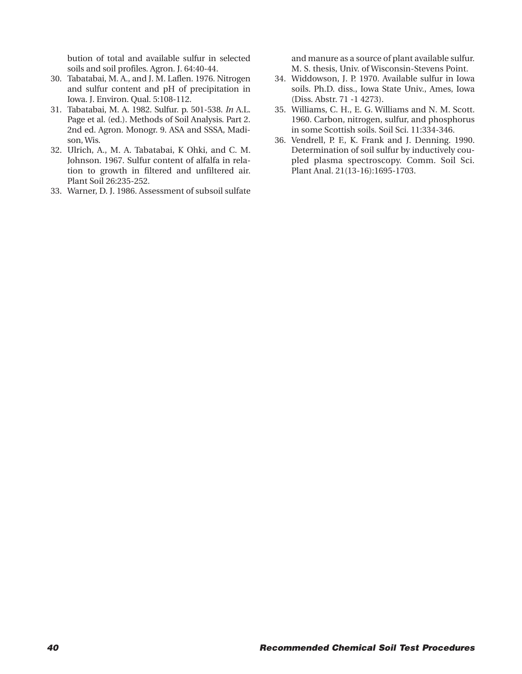bution of total and available sulfur in selected soils and soil profiles. Agron. J. 64:40-44.

- 30. Tabatabai, M. A., and J. M. Laflen. 1976. Nitrogen and sulfur content and pH of precipitation in Iowa. J. Environ. Qual. 5:108-112.
- 31. Tabatabai, M. A. 1982. Sulfur. p. 501-538. *In* A.L. Page et al. (ed.). Methods of Soil Analysis. Part 2. 2nd ed. Agron. Monogr. 9. ASA and SSSA, Madison, Wis.
- 32. Ulrich, A., M. A. Tabatabai, K Ohki, and C. M. Johnson. 1967. Sulfur content of alfalfa in relation to growth in filtered and unfiltered air. Plant Soil 26:235-252.
- 33. Warner, D. J. 1986. Assessment of subsoil sulfate

and manure as a source of plant available sulfur. M. S. thesis, Univ. of Wisconsin-Stevens Point.

- 34. Widdowson, J. P. 1970. Available sulfur in Iowa soils. Ph.D. diss., Iowa State Univ., Ames, Iowa (Diss. Abstr. 71 -1 4273).
- 35. Williams, C. H., E. G. Williams and N. M. Scott. 1960. Carbon, nitrogen, sulfur, and phosphorus in some Scottish soils. Soil Sci. 11:334-346.
- 36. Vendrell, P. F., K. Frank and J. Denning. 1990. Determination of soil sulfur by inductively coupled plasma spectroscopy. Comm. Soil Sci. Plant Anal. 21(13-16):1695-1703.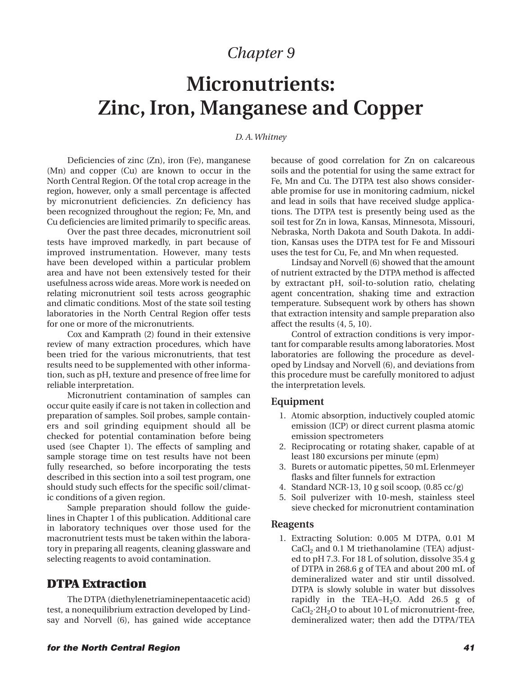# **Micronutrients: Zinc, Iron, Manganese and Copper**

#### *D. A. Whitney*

Deficiencies of zinc (Zn), iron (Fe), manganese (Mn) and copper (Cu) are known to occur in the North Central Region. Of the total crop acreage in the region, however, only a small percentage is affected by micronutrient deficiencies. Zn deficiency has been recognized throughout the region; Fe, Mn, and Cu deficiencies are limited primarily to specific areas.

Over the past three decades, micronutrient soil tests have improved markedly, in part because of improved instrumentation. However, many tests have been developed within a particular problem area and have not been extensively tested for their usefulness across wide areas. More work is needed on relating micronutrient soil tests across geographic and climatic conditions. Most of the state soil testing laboratories in the North Central Region offer tests for one or more of the micronutrients.

Cox and Kamprath (2) found in their extensive review of many extraction procedures, which have been tried for the various micronutrients, that test results need to be supplemented with other information, such as pH, texture and presence of free lime for reliable interpretation.

Micronutrient contamination of samples can occur quite easily if care is not taken in collection and preparation of samples. Soil probes, sample containers and soil grinding equipment should all be checked for potential contamination before being used (see Chapter 1). The effects of sampling and sample storage time on test results have not been fully researched, so before incorporating the tests described in this section into a soil test program, one should study such effects for the specific soil/climatic conditions of a given region.

Sample preparation should follow the guidelines in Chapter 1 of this publication. Additional care in laboratory techniques over those used for the macronutrient tests must be taken within the laboratory in preparing all reagents, cleaning glassware and selecting reagents to avoid contamination.

### **DTPA Extraction**

The DTPA (diethylenetriaminepentaacetic acid) test, a nonequilibrium extraction developed by Lindsay and Norvell (6), has gained wide acceptance because of good correlation for Zn on calcareous soils and the potential for using the same extract for Fe, Mn and Cu. The DTPA test also shows considerable promise for use in monitoring cadmium, nickel and lead in soils that have received sludge applications. The DTPA test is presently being used as the soil test for Zn in Iowa, Kansas, Minnesota, Missouri, Nebraska, North Dakota and South Dakota. In addition, Kansas uses the DTPA test for Fe and Missouri uses the test for Cu, Fe, and Mn when requested.

Lindsay and Norvell (6) showed that the amount of nutrient extracted by the DTPA method is affected by extractant pH, soil-to-solution ratio, chelating agent concentration, shaking time and extraction temperature. Subsequent work by others has shown that extraction intensity and sample preparation also affect the results (4, 5, 10).

Control of extraction conditions is very important for comparable results among laboratories. Most laboratories are following the procedure as developed by Lindsay and Norvell (6), and deviations from this procedure must be carefully monitored to adjust the interpretation levels.

### **Equipment**

- 1. Atomic absorption, inductively coupled atomic emission (ICP) or direct current plasma atomic emission spectrometers
- 2. Reciprocating or rotating shaker, capable of at least 180 excursions per minute (epm)
- 3. Burets or automatic pipettes, 50 mL Erlenmeyer flasks and filter funnels for extraction
- 4. Standard NCR-13, 10 g soil scoop, (0.85 cc/g)
- 5. Soil pulverizer with 10-mesh, stainless steel sieve checked for micronutrient contamination

### **Reagents**

1. Extracting Solution: 0.005 M DTPA, 0.01 M  $CaCl<sub>2</sub>$  and 0.1 M triethanolamine (TEA) adjusted to pH 7.3. For 18 L of solution, dissolve 35.4 g of DTPA in 268.6 g of TEA and about 200 mL of demineralized water and stir until dissolved. DTPA is slowly soluble in water but dissolves rapidly in the TEA– $H<sub>2</sub>O$ . Add 26.5 g of CaCl<sub>2</sub>·2H<sub>2</sub>O to about 10 L of micronutrient-free, demineralized water; then add the DTPA/TEA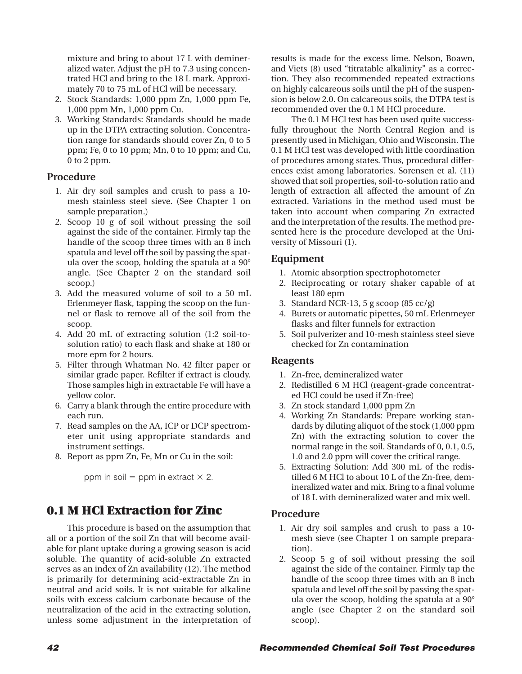mixture and bring to about 17 L with demineralized water. Adjust the pH to 7.3 using concentrated HCl and bring to the 18 L mark. Approximately 70 to 75 mL of HCl will be necessary.

- 2. Stock Standards: 1,000 ppm Zn, 1,000 ppm Fe, 1,000 ppm Mn, 1,000 ppm Cu.
- 3. Working Standards: Standards should be made up in the DTPA extracting solution. Concentration range for standards should cover Zn, 0 to 5 ppm; Fe, 0 to 10 ppm; Mn, 0 to 10 ppm; and Cu, 0 to 2 ppm.

## **Procedure**

- 1. Air dry soil samples and crush to pass a 10 mesh stainless steel sieve. (See Chapter 1 on sample preparation.)
- 2. Scoop 10 g of soil without pressing the soil against the side of the container. Firmly tap the handle of the scoop three times with an 8 inch spatula and level off the soil by passing the spatula over the scoop, holding the spatula at a 90° angle. (See Chapter 2 on the standard soil scoop.)
- 3. Add the measured volume of soil to a 50 mL Erlenmeyer flask, tapping the scoop on the funnel or flask to remove all of the soil from the scoop.
- 4. Add 20 mL of extracting solution (1:2 soil-tosolution ratio) to each flask and shake at 180 or more epm for 2 hours.
- 5. Filter through Whatman No. 42 filter paper or similar grade paper. Refilter if extract is cloudy. Those samples high in extractable Fe will have a yellow color.
- 6. Carry a blank through the entire procedure with each run.
- 7. Read samples on the AA, ICP or DCP spectrometer unit using appropriate standards and instrument settings.
- 8. Report as ppm Zn, Fe, Mn or Cu in the soil:

ppm in soil  $=$  ppm in extract  $\times$  2.

# **0.1 M HCl Extraction for Zinc**

This procedure is based on the assumption that all or a portion of the soil Zn that will become available for plant uptake during a growing season is acid soluble. The quantity of acid-soluble Zn extracted serves as an index of Zn availability (12). The method is primarily for determining acid-extractable Zn in neutral and acid soils. It is not suitable for alkaline soils with excess calcium carbonate because of the neutralization of the acid in the extracting solution, unless some adjustment in the interpretation of

results is made for the excess lime. Nelson, Boawn, and Viets (8) used "titratable alkalinity" as a correction. They also recommended repeated extractions on highly calcareous soils until the pH of the suspension is below 2.0. On calcareous soils, the DTPA test is recommended over the 0.1 M HCl procedure.

The 0.1 M HCl test has been used quite successfully throughout the North Central Region and is presently used in Michigan, Ohio and Wisconsin. The 0.1 M HCl test was developed with little coordination of procedures among states. Thus, procedural differences exist among laboratories. Sorensen et al. (11) showed that soil properties, soil-to-solution ratio and length of extraction all affected the amount of Zn extracted. Variations in the method used must be taken into account when comparing Zn extracted and the interpretation of the results. The method presented here is the procedure developed at the University of Missouri (1).

## **Equipment**

- 1. Atomic absorption spectrophotometer
- 2. Reciprocating or rotary shaker capable of at least 180 epm
- 3. Standard NCR-13, 5 g scoop (85 cc/g)
- 4. Burets or automatic pipettes, 50 mL Erlenmeyer flasks and filter funnels for extraction
- 5. Soil pulverizer and 10-mesh stainless steel sieve checked for Zn contamination

## **Reagents**

- 1. Zn-free, demineralized water
- 2. Redistilled 6 M HCl (reagent-grade concentrated HCl could be used if Zn-free)
- 3. Zn stock standard 1,000 ppm Zn
- 4. Working Zn Standards: Prepare working standards by diluting aliquot of the stock (1,000 ppm Zn) with the extracting solution to cover the normal range in the soil. Standards of 0, 0.1, 0.5, 1.0 and 2.0 ppm will cover the critical range.
- 5. Extracting Solution: Add 300 mL of the redistilled 6 M HCl to about 10 L of the Zn-free, demineralized water and mix. Bring to a final volume of 18 L with demineralized water and mix well.

## **Procedure**

- 1. Air dry soil samples and crush to pass a 10 mesh sieve (see Chapter 1 on sample preparation).
- 2. Scoop 5 g of soil without pressing the soil against the side of the container. Firmly tap the handle of the scoop three times with an 8 inch spatula and level off the soil by passing the spatula over the scoop, holding the spatula at a 90° angle (see Chapter 2 on the standard soil scoop).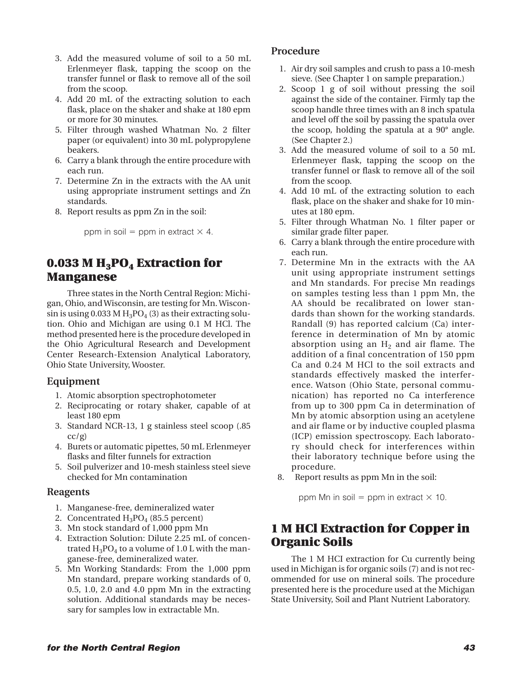- 3. Add the measured volume of soil to a 50 mL Erlenmeyer flask, tapping the scoop on the transfer funnel or flask to remove all of the soil from the scoop.
- 4. Add 20 mL of the extracting solution to each flask, place on the shaker and shake at 180 epm or more for 30 minutes.
- 5. Filter through washed Whatman No. 2 filter paper (or equivalent) into 30 mL polypropylene beakers.
- 6. Carry a blank through the entire procedure with each run.
- 7. Determine Zn in the extracts with the AA unit using appropriate instrument settings and Zn standards.
- 8. Report results as ppm Zn in the soil:

ppm in soil  $=$  ppm in extract  $\times$  4.

# **0.033 M H<sub>3</sub>PO<sub>4</sub> Extraction for Manganese**

Three states in the North Central Region: Michigan, Ohio, and Wisconsin, are testing for Mn. Wisconsin is using 0.033 M  $H_3PO_4$  (3) as their extracting solution. Ohio and Michigan are using 0.1 M HCl. The method presented here is the procedure developed in the Ohio Agricultural Research and Development Center Research-Extension Analytical Laboratory, Ohio State University, Wooster.

## **Equipment**

- 1. Atomic absorption spectrophotometer
- 2. Reciprocating or rotary shaker, capable of at least 180 epm
- 3. Standard NCR-13, 1 g stainless steel scoop (.85  $cc/g$ )
- 4. Burets or automatic pipettes, 50 mL Erlenmeyer flasks and filter funnels for extraction
- 5. Soil pulverizer and 10-mesh stainless steel sieve checked for Mn contamination

### **Reagents**

- 1. Manganese-free, demineralized water
- 2. Concentrated  $H_3PO_4$  (85.5 percent)
- 3. Mn stock standard of 1,000 ppm Mn
- 4. Extraction Solution: Dilute 2.25 mL of concentrated  $H_3PO_4$  to a volume of 1.0 L with the manganese-free, demineralized water.
- 5. Mn Working Standards: From the 1,000 ppm Mn standard, prepare working standards of 0, 0.5, 1.0, 2.0 and 4.0 ppm Mn in the extracting solution. Additional standards may be necessary for samples low in extractable Mn.

### **Procedure**

- 1. Air dry soil samples and crush to pass a 10-mesh sieve. (See Chapter 1 on sample preparation.)
- 2. Scoop 1 g of soil without pressing the soil against the side of the container. Firmly tap the scoop handle three times with an 8 inch spatula and level off the soil by passing the spatula over the scoop, holding the spatula at a 90° angle. (See Chapter 2.)
- 3. Add the measured volume of soil to a 50 mL Erlenmeyer flask, tapping the scoop on the transfer funnel or flask to remove all of the soil from the scoop.
- 4. Add 10 mL of the extracting solution to each flask, place on the shaker and shake for 10 minutes at 180 epm.
- 5. Filter through Whatman No. 1 filter paper or similar grade filter paper.
- 6. Carry a blank through the entire procedure with each run.
- 7. Determine Mn in the extracts with the AA unit using appropriate instrument settings and Mn standards. For precise Mn readings on samples testing less than 1 ppm Mn, the AA should be recalibrated on lower standards than shown for the working standards. Randall (9) has reported calcium (Ca) interference in determination of Mn by atomic absorption using an  $H_2$  and air flame. The addition of a final concentration of 150 ppm Ca and 0.24 M HCl to the soil extracts and standards effectively masked the interference. Watson (Ohio State, personal communication) has reported no Ca interference from up to 300 ppm Ca in determination of Mn by atomic absorption using an acetylene and air flame or by inductive coupled plasma (ICP) emission spectroscopy. Each laboratory should check for interferences within their laboratory technique before using the procedure.
- 8. Report results as ppm Mn in the soil:

ppm Mn in soil  $=$  ppm in extract  $\times$  10.

# **1 M HCl Extraction for Copper in Organic Soils**

The 1 M HCI extraction for Cu currently being used in Michigan is for organic soils (7) and is not recommended for use on mineral soils. The procedure presented here is the procedure used at the Michigan State University, Soil and Plant Nutrient Laboratory.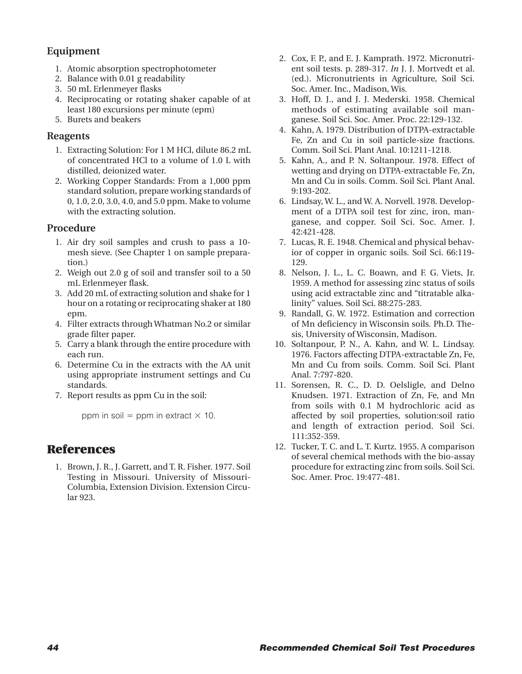## **Equipment**

- 1. Atomic absorption spectrophotometer
- 2. Balance with 0.01 g readability
- 3. 50 mL Erlenmeyer flasks
- 4. Reciprocating or rotating shaker capable of at least 180 excursions per minute (epm)
- 5. Burets and beakers

### **Reagents**

- 1. Extracting Solution: For 1 M HCl, dilute 86.2 mL of concentrated HCl to a volume of 1.0 L with distilled, deionized water.
- 2. Working Copper Standards: From a 1,000 ppm standard solution, prepare working standards of 0, 1.0, 2.0, 3.0, 4.0, and 5.0 ppm. Make to volume with the extracting solution.

## **Procedure**

- 1. Air dry soil samples and crush to pass a 10 mesh sieve. (See Chapter 1 on sample preparation.)
- 2. Weigh out 2.0 g of soil and transfer soil to a 50 mL Erlenmeyer flask.
- 3. Add 20 mL of extracting solution and shake for 1 hour on a rotating or reciprocating shaker at 180 epm.
- 4. Filter extracts through Whatman No.2 or similar grade filter paper.
- 5. Carry a blank through the entire procedure with each run.
- 6. Determine Cu in the extracts with the AA unit using appropriate instrument settings and Cu standards.
- 7. Report results as ppm Cu in the soil:

ppm in soil  $=$  ppm in extract  $\times$  10.

## **References**

1. Brown, J. R., J. Garrett, and T. R. Fisher. 1977. Soil Testing in Missouri. University of Missouri-Columbia, Extension Division. Extension Circular 923.

- 2. Cox, F. P., and E. J. Kamprath. 1972. Micronutrient soil tests. p. 289-317. *In* J. J. Mortvedt et al. (ed.). Micronutrients in Agriculture, Soil Sci. Soc. Amer. Inc., Madison, Wis.
- 3. Hoff, D. J., and J. J. Mederski. 1958. Chemical methods of estimating available soil manganese. Soil Sci. Soc. Amer. Proc. 22:129-132.
- 4. Kahn, A. 1979. Distribution of DTPA-extractable Fe, Zn and Cu in soil particle-size fractions. Comm. Soil Sci. Plant Anal. 10:1211-1218.
- 5. Kahn, A., and P. N. Soltanpour. 1978. Effect of wetting and drying on DTPA-extractable Fe, Zn, Mn and Cu in soils. Comm. Soil Sci. Plant Anal. 9:193-202.
- 6. Lindsay, W. L., and W. A. Norvell. 1978. Development of a DTPA soil test for zinc, iron, manganese, and copper. Soil Sci. Soc. Amer. J. 42:421-428.
- 7. Lucas, R. E. 1948. Chemical and physical behavior of copper in organic soils. Soil Sci. 66:119- 129.
- 8. Nelson, J. L., L. C. Boawn, and F. G. Viets, Jr. 1959. A method for assessing zinc status of soils using acid extractable zinc and "titratable alkalinity" values. Soil Sci. 88:275-283.
- 9. Randall, G. W. 1972. Estimation and correction of Mn deficiency in Wisconsin soils. Ph.D. Thesis, University of Wisconsin, Madison.
- 10. Soltanpour, P. N., A. Kahn, and W. L. Lindsay. 1976. Factors affecting DTPA-extractable Zn, Fe, Mn and Cu from soils. Comm. Soil Sci. Plant Anal. 7:797-820.
- 11. Sorensen, R. C., D. D. Oelsligle, and Delno Knudsen. 1971. Extraction of Zn, Fe, and Mn from soils with 0.1 M hydrochloric acid as affected by soil properties, solution:soil ratio and length of extraction period. Soil Sci. 111:352-359.
- 12. Tucker, T. C. and L. T. Kurtz. 1955. A comparison of several chemical methods with the bio-assay procedure for extracting zinc from soils. Soil Sci. Soc. Amer. Proc. 19:477-481.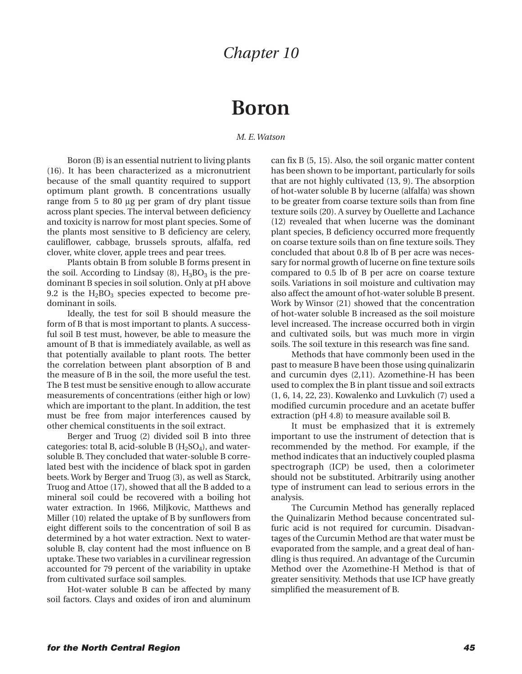# **Boron**

*M. E. Watson*

Boron (B) is an essential nutrient to living plants (16). It has been characterized as a micronutrient because of the small quantity required to support optimum plant growth. B concentrations usually range from 5 to 80 µg per gram of dry plant tissue across plant species. The interval between deficiency and toxicity is narrow for most plant species. Some of the plants most sensitive to B deficiency are celery, cauliflower, cabbage, brussels sprouts, alfalfa, red clover, white clover, apple trees and pear trees.

Plants obtain B from soluble B forms present in the soil. According to Lindsay  $(8)$ ,  $H_3BO_3$  is the predominant B species in soil solution. Only at pH above 9.2 is the  $H_2BO_3$  species expected to become predominant in soils.

Ideally, the test for soil B should measure the form of B that is most important to plants. A successful soil B test must, however, be able to measure the amount of B that is immediately available, as well as that potentially available to plant roots. The better the correlation between plant absorption of B and the measure of B in the soil, the more useful the test. The B test must be sensitive enough to allow accurate measurements of concentrations (either high or low) which are important to the plant. In addition, the test must be free from major interferences caused by other chemical constituents in the soil extract.

Berger and Truog (2) divided soil B into three categories: total B, acid-soluble B  $(H<sub>2</sub>SO<sub>4</sub>)$ , and watersoluble B. They concluded that water-soluble B correlated best with the incidence of black spot in garden beets. Work by Berger and Truog (3), as well as Starck, Truog and Attoe (17), showed that all the B added to a mineral soil could be recovered with a boiling hot water extraction. In 1966, Miljkovic, Matthews and Miller (10) related the uptake of B by sunflowers from eight different soils to the concentration of soil B as determined by a hot water extraction. Next to watersoluble B, clay content had the most influence on B uptake. These two variables in a curvilinear regression accounted for 79 percent of the variability in uptake from cultivated surface soil samples.

Hot-water soluble B can be affected by many soil factors. Clays and oxides of iron and aluminum

can fix B (5, 15). Also, the soil organic matter content has been shown to be important, particularly for soils that are not highly cultivated (13, 9). The absorption of hot-water soluble B by lucerne (alfalfa) was shown to be greater from coarse texture soils than from fine texture soils (20). A survey by Ouellette and Lachance (12) revealed that when lucerne was the dominant plant species, B deficiency occurred more frequently on coarse texture soils than on fine texture soils. They concluded that about 0.8 lb of B per acre was necessary for normal growth of lucerne on fine texture soils compared to 0.5 lb of B per acre on coarse texture soils. Variations in soil moisture and cultivation may also affect the amount of hot-water soluble B present. Work by Winsor (21) showed that the concentration of hot-water soluble B increased as the soil moisture level increased. The increase occurred both in virgin and cultivated soils, but was much more in virgin soils. The soil texture in this research was fine sand.

Methods that have commonly been used in the past to measure B have been those using quinalizarin and curcumin dyes (2,11). Azomethine-H has been used to complex the B in plant tissue and soil extracts (1, 6, 14, 22, 23). Kowalenko and Luvkulich (7) used a modified curcumin procedure and an acetate buffer extraction (pH 4.8) to measure available soil B.

It must be emphasized that it is extremely important to use the instrument of detection that is recommended by the method. For example, if the method indicates that an inductively coupled plasma spectrograph (ICP) be used, then a colorimeter should not be substituted. Arbitrarily using another type of instrument can lead to serious errors in the analysis.

The Curcumin Method has generally replaced the Quinalizarin Method because concentrated sulfuric acid is not required for curcumin. Disadvantages of the Curcumin Method are that water must be evaporated from the sample, and a great deal of handling is thus required. An advantage of the Curcumin Method over the Azomethine-H Method is that of greater sensitivity. Methods that use ICP have greatly simplified the measurement of B.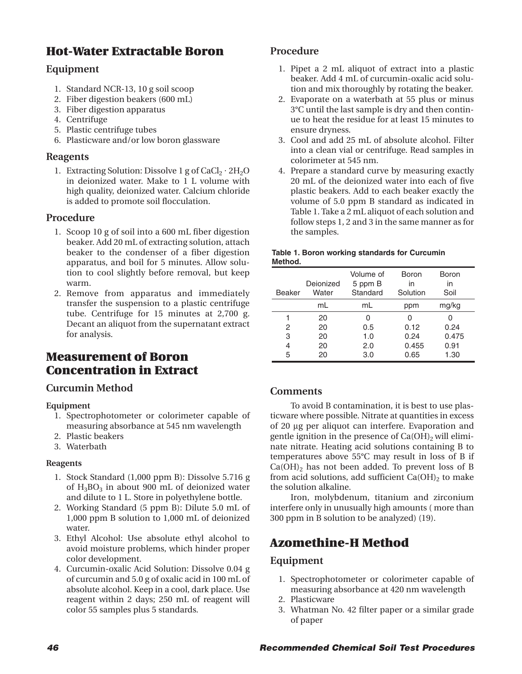# **Hot-Water Extractable Boron**

## **Equipment**

- 1. Standard NCR-13, 10 g soil scoop
- 2. Fiber digestion beakers (600 mL)
- 3. Fiber digestion apparatus
- 4. Centrifuge
- 5. Plastic centrifuge tubes
- 6. Plasticware and/or low boron glassware

## **Reagents**

1. Extracting Solution: Dissolve 1 g of  $CaCl<sub>2</sub> \cdot 2H<sub>2</sub>O$ in deionized water. Make to 1 L volume with high quality, deionized water. Calcium chloride is added to promote soil flocculation.

## **Procedure**

- 1. Scoop 10 g of soil into a 600 mL fiber digestion beaker. Add 20 mL of extracting solution, attach beaker to the condenser of a fiber digestion apparatus, and boil for 5 minutes. Allow solution to cool slightly before removal, but keep warm.
- 2. Remove from apparatus and immediately transfer the suspension to a plastic centrifuge tube. Centrifuge for 15 minutes at 2,700 g. Decant an aliquot from the supernatant extract for analysis.

# **Measurement of Boron Concentration in Extract**

## **Curcumin Method**

### **Equipment**

- 1. Spectrophotometer or colorimeter capable of measuring absorbance at 545 nm wavelength
- 2. Plastic beakers
- 3. Waterbath

### **Reagents**

- 1. Stock Standard (1,000 ppm B): Dissolve 5.716 g of  $H_3BO_3$  in about 900 mL of deionized water and dilute to 1 L. Store in polyethylene bottle.
- 2. Working Standard (5 ppm B): Dilute 5.0 mL of 1,000 ppm B solution to 1,000 mL of deionized water.
- 3. Ethyl Alcohol: Use absolute ethyl alcohol to avoid moisture problems, which hinder proper color development.
- 4. Curcumin-oxalic Acid Solution: Dissolve 0.04 g of curcumin and 5.0 g of oxalic acid in 100 mL of absolute alcohol. Keep in a cool, dark place. Use reagent within 2 days; 250 mL of reagent will color 55 samples plus 5 standards.

## **Procedure**

- 1. Pipet a 2 mL aliquot of extract into a plastic beaker. Add 4 mL of curcumin-oxalic acid solution and mix thoroughly by rotating the beaker.
- 2. Evaporate on a waterbath at 55 plus or minus 3°C until the last sample is dry and then continue to heat the residue for at least 15 minutes to ensure dryness.
- 3. Cool and add 25 mL of absolute alcohol. Filter into a clean vial or centrifuge. Read samples in colorimeter at 545 nm.
- 4. Prepare a standard curve by measuring exactly 20 mL of the deionized water into each of five plastic beakers. Add to each beaker exactly the volume of 5.0 ppm B standard as indicated in Table 1. Take a 2 mL aliquot of each solution and follow steps 1, 2 and 3 in the same manner as for the samples.

#### **Table 1. Boron working standards for Curcumin Method.**

| Beaker | Deionized<br>Water | Volume of<br>5 ppm B<br>Standard | <b>Boron</b><br>in<br>Solution | Boron<br>in<br>Soil |
|--------|--------------------|----------------------------------|--------------------------------|---------------------|
|        | mL                 | mL                               | ppm                            | mg/kg               |
|        | 20                 |                                  | O                              |                     |
| 2      | 20                 | 0.5                              | 0.12                           | 0.24                |
| 3      | 20                 | 1.0                              | 0.24                           | 0.475               |
| 4      | 20                 | 2.0                              | 0.455                          | 0.91                |
| 5      | 20                 | 3.0                              | 0.65                           | 1.30                |

## **Comments**

To avoid B contamination, it is best to use plasticware where possible. Nitrate at quantities in excess of 20 µg per aliquot can interfere. Evaporation and gentle ignition in the presence of  $Ca(OH)_{2}$  will eliminate nitrate. Heating acid solutions containing B to temperatures above 55°C may result in loss of B if  $Ca(OH)<sub>2</sub>$  has not been added. To prevent loss of B from acid solutions, add sufficient  $Ca(OH)_2$  to make the solution alkaline.

Iron, molybdenum, titanium and zirconium interfere only in unusually high amounts ( more than 300 ppm in B solution to be analyzed) (19).

# **Azomethine-H Method**

### **Equipment**

- 1. Spectrophotometer or colorimeter capable of measuring absorbance at 420 nm wavelength
- 2. Plasticware
- 3. Whatman No. 42 filter paper or a similar grade of paper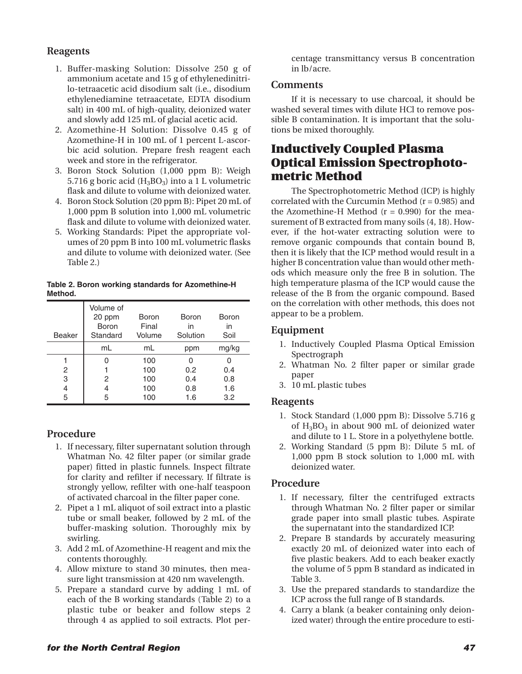## **Reagents**

- 1. Buffer-masking Solution: Dissolve 250 g of ammonium acetate and 15 g of ethylenedinitrilo-tetraacetic acid disodium salt (i.e., disodium ethylenediamine tetraacetate, EDTA disodium salt) in 400 mL of high-quality, deionized water and slowly add 125 mL of glacial acetic acid.
- 2. Azomethine-H Solution: Dissolve 0.45 g of Azomethine-H in 100 mL of 1 percent L-ascorbic acid solution. Prepare fresh reagent each week and store in the refrigerator.
- 3. Boron Stock Solution (1,000 ppm B): Weigh 5.716 g boric acid  $(H_3BO_3)$  into a 1 L volumetric flask and dilute to volume with deionized water.
- 4. Boron Stock Solution (20 ppm B): Pipet 20 mL of 1,000 ppm B solution into 1,000 mL volumetric flask and dilute to volume with deionized water.
- 5. Working Standards: Pipet the appropriate volumes of 20 ppm B into 100 mL volumetric flasks and dilute to volume with deionized water. (See Table 2.)

**Table 2. Boron working standards for Azomethine-H Method.**

| Beaker | Volume of<br>20 ppm<br>Boron<br>Standard | Boron<br>Final<br>Volume | Boron<br>in<br>Solution | Boron<br>in<br>Soil |
|--------|------------------------------------------|--------------------------|-------------------------|---------------------|
|        | mL                                       | mL                       | ppm                     | mg/kg               |
|        |                                          | 100                      |                         |                     |
| 2      |                                          | 100                      | 0.2                     | 0.4                 |
| 3      | 2                                        | 100                      | 0.4                     | 0.8                 |
| 4      | 4                                        | 100                      | 0.8                     | 1.6                 |
| 5      | 5                                        | 100                      | 1.6                     | 3.2                 |

### **Procedure**

- 1. If necessary, filter supernatant solution through Whatman No. 42 filter paper (or similar grade paper) fitted in plastic funnels. Inspect filtrate for clarity and refilter if necessary. If filtrate is strongly yellow, refilter with one-half teaspoon of activated charcoal in the filter paper cone.
- 2. Pipet a 1 mL aliquot of soil extract into a plastic tube or small beaker, followed by 2 mL of the buffer-masking solution. Thoroughly mix by swirling.
- 3. Add 2 mL of Azomethine-H reagent and mix the contents thoroughly.
- 4. Allow mixture to stand 30 minutes, then measure light transmission at 420 nm wavelength.
- 5. Prepare a standard curve by adding 1 mL of each of the B working standards (Table 2) to a plastic tube or beaker and follow steps 2 through 4 as applied to soil extracts. Plot per-

centage transmittancy versus B concentration in lb/acre.

### **Comments**

If it is necessary to use charcoal, it should be washed several times with dilute HCl to remove possible B contamination. It is important that the solutions be mixed thoroughly.

# **Inductively Coupled Plasma Optical Emission Spectrophotometric Method**

The Spectrophotometric Method (ICP) is highly correlated with the Curcumin Method  $(r = 0.985)$  and the Azomethine-H Method  $(r = 0.990)$  for the measurement of B extracted from many soils (4, 18). However, if the hot-water extracting solution were to remove organic compounds that contain bound B, then it is likely that the ICP method would result in a higher B concentration value than would other methods which measure only the free B in solution. The high temperature plasma of the ICP would cause the release of the B from the organic compound. Based on the correlation with other methods, this does not appear to be a problem.

## **Equipment**

- 1. Inductively Coupled Plasma Optical Emission Spectrograph
- 2. Whatman No. 2 filter paper or similar grade paper
- 3. 10 mL plastic tubes

### **Reagents**

- 1. Stock Standard (1,000 ppm B): Dissolve 5.716 g of  $H_3BO_3$  in about 900 mL of deionized water and dilute to 1 L. Store in a polyethylene bottle.
- 2. Working Standard (5 ppm B): Dilute 5 mL of 1,000 ppm B stock solution to 1,000 mL with deionized water.

### **Procedure**

- 1. If necessary, filter the centrifuged extracts through Whatman No. 2 filter paper or similar grade paper into small plastic tubes. Aspirate the supernatant into the standardized ICP.
- 2. Prepare B standards by accurately measuring exactly 20 mL of deionized water into each of five plastic beakers. Add to each beaker exactly the volume of 5 ppm B standard as indicated in Table 3.
- 3. Use the prepared standards to standardize the ICP across the full range of B standards.
- 4. Carry a blank (a beaker containing only deionized water) through the entire procedure to esti-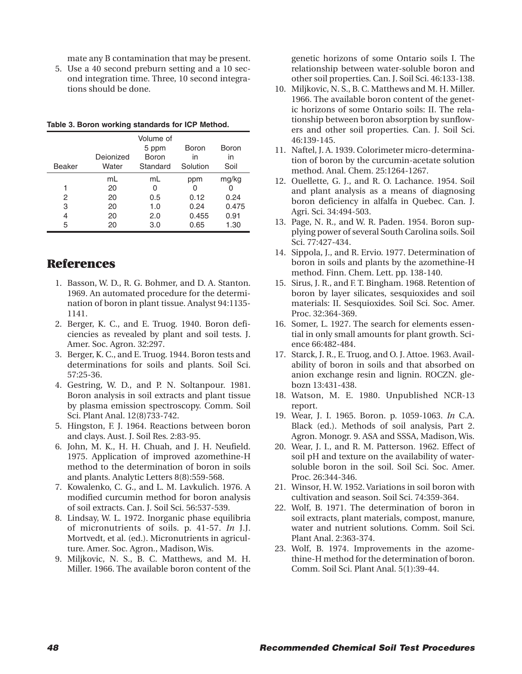mate any B contamination that may be present.

5. Use a 40 second preburn setting and a 10 second integration time. Three, 10 second integrations should be done.

|        |           | Volume of      |             |             |
|--------|-----------|----------------|-------------|-------------|
|        | Deionized | 5 ppm<br>Boron | Boron<br>in | Boron<br>in |
| Beaker | Water     | Standard       | Solution    | Soil        |
|        |           |                |             |             |
|        | mL        | mL             | ppm         | mg/kg       |
| 1      | 20        | O              |             |             |
| 2      | 20        | 0.5            | 0.12        | 0.24        |
| 3      | 20        | 1.0            | 0.24        | 0.475       |
| 4      | 20        | 2.0            | 0.455       | 0.91        |
| 5      | 20        | 3.0            | 0.65        | 1.30        |

**Table 3. Boron working standards for ICP Method.**

## **References**

- 1. Basson, W. D., R. G. Bohmer, and D. A. Stanton. 1969. An automated procedure for the determination of boron in plant tissue. Analyst 94:1135- 1141.
- 2. Berger, K. C., and E. Truog. 1940. Boron deficiencies as revealed by plant and soil tests. J. Amer. Soc. Agron. 32:297.
- 3. Berger, K. C., and E. Truog. 1944. Boron tests and determinations for soils and plants. Soil Sci. 57:25-36.
- 4. Gestring, W. D., and P. N. Soltanpour. 1981. Boron analysis in soil extracts and plant tissue by plasma emission spectroscopy. Comm. Soil Sci. Plant Anal. 12(8)733-742.
- 5. Hingston, F. J. 1964. Reactions between boron and clays. Aust. J. Soil Res. 2:83-95.
- 6. John, M. K., H. H. Chuah, and J. H. Neufield. 1975. Application of improved azomethine-H method to the determination of boron in soils and plants. Analytic Letters 8(8):559-568.
- 7. Kowalenko, C. G., and L. M. Lavkulich. 1976. A modified curcumin method for boron analysis of soil extracts. Can. J. Soil Sci. 56:537-539.
- 8. Lindsay, W. L. 1972. Inorganic phase equilibria of micronutrients of soils. p. 41-57. *In* J.J. Mortvedt, et al. (ed.). Micronutrients in agriculture. Amer. Soc. Agron., Madison, Wis.
- 9. Miljkovic, N. S., B. C. Matthews, and M. H. Miller. 1966. The available boron content of the

genetic horizons of some Ontario soils I. The relationship between water-soluble boron and other soil properties. Can. J. Soil Sci. 46:133-138.

- 10. Miljkovic, N. S., B. C. Matthews and M. H. Miller. 1966. The available boron content of the genetic horizons of some Ontario soils: II. The relationship between boron absorption by sunflowers and other soil properties. Can. J. Soil Sci. 46:139-145.
- 11. Naftel, J. A. 1939. Colorimeter micro-determination of boron by the curcumin-acetate solution method. Anal. Chem. 25:1264-1267.
- 12. Ouellette, G. J., and R. O. Lachance. 1954. Soil and plant analysis as a means of diagnosing boron deficiency in alfalfa in Quebec. Can. J. Agri. Sci. 34:494-503.
- 13. Page, N. R., and W. R. Paden. 1954. Boron supplying power of several South Carolina soils. Soil Sci. 77:427-434.
- 14. Sippola, J., and R. Ervio. 1977. Determination of boron in soils and plants by the azomethine-H method. Finn. Chem. Lett. pp. 138-140.
- 15. Sirus, J. R., and F. T. Bingham. 1968. Retention of boron by layer silicates, sesquioxides and soil materials: II. Sesquioxides. Soil Sci. Soc. Amer. Proc. 32:364-369.
- 16. Somer, L. 1927. The search for elements essential in only small amounts for plant growth. Science 66:482-484.
- 17. Starck, J. R., E. Truog, and O. J. Attoe. 1963. Availability of boron in soils and that absorbed on anion exchange resin and lignin. ROCZN. glebozn 13:431-438.
- 18. Watson, M. E. 1980. Unpublished NCR-13 report.
- 19. Wear, J. I. 1965. Boron. p. 1059-1063. *In* C.A. Black (ed.). Methods of soil analysis, Part 2. Agron. Monogr. 9. ASA and SSSA, Madison, Wis.
- 20. Wear, J. I., and R. M. Patterson. 1962. Effect of soil pH and texture on the availability of watersoluble boron in the soil. Soil Sci. Soc. Amer. Proc. 26:344-346.
- 21. Winsor, H. W. 1952. Variations in soil boron with cultivation and season. Soil Sci. 74:359-364.
- 22. Wolf, B. 1971. The determination of boron in soil extracts, plant materials, compost, manure, water and nutrient solutions. Comm. Soil Sci. Plant Anal. 2:363-374.
- 23. Wolf, B. 1974. Improvements in the azomethine-H method for the determination of boron. Comm. Soil Sci. Plant Anal. 5(1):39-44.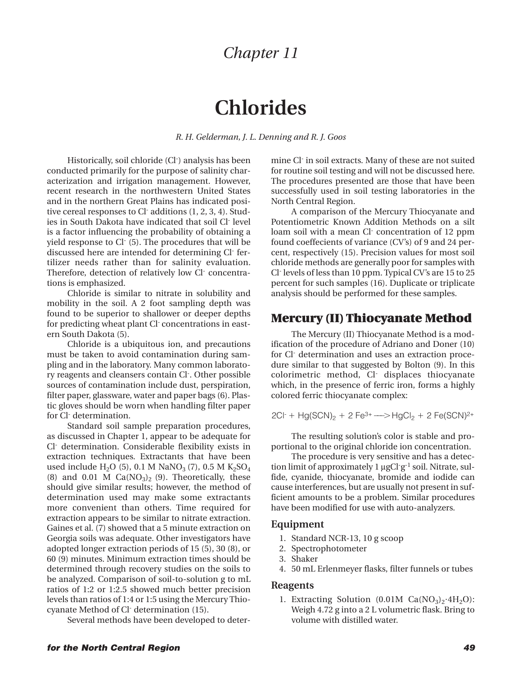# **Chlorides**

*R. H. Gelderman, J. L. Denning and R. J. Goos*

Historically, soil chloride (Cl-) analysis has been conducted primarily for the purpose of salinity characterization and irrigation management. However, recent research in the northwestern United States and in the northern Great Plains has indicated positive cereal responses to Cl- additions (1, 2, 3, 4). Studies in South Dakota have indicated that soil Cl- level is a factor influencing the probability of obtaining a yield response to Cl- (5). The procedures that will be discussed here are intended for determining Cl- fertilizer needs rather than for salinity evaluation. Therefore, detection of relatively low Cl- concentrations is emphasized.

Chloride is similar to nitrate in solubility and mobility in the soil. A 2 foot sampling depth was found to be superior to shallower or deeper depths for predicting wheat plant Cl- concentrations in eastern South Dakota (5).

Chloride is a ubiquitous ion, and precautions must be taken to avoid contamination during sampling and in the laboratory. Many common laboratory reagents and cleansers contain Cl- . Other possible sources of contamination include dust, perspiration, filter paper, glassware, water and paper bags (6). Plastic gloves should be worn when handling filter paper for Cl- determination.

Standard soil sample preparation procedures, as discussed in Chapter 1, appear to be adequate for Cl- determination. Considerable flexibility exists in extraction techniques. Extractants that have been used include H<sub>2</sub>O (5), 0.1 M NaNO<sub>3</sub> (7), 0.5 M K<sub>2</sub>SO<sub>4</sub> (8) and  $0.01$  M  $Ca(NO<sub>3</sub>)<sub>2</sub>$  (9). Theoretically, these should give similar results; however, the method of determination used may make some extractants more convenient than others. Time required for extraction appears to be similar to nitrate extraction. Gaines et al. (7) showed that a 5 minute extraction on Georgia soils was adequate. Other investigators have adopted longer extraction periods of 15 (5), 30 (8), or 60 (9) minutes. Minimum extraction times should be determined through recovery studies on the soils to be analyzed. Comparison of soil-to-solution g to mL ratios of 1:2 or 1:2.5 showed much better precision levels than ratios of 1:4 or 1:5 using the Mercury Thiocyanate Method of Cl- determination (15).

Several methods have been developed to deter-

mine Cl- in soil extracts. Many of these are not suited for routine soil testing and will not be discussed here. The procedures presented are those that have been successfully used in soil testing laboratories in the North Central Region.

A comparison of the Mercury Thiocyanate and Potentiometric Known Addition Methods on a silt loam soil with a mean Cl- concentration of 12 ppm found coeffecients of variance (CV's) of 9 and 24 percent, respectively (15). Precision values for most soil chloride methods are generally poor for samples with Cl- levels of less than 10 ppm. Typical CV's are 15 to 25 percent for such samples (16). Duplicate or triplicate analysis should be performed for these samples.

## **Mercury (II) Thiocyanate Method**

The Mercury (II) Thiocyanate Method is a modification of the procedure of Adriano and Doner (10) for Cl- determination and uses an extraction procedure similar to that suggested by Bolton (9). In this colorimetric method, Cl- displaces thiocyanate which, in the presence of ferric iron, forms a highly colored ferric thiocyanate complex:

$$
2Cl+ + Hg(SCN)2 + 2 Fe3+ \longrightarrow HgCl2 + 2 Fe(SCN)2+
$$

The resulting solution's color is stable and proportional to the original chloride ion concentration.

The procedure is very sensitive and has a detection limit of approximately 1 µgCl g<sup>-1</sup> soil. Nitrate, sulfide, cyanide, thiocyanate, bromide and iodide can cause interferences, but are usually not present in sufficient amounts to be a problem. Similar procedures have been modified for use with auto-analyzers.

### **Equipment**

- 1. Standard NCR-13, 10 g scoop
- 2. Spectrophotometer
- 3. Shaker
- 4. 50 mL Erlenmeyer flasks, filter funnels or tubes

#### **Reagents**

1. Extracting Solution (0.01M Ca(NO<sub>3</sub>)<sub>2</sub>·4H<sub>2</sub>O): Weigh 4.72 g into a 2 L volumetric flask. Bring to volume with distilled water.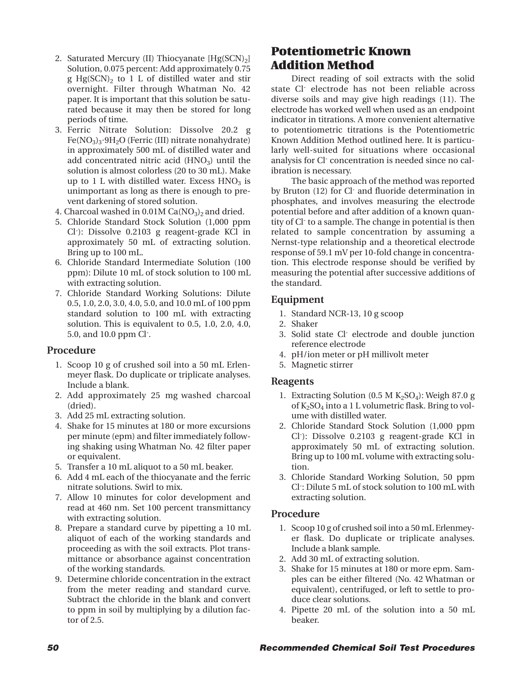- 2. Saturated Mercury (II) Thiocyanate  $[Hg(SCN)_2]$ Solution, 0.075 percent: Add approximately 0.75 g Hg(SCN) $_2$  to 1 L of distilled water and stir overnight. Filter through Whatman No. 42 paper. It is important that this solution be saturated because it may then be stored for long periods of time.
- 3. Ferric Nitrate Solution: Dissolve 20.2 g Fe(NO3)3**•**9H2O (Ferric (III) nitrate nonahydrate) in approximately 500 mL of distilled water and add concentrated nitric acid  $(HNO<sub>3</sub>)$  until the solution is almost colorless (20 to 30 mL). Make up to 1 L with distilled water. Excess  $HNO<sub>3</sub>$  is unimportant as long as there is enough to prevent darkening of stored solution.
- 4. Charcoal washed in  $0.01M$  Ca(NO<sub>3</sub>)<sub>2</sub> and dried.
- 5. Chloride Standard Stock Solution (1,000 ppm Cl- ): Dissolve 0.2103 g reagent-grade KCl in approximately 50 mL of extracting solution. Bring up to 100 mL.
- 6. Chloride Standard Intermediate Solution (100 ppm): Dilute 10 mL of stock solution to 100 mL with extracting solution.
- 7. Chloride Standard Working Solutions: Dilute 0.5, 1.0, 2.0, 3.0, 4.0, 5.0, and 10.0 mL of 100 ppm standard solution to 100 mL with extracting solution. This is equivalent to 0.5, 1.0, 2.0, 4.0, 5.0, and 10.0 ppm Cl- .

### **Procedure**

- 1. Scoop 10 g of crushed soil into a 50 mL Erlenmeyer flask. Do duplicate or triplicate analyses. Include a blank.
- 2. Add approximately 25 mg washed charcoal (dried).
- 3. Add 25 mL extracting solution.
- 4. Shake for 15 minutes at 180 or more excursions per minute (epm) and filter immediately following shaking using Whatman No. 42 filter paper or equivalent.
- 5. Transfer a 10 mL aliquot to a 50 mL beaker.
- 6. Add 4 mL each of the thiocyanate and the ferric nitrate solutions. Swirl to mix.
- 7. Allow 10 minutes for color development and read at 460 nm. Set 100 percent transmittancy with extracting solution.
- 8. Prepare a standard curve by pipetting a 10 mL aliquot of each of the working standards and proceeding as with the soil extracts. Plot transmittance or absorbance against concentration of the working standards.
- 9. Determine chloride concentration in the extract from the meter reading and standard curve. Subtract the chloride in the blank and convert to ppm in soil by multiplying by a dilution factor of 2.5.

# **Potentiometric Known Addition Method**

Direct reading of soil extracts with the solid state Cl- electrode has not been reliable across diverse soils and may give high readings (11). The electrode has worked well when used as an endpoint indicator in titrations. A more convenient alternative to potentiometric titrations is the Potentiometric Known Addition Method outlined here. It is particularly well-suited for situations where occasional analysis for Cl- concentration is needed since no calibration is necessary.

The basic approach of the method was reported by Bruton (12) for Cl- and fluoride determination in phosphates, and involves measuring the electrode potential before and after addition of a known quantity of Cl- to a sample. The change in potential is then related to sample concentration by assuming a Nernst-type relationship and a theoretical electrode response of 59.1 mV per 10-fold change in concentration. This electrode response should be verified by measuring the potential after successive additions of the standard.

## **Equipment**

- 1. Standard NCR-13, 10 g scoop
- 2. Shaker
- 3. Solid state Cl- electrode and double junction reference electrode
- 4. pH/ion meter or pH millivolt meter
- 5. Magnetic stirrer

### **Reagents**

- 1. Extracting Solution  $(0.5 M K<sub>2</sub>SO<sub>4</sub>)$ : Weigh 87.0 g of  $K_2SO_4$  into a 1 L volumetric flask. Bring to volume with distilled water.
- 2. Chloride Standard Stock Solution (1,000 ppm Cl- ): Dissolve 0.2103 g reagent-grade KCl in approximately 50 mL of extracting solution. Bring up to 100 mL volume with extracting solution.
- 3. Chloride Standard Working Solution, 50 ppm Cl- : Dilute 5 mL of stock solution to 100 mL with extracting solution.

## **Procedure**

- 1. Scoop 10 g of crushed soil into a 50 mL Erlenmeyer flask. Do duplicate or triplicate analyses. Include a blank sample.
- 2. Add 30 mL of extracting solution.
- 3. Shake for 15 minutes at 180 or more epm. Samples can be either filtered (No. 42 Whatman or equivalent), centrifuged, or left to settle to produce clear solutions.
- 4. Pipette 20 mL of the solution into a 50 mL beaker.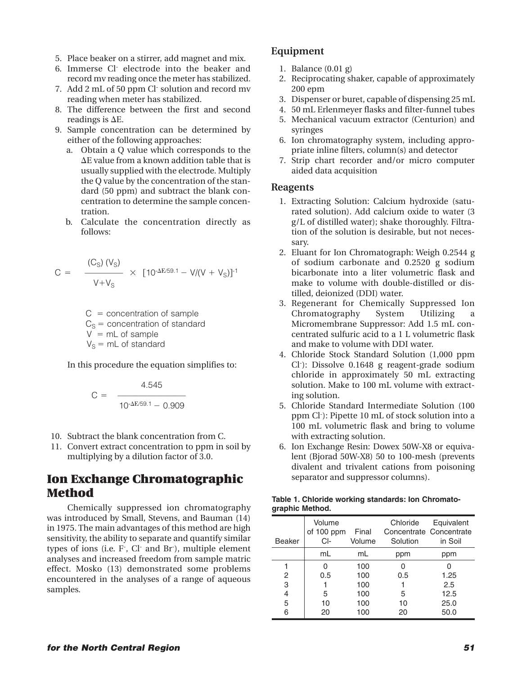- 5. Place beaker on a stirrer, add magnet and mix.
- 6. Immerse Cl- electrode into the beaker and record mv reading once the meter has stabilized.
- 7. Add 2 mL of 50 ppm Cl- solution and record mv reading when meter has stabilized.
- 8. The difference between the first and second readings is  $\Delta E$ .
- 9. Sample concentration can be determined by either of the following approaches:
	- a. Obtain a Q value which corresponds to the **D**E value from a known addition table that is usually supplied with the electrode. Multiply the Q value by the concentration of the standard (50 ppm) and subtract the blank concentration to determine the sample concentration.
	- b. Calculate the concentration directly as follows:

$$
C = \frac{(C_S) (V_S)}{V + V_S} \times [10^{-\Delta E/59.1} - V/(V + V_S)]^{-1}
$$

 $C =$  concentration of sample  $C<sub>S</sub>$  = concentration of standard  $V = mL$  of sample  $V_S$  = mL of standard

In this procedure the equation simplifies to:

$$
C = \frac{4.545}{10^{-\Delta E/59.1} - 0.909}
$$

- 10. Subtract the blank concentration from C.
- 11. Convert extract concentration to ppm in soil by multiplying by a dilution factor of 3.0.

# **Ion Exchange Chromatographic Method**

Chemically suppressed ion chromatography was introduced by Small, Stevens, and Bauman (14) in 1975. The main advantages of this method are high sensitivity, the ability to separate and quantify similar types of ions (i.e. F<sup>-</sup>, Cl<sup>-</sup> and Br<sup>-</sup>), multiple element analyses and increased freedom from sample matric effect. Mosko (13) demonstrated some problems encountered in the analyses of a range of aqueous samples.

### **Equipment**

- 1. Balance (0.01 g)
- 2. Reciprocating shaker, capable of approximately 200 epm
- 3. Dispenser or buret, capable of dispensing 25 mL
- 4. 50 mL Erlenmeyer flasks and filter-funnel tubes
- 5. Mechanical vacuum extractor (Centurion) and syringes
- 6. Ion chromatography system, including appropriate inline filters, column(s) and detector
- 7. Strip chart recorder and/or micro computer aided data acquisition

### **Reagents**

- 1. Extracting Solution: Calcium hydroxide (saturated solution). Add calcium oxide to water (3 g/L of distilled water); shake thoroughly. Filtration of the solution is desirable, but not necessary.
- 2. Eluant for Ion Chromatograph: Weigh 0.2544 g of sodium carbonate and 0.2520 g sodium bicarbonate into a liter volumetric flask and make to volume with double-distilled or distilled, deionized (DDI) water.
- 3. Regenerant for Chemically Suppressed Ion Chromatography System Utilizing a Micromembrane Suppressor: Add 1.5 mL concentrated sulfuric acid to a 1 L volumetric flask and make to volume with DDI water.
- 4. Chloride Stock Standard Solution (1,000 ppm Cl- ): Dissolve 0.1648 g reagent-grade sodium chloride in approximately 50 mL extracting solution. Make to 100 mL volume with extracting solution.
- 5. Chloride Standard Intermediate Solution (100 ppm Cl- ): Pipette 10 mL of stock solution into a 100 mL volumetric flask and bring to volume with extracting solution.
- 6. Ion Exchange Resin: Dowex 50W-X8 or equivalent (Bjorad 50W-X8) 50 to 100-mesh (prevents divalent and trivalent cations from poisoning separator and suppressor columns).

| Table 1. Chloride working standards: Ion Chromato- |  |  |
|----------------------------------------------------|--|--|
| graphic Method.                                    |  |  |

| <b>Beaker</b> | Volume<br>of 100 ppm<br>CI- | Final<br>Volume | Chloride<br>Solution | Equivalent<br>Concentrate Concentrate<br>in Soil |
|---------------|-----------------------------|-----------------|----------------------|--------------------------------------------------|
|               | mL                          | mL              | ppm                  | ppm                                              |
|               |                             | 100             |                      |                                                  |
| 2             | 0.5                         | 100             | 0.5                  | 1.25                                             |
| 3             |                             | 100             |                      | 2.5                                              |
| 4             | 5                           | 100             | 5                    | 12.5                                             |
| 5             | 10                          | 100             | 10                   | 25.0                                             |
| 6             | 20                          | 100             | 20                   | 50.0                                             |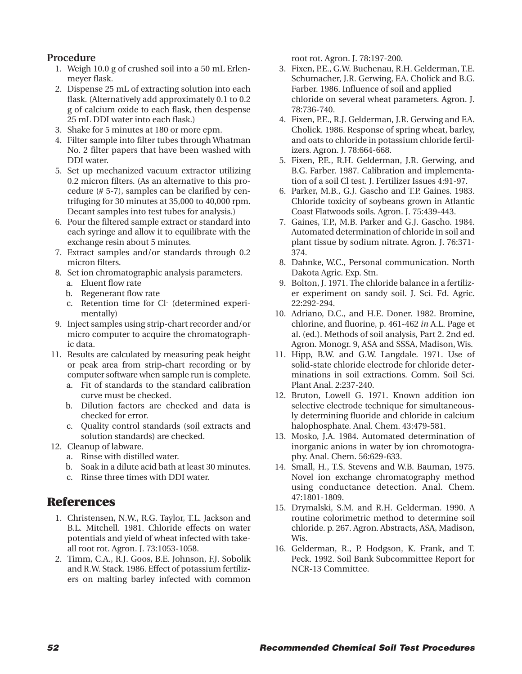## **Procedure**

- 1. Weigh 10.0 g of crushed soil into a 50 mL Erlenmeyer flask.
- 2. Dispense 25 mL of extracting solution into each flask. (Alternatively add approximately 0.1 to 0.2 g of calcium oxide to each flask, then despense 25 mL DDI water into each flask.)
- 3. Shake for 5 minutes at 180 or more epm.
- 4. Filter sample into filter tubes through Whatman No. 2 filter papers that have been washed with DDI water.
- 5. Set up mechanized vacuum extractor utilizing 0.2 micron filters. (As an alternative to this procedure (# 5-7), samples can be clarified by centrifuging for 30 minutes at 35,000 to 40,000 rpm. Decant samples into test tubes for analysis.)
- 6. Pour the filtered sample extract or standard into each syringe and allow it to equilibrate with the exchange resin about 5 minutes.
- 7. Extract samples and/or standards through 0.2 micron filters.
- 8. Set ion chromatographic analysis parameters.
	- a. Eluent flow rate
	- b. Regenerant flow rate
	- c. Retention time for Cl- (determined experimentally)
- 9. Inject samples using strip-chart recorder and/or micro computer to acquire the chromatographic data.
- 11. Results are calculated by measuring peak height or peak area from strip-chart recording or by computer software when sample run is complete.
	- a. Fit of standards to the standard calibration curve must be checked.
	- b. Dilution factors are checked and data is checked for error.
	- c. Quality control standards (soil extracts and solution standards) are checked.
- 12. Cleanup of labware.
	- a. Rinse with distilled water.
	- b. Soak in a dilute acid bath at least 30 minutes.
	- c. Rinse three times with DDI water.

# **References**

- 1. Christensen, N.W., R.G. Taylor, T.L. Jackson and B.L. Mitchell. 1981. Chloride effects on water potentials and yield of wheat infected with takeall root rot. Agron. J. 73:1053-1058.
- 2. Timm, C.A., R.J. Goos, B.E. Johnson, F.J. Sobolik and R.W. Stack. 1986. Effect of potassium fertilizers on malting barley infected with common

root rot. Agron. J. 78:197-200.

- 3. Fixen, P.E., G.W. Buchenau, R.H. Gelderman, T.E. Schumacher, J.R. Gerwing, F.A. Cholick and B.G. Farber. 1986. Influence of soil and applied chloride on several wheat parameters. Agron. J. 78:736-740.
- 4. Fixen, P.E., R.J. Gelderman, J.R. Gerwing and F.A. Cholick. 1986. Response of spring wheat, barley, and oats to chloride in potassium chloride fertilizers. Agron. J. 78:664-668.
- 5. Fixen, P.E., R.H. Gelderman, J.R. Gerwing, and B.G. Farber. 1987. Calibration and implementation of a soil Cl test. J. Fertilizer Issues 4:91-97.
- 6. Parker, M.B., G.J. Gascho and T.P. Gaines. 1983. Chloride toxicity of soybeans grown in Atlantic Coast Flatwoods soils. Agron. J. 75:439-443.
- 7. Gaines, T.P., M.B. Parker and G.J. Gascho. 1984. Automated determination of chloride in soil and plant tissue by sodium nitrate. Agron. J. 76:371- 374.
- 8. Dahnke, W.C., Personal communication. North Dakota Agric. Exp. Stn.
- 9. Bolton, J. 1971. The chloride balance in a fertilizer experiment on sandy soil. J. Sci. Fd. Agric. 22:292-294.
- 10. Adriano, D.C., and H.E. Doner. 1982. Bromine, chlorine, and fluorine, p. 461-462 *in* A.L. Page et al. (ed.). Methods of soil analysis, Part 2. 2nd ed. Agron. Monogr. 9, ASA and SSSA, Madison, Wis.
- 11. Hipp, B.W. and G.W. Langdale. 1971. Use of solid-state chloride electrode for chloride determinations in soil extractions. Comm. Soil Sci. Plant Anal. 2:237-240.
- 12. Bruton, Lowell G. 1971. Known addition ion selective electrode technique for simultaneously determining fluoride and chloride in calcium halophosphate. Anal. Chem. 43:479-581.
- 13. Mosko, J.A. 1984. Automated determination of inorganic anions in water by ion chromotography. Anal. Chem. 56:629-633.
- 14. Small, H., T.S. Stevens and W.B. Bauman, 1975. Novel ion exchange chromatography method using conductance detection. Anal. Chem. 47:1801-1809.
- 15. Drymalski, S.M. and R.H. Gelderman. 1990. A routine colorimetric method to determine soil chloride. p. 267. Agron. Abstracts, ASA, Madison, Wis.
- 16. Gelderman, R., P. Hodgson, K. Frank, and T. Peck. 1992. Soil Bank Subcommittee Report for NCR-13 Committee.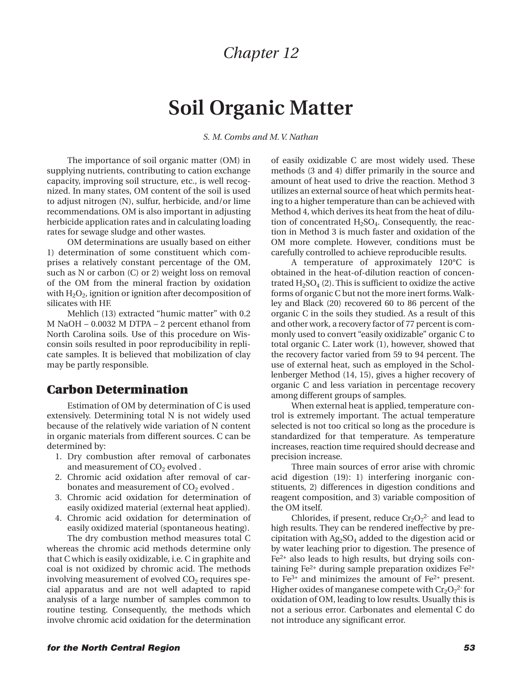# **Soil Organic Matter**

*S. M. Combs and M. V. Nathan*

The importance of soil organic matter (OM) in supplying nutrients, contributing to cation exchange capacity, improving soil structure, etc., is well recognized. In many states, OM content of the soil is used to adjust nitrogen (N), sulfur, herbicide, and/or lime recommendations. OM is also important in adjusting herbicide application rates and in calculating loading rates for sewage sludge and other wastes.

OM determinations are usually based on either 1) determination of some constituent which comprises a relatively constant percentage of the OM, such as N or carbon (C) or 2) weight loss on removal of the OM from the mineral fraction by oxidation with  $H_2O_2$ , ignition or ignition after decomposition of silicates with HF.

Mehlich (13) extracted "humic matter" with 0.2 M NaOH – 0.0032 M DTPA – 2 percent ethanol from North Carolina soils. Use of this procedure on Wisconsin soils resulted in poor reproducibility in replicate samples. It is believed that mobilization of clay may be partly responsible.

## **Carbon Determination**

Estimation of OM by determination of C is used extensively. Determining total N is not widely used because of the relatively wide variation of N content in organic materials from different sources. C can be determined by:

- 1. Dry combustion after removal of carbonates and measurement of  $CO<sub>2</sub>$  evolved.
- 2. Chromic acid oxidation after removal of carbonates and measurement of  $CO<sub>2</sub>$  evolved.
- 3. Chromic acid oxidation for determination of easily oxidized material (external heat applied).
- 4. Chromic acid oxidation for determination of easily oxidized material (spontaneous heating).

The dry combustion method measures total C whereas the chromic acid methods determine only that C which is easily oxidizable, i.e. C in graphite and coal is not oxidized by chromic acid. The methods involving measurement of evolved  $CO<sub>2</sub>$  requires special apparatus and are not well adapted to rapid analysis of a large number of samples common to routine testing. Consequently, the methods which involve chromic acid oxidation for the determination of easily oxidizable C are most widely used. These methods (3 and 4) differ primarily in the source and amount of heat used to drive the reaction. Method 3 utilizes an external source of heat which permits heating to a higher temperature than can be achieved with Method 4, which derives its heat from the heat of dilution of concentrated  $H<sub>2</sub>SO<sub>4</sub>$ . Consequently, the reaction in Method 3 is much faster and oxidation of the OM more complete. However, conditions must be carefully controlled to achieve reproducible results.

A temperature of approximately 120°C is obtained in the heat-of-dilution reaction of concentrated  $H_2SO_4$  (2). This is sufficient to oxidize the active forms of organic C but not the more inert forms. Walkley and Black (20) recovered 60 to 86 percent of the organic C in the soils they studied. As a result of this and other work, a recovery factor of 77 percent is commonly used to convert "easily oxidizable" organic C to total organic C. Later work (1), however, showed that the recovery factor varied from 59 to 94 percent. The use of external heat, such as employed in the Schollenberger Method (14, 15), gives a higher recovery of organic C and less variation in percentage recovery among different groups of samples.

When external heat is applied, temperature control is extremely important. The actual temperature selected is not too critical so long as the procedure is standardized for that temperature. As temperature increases, reaction time required should decrease and precision increase.

Three main sources of error arise with chromic acid digestion (19): 1) interfering inorganic constituents, 2) differences in digestion conditions and reagent composition, and 3) variable composition of the OM itself.

Chlorides, if present, reduce  $Cr_2O_7^{2-}$  and lead to high results. They can be rendered ineffective by precipitation with  $Ag_2SO_4$  added to the digestion acid or by water leaching prior to digestion. The presence of Fe2+ also leads to high results, but drying soils containing  $Fe<sup>2+</sup>$  during sample preparation oxidizes  $Fe<sup>2+</sup>$ to  $Fe^{3+}$  and minimizes the amount of  $Fe^{2+}$  present. Higher oxides of manganese compete with  $\rm Cr_2O_7$ <sup>2-</sup> for oxidation of OM, leading to low results. Usually this is not a serious error. Carbonates and elemental C do not introduce any significant error.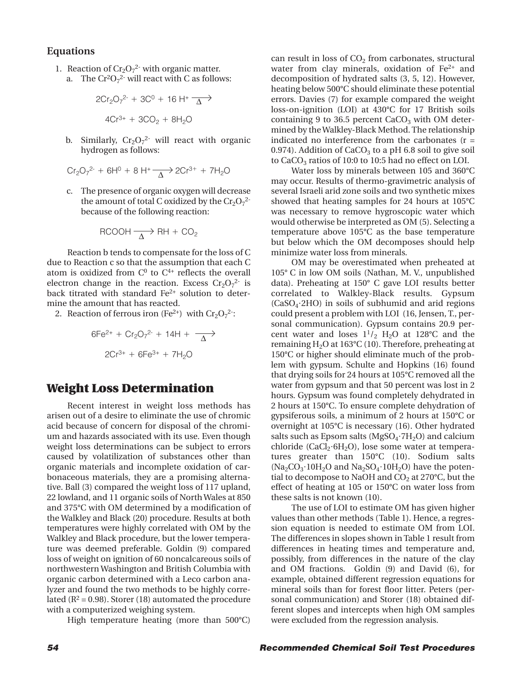### **Equations**

- 1. Reaction of  $Cr_2O_7^2$  with organic matter.
- a. The  $Cr^2O_7^2$  will react with C as follows:

$$
2Cr_2O_7^{2-} + 3C^0 + 16 H^+ \longrightarrow
$$
  

$$
4Cr^{3+} + 3CO_2 + 8H_2O
$$

b. Similarly,  $Cr_2O_7^2$  will react with organic hydrogen as follows:

$$
Cr_2O_7^{2-} + 6H^0 + 8 H^+ \longrightarrow 2Cr^{3+} + 7H_2O
$$

c. The presence of organic oxygen will decrease the amount of total C oxidized by the  $Cr_2O_7^{2-}$ because of the following reaction:

$$
RCOOH \xrightarrow[\Delta]{ } RH + CO_2
$$

Reaction b tends to compensate for the loss of C due to Reaction c so that the assumption that each C atom is oxidized from  $C^0$  to  $C^{4+}$  reflects the overall electron change in the reaction. Excess  $Cr_2O_7^{2-}$  is back titrated with standard Fe<sup>2+</sup> solution to determine the amount that has reacted.

2. Reaction of ferrous iron (Fe<sup>2+</sup>) with  $Cr_2O_7^2$ :

$$
6Fe^{2+} + Cr_2O_7^{2-} + 14H + \frac{\longrightarrow}{\Delta}
$$
  
2Cr<sup>3+</sup> + 6Fe<sup>3+</sup> + 7H<sub>2</sub>O

### **Weight Loss Determination**

Recent interest in weight loss methods has arisen out of a desire to eliminate the use of chromic acid because of concern for disposal of the chromium and hazards associated with its use. Even though weight loss determinations can be subject to errors caused by volatilization of substances other than organic materials and incomplete oxidation of carbonaceous materials, they are a promising alternative. Ball (3) compared the weight loss of 117 upland, 22 lowland, and 11 organic soils of North Wales at 850 and 375°C with OM determined by a modification of the Walkley and Black (20) procedure. Results at both temperatures were highly correlated with OM by the Walkley and Black procedure, but the lower temperature was deemed preferable. Goldin (9) compared loss of weight on ignition of 60 noncalcareous soils of northwestern Washington and British Columbia with organic carbon determined with a Leco carbon analyzer and found the two methods to be highly correlated ( $R^2$  = 0.98). Storer (18) automated the procedure with a computerized weighing system.

High temperature heating (more than 500°C)

can result in loss of  $CO<sub>2</sub>$  from carbonates, structural water from clay minerals, oxidation of  $Fe<sup>2+</sup>$  and decomposition of hydrated salts (3, 5, 12). However, heating below 500°C should eliminate these potential errors. Davies (7) for example compared the weight loss-on-ignition (LOI) at 430°C for 17 British soils containing 9 to 36.5 percent  $CaCO<sub>3</sub>$  with OM determined by the Walkley-Black Method. The relationship indicated no interference from the carbonates (r = 0.974). Addition of  $CaCO<sub>3</sub>$  to a pH 6.8 soil to give soil to  $CaCO<sub>3</sub>$  ratios of 10:0 to 10:5 had no effect on LOI.

Water loss by minerals between 105 and 360°C may occur. Results of thermo-gravimetric analysis of several Israeli arid zone soils and two synthetic mixes showed that heating samples for 24 hours at 105°C was necessary to remove hygroscopic water which would otherwise be interpreted as OM (5). Selecting a temperature above 105°C as the base temperature but below which the OM decomposes should help minimize water loss from minerals.

OM may be overestimated when preheated at 105° C in low OM soils (Nathan, M. V., unpublished data). Preheating at 150° C gave LOI results better correlated to Walkley-Black results. Gypsum (CaSO4**•**2HO) in soils of subhumid and arid regions could present a problem with LOI (16, Jensen, T., personal communication). Gypsum contains 20.9 percent water and loses  $1^{1}/_{2}$  H<sub>2</sub>O at 128°C and the remaining  $H_2O$  at 163°C (10). Therefore, preheating at 150°C or higher should eliminate much of the problem with gypsum. Schulte and Hopkins (16) found that drying soils for 24 hours at 105°C removed all the water from gypsum and that 50 percent was lost in 2 hours. Gypsum was found completely dehydrated in 2 hours at 150°C. To ensure complete dehydration of gypsiferous soils, a minimum of 2 hours at 150°C or overnight at 105°C is necessary (16). Other hydrated salts such as Epsom salts (MgSO<sub>4</sub>·7H<sub>2</sub>O) and calcium chloride (CaCl<sub>2</sub>·6H<sub>2</sub>O), lose some water at temperatures greater than 150°C (10). Sodium salts  $(Na_2CO_3 \cdot 10H_2O$  and  $Na_2SO_4 \cdot 10H_2O$  have the potential to decompose to NaOH and  $CO<sub>2</sub>$  at 270°C, but the effect of heating at 105 or 150°C on water loss from these salts is not known (10).

The use of LOI to estimate OM has given higher values than other methods (Table 1). Hence, a regression equation is needed to estimate OM from LOI. The differences in slopes shown in Table 1 result from differences in heating times and temperature and, possibly, from differences in the nature of the clay and OM fractions. Goldin (9) and David (6), for example, obtained different regression equations for mineral soils than for forest floor litter. Peters (personal communication) and Storer (18) obtained different slopes and intercepts when high OM samples were excluded from the regression analysis.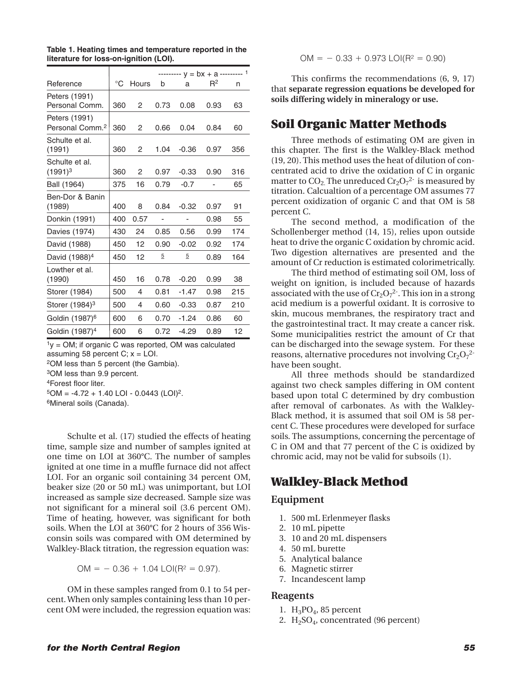| Reference                                    | $^{\circ}$ C | Hours | b    | a       | $R^2$ | n   |
|----------------------------------------------|--------------|-------|------|---------|-------|-----|
| Peters (1991)<br>Personal Comm.              | 360          | 2     | 0.73 | 0.08    | 0.93  | 63  |
| Peters (1991)<br>Personal Comm. <sup>2</sup> | 360          | 2     | 0.66 | 0.04    | 0.84  | 60  |
| Schulte et al.<br>(1991)                     | 360          | 2     | 1.04 | $-0.36$ | 0.97  | 356 |
| Schulte et al.<br>$(1991)^3$                 | 360          | 2     | 0.97 | $-0.33$ | 0.90  | 316 |
| Ball (1964)                                  | 375          | 16    | 0.79 | $-0.7$  |       | 65  |
| Ben-Dor & Banin<br>(1989)                    | 400          | 8     | 0.84 | $-0.32$ | 0.97  | 91  |
| Donkin (1991)                                | 400          | 0.57  | L,   |         | 0.98  | 55  |
| Davies (1974)                                | 430          | 24    | 0.85 | 0.56    | 0.99  | 174 |
| David (1988)                                 | 450          | 12    | 0.90 | $-0.02$ | 0.92  | 174 |
| David (1988) <sup>4</sup>                    | 450          | 12    | 5    | 5       | 0.89  | 164 |
| Lowther et al.<br>(1990)                     | 450          | 16    | 0.78 | $-0.20$ | 0.99  | 38  |
| Storer (1984)                                | 500          | 4     | 0.81 | $-1.47$ | 0.98  | 215 |
| Storer (1984) <sup>3</sup>                   | 500          | 4     | 0.60 | $-0.33$ | 0.87  | 210 |
| Goldin (1987) <sup>6</sup>                   | 600          | 6     | 0.70 | $-1.24$ | 0.86  | 60  |
| Goldin (1987) <sup>4</sup>                   | 600          | 6     | 0.72 | $-4.29$ | 0.89  | 12  |

**Table 1. Heating times and temperature reported in the literature for loss-on-ignition (LOI).**

 $1y = OM$ ; if organic C was reported, OM was calculated assuming 58 percent  $C$ ;  $x =$  LOI.

2OM less than 5 percent (the Gambia).

3OM less than 9.9 percent.

4Forest floor liter.

 $5OM = -4.72 + 1.40$  LOI - 0.0443 (LOI)<sup>2</sup>.

6Mineral soils (Canada).

Schulte et al. (17) studied the effects of heating time, sample size and number of samples ignited at one time on LOI at 360°C. The number of samples ignited at one time in a muffle furnace did not affect LOI. For an organic soil containing 34 percent OM, beaker size (20 or 50 mL) was unimportant, but LOI increased as sample size decreased. Sample size was not significant for a mineral soil (3.6 percent OM). Time of heating, however, was significant for both soils. When the LOI at 360°C for 2 hours of 356 Wisconsin soils was compared with OM determined by Walkley-Black titration, the regression equation was:

 $OM = -0.36 + 1.04$  LOI(R<sup>2</sup> = 0.97).

OM in these samples ranged from 0.1 to 54 percent. When only samples containing less than 10 percent OM were included, the regression equation was:

$$
OM = -0.33 + 0.973
$$
  $LOI(R2 = 0.90)$ 

This confirms the recommendations (6, 9, 17) that **separate regression equations be developed for soils differing widely in mineralogy or use.**

## **Soil Organic Matter Methods**

Three methods of estimating OM are given in this chapter. The first is the Walkley-Black method (19, 20). This method uses the heat of dilution of concentrated acid to drive the oxidation of C in organic matter to CO<sub>2.</sub> The unreduced Cr<sub>2</sub>O<sub>7</sub><sup>2-</sup> is measured by titration. Calcualtion of a percentage OM assumes 77 percent oxidization of organic C and that OM is 58 percent C.

The second method, a modification of the Schollenberger method (14, 15), relies upon outside heat to drive the organic C oxidation by chromic acid. Two digestion alternatives are presented and the amount of Cr reduction is estimated colorimetrically.

The third method of estimating soil OM, loss of weight on ignition, is included because of hazards associated with the use of  $\rm Cr_2O_7^2$ . This ion in a strong acid medium is a powerful oxidant. It is corrosive to skin, mucous membranes, the respiratory tract and the gastrointestinal tract. It may create a cancer risk. Some municipalities restrict the amount of Cr that can be discharged into the sewage system. For these reasons, alternative procedures not involving  $\rm Cr_2O_7$ <sup>2-</sup> have been sought.

All three methods should be standardized against two check samples differing in OM content based upon total C determined by dry combustion after removal of carbonates. As with the Walkley-Black method, it is assumed that soil OM is 58 percent C. These procedures were developed for surface soils. The assumptions, concerning the percentage of C in OM and that 77 percent of the C is oxidized by chromic acid, may not be valid for subsoils (1).

## **Walkley-Black Method**

### **Equipment**

- 1. 500 mL Erlenmeyer flasks
- 2. 10 mL pipette
- 3. 10 and 20 mL dispensers
- 4. 50 mL burette
- 5. Analytical balance
- 6. Magnetic stirrer
- 7. Incandescent lamp

### **Reagents**

- 1.  $H_3PO_4$ , 85 percent
- 2.  $H<sub>2</sub>SO<sub>4</sub>$ , concentrated (96 percent)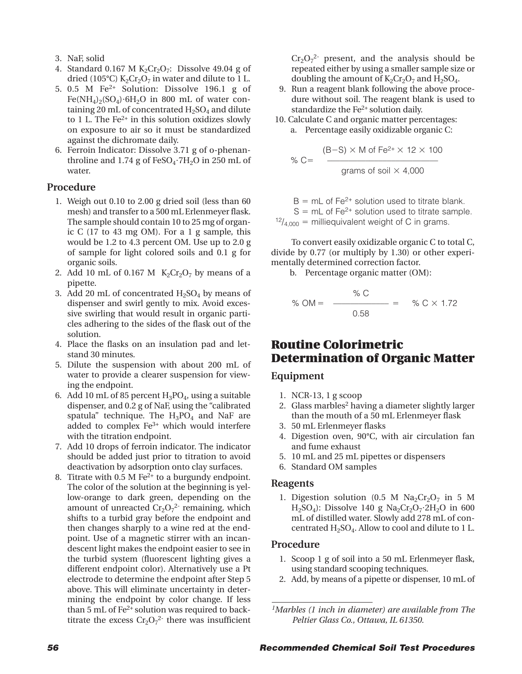- 3. NaF, solid
- 4. Standard 0.167 M  $K_2Cr_2O_7$ : Dissolve 49.04 g of dried (105°C)  $K_2Cr_2O_7$  in water and dilute to 1 L.
- 5. 0.5 M Fe2+ Solution: Dissolve 196.1 g of  $Fe(NH_4)_2(SO_4) \cdot 6H_2O$  in 800 mL of water containing 20 mL of concentrated  $H_2SO_4$  and dilute to 1 L. The  $Fe<sup>2+</sup>$  in this solution oxidizes slowly on exposure to air so it must be standardized against the dichromate daily.
- 6. Ferroin Indicator: Dissolve 3.71 g of o-phenanthroline and  $1.74$  g of  $FeSO<sub>4</sub>·7H<sub>2</sub>O$  in 250 mL of water.

### **Procedure**

- 1. Weigh out 0.10 to 2.00 g dried soil (less than 60 mesh) and transfer to a 500 mL Erlenmeyer flask. The sample should contain 10 to 25 mg of organic C (17 to 43 mg OM). For a 1 g sample, this would be 1.2 to 4.3 percent OM. Use up to 2.0 g of sample for light colored soils and 0.1 g for organic soils.
- 2. Add 10 mL of 0.167 M  $K_2Cr_2O_7$  by means of a pipette.
- 3. Add 20 mL of concentrated  $H_2SO_4$  by means of dispenser and swirl gently to mix. Avoid excessive swirling that would result in organic particles adhering to the sides of the flask out of the solution.
- 4. Place the flasks on an insulation pad and letstand 30 minutes.
- 5. Dilute the suspension with about 200 mL of water to provide a clearer suspension for viewing the endpoint.
- 6. Add 10 mL of 85 percent  $H_3PO_4$ , using a suitable dispenser, and 0.2 g of NaF, using the "calibrated spatula" technique. The  $H_3PO_4$  and NaF are added to complex Fe3+ which would interfere with the titration endpoint.
- 7. Add 10 drops of ferroin indicator. The indicator should be added just prior to titration to avoid deactivation by adsorption onto clay surfaces.
- 8. Titrate with  $0.5 M Fe<sup>2+</sup>$  to a burgundy endpoint. The color of the solution at the beginning is yellow-orange to dark green, depending on the amount of unreacted  $Cr_2O_7^2$  remaining, which shifts to a turbid gray before the endpoint and then changes sharply to a wine red at the endpoint. Use of a magnetic stirrer with an incandescent light makes the endpoint easier to see in the turbid system (fluorescent lighting gives a different endpoint color). Alternatively use a Pt electrode to determine the endpoint after Step 5 above. This will eliminate uncertainty in determining the endpoint by color change. If less than 5 mL of Fe<sup>2+</sup> solution was required to backtitrate the excess  $Cr_2O_7^2$  there was insufficient

 $Cr_2O_7^2$  present, and the analysis should be repeated either by using a smaller sample size or doubling the amount of  $K_2Cr_2O_7$  and  $H_2SO_4$ .

- 9. Run a reagent blank following the above procedure without soil. The reagent blank is used to standardize the Fe<sup>2+</sup> solution daily.
- 10. Calculate C and organic matter percentages: a. Percentage easily oxidizable organic C:

% C=  
\n
$$
{}^{(B-S) \times M \text{ of } Fe^{2+} \times 12 \times 100}
$$
\n
$$
grams of soil \times 4,000
$$

 $B = mL$  of Fe<sup>2+</sup> solution used to titrate blank.  $S = mL$  of Fe<sup>2+</sup> solution used to titrate sample.  $12/4,000 =$  milliequivalent weight of C in grams.

To convert easily oxidizable organic C to total C, divide by 0.77 (or multiply by 1.30) or other experimentally determined correction factor.

b. Percentage organic matter (OM):

% OM = 
$$
\frac{\% C}{0.58}
$$
 =  $\% C \times 1.72$ 

## **Routine Colorimetric Determination of Organic Matter**

### **Equipment**

- 1. NCR-13, 1 g scoop
- 2. Glass marbles<sup>2</sup> having a diameter slightly larger than the mouth of a 50 mL Erlenmeyer flask
- 3. 50 mL Erlenmeyer flasks
- 4. Digestion oven, 90°C, with air circulation fan and fume exhaust
- 5. 10 mL and 25 mL pipettes or dispensers
- 6. Standard OM samples

### **Reagents**

1. Digestion solution (0.5 M  $\text{Na}_2\text{Cr}_2\text{O}_7$  in 5 M H<sub>2</sub>SO<sub>4</sub>): Dissolve 140 g Na<sub>2</sub>Cr<sub>2</sub>O<sub>7</sub>·2H<sub>2</sub>O in 600 mL of distilled water. Slowly add 278 mL of concentrated  $H_2SO_4$ . Allow to cool and dilute to 1 L.

### **Procedure**

- 1. Scoop 1 g of soil into a 50 mL Erlenmeyer flask, using standard scooping techniques.
- 2. Add, by means of a pipette or dispenser, 10 mL of

*<sup>1</sup>Marbles (1 inch in diameter) are available from The Peltier Glass Co., Ottawa, IL 61350.*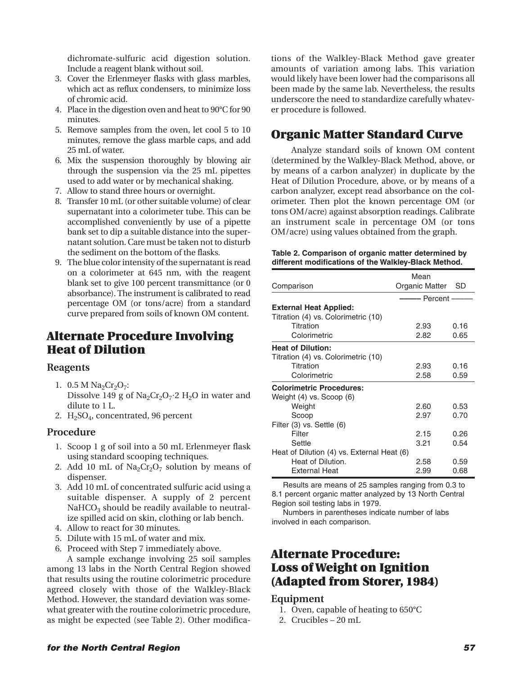dichromate-sulfuric acid digestion solution. Include a reagent blank without soil.

- 3. Cover the Erlenmeyer flasks with glass marbles, which act as reflux condensers, to minimize loss of chromic acid.
- 4. Place in the digestion oven and heat to 90°C for 90 minutes.
- 5. Remove samples from the oven, let cool 5 to 10 minutes, remove the glass marble caps, and add 25 mL of water.
- 6. Mix the suspension thoroughly by blowing air through the suspension via the 25 mL pipettes used to add water or by mechanical shaking.
- 7. Allow to stand three hours or overnight.
- 8. Transfer 10 mL (or other suitable volume) of clear supernatant into a colorimeter tube. This can be accomplished conveniently by use of a pipette bank set to dip a suitable distance into the supernatant solution. Care must be taken not to disturb the sediment on the bottom of the flasks.
- 9. The blue color intensity of the supernatant is read on a colorimeter at 645 nm, with the reagent blank set to give 100 percent transmittance (or 0 absorbance). The instrument is calibrated to read percentage OM (or tons/acre) from a standard curve prepared from soils of known OM content.

# **Alternate Procedure Involving Heat of Dilution**

### **Reagents**

- 1.  $0.5 M Na<sub>2</sub>Cr<sub>2</sub>O<sub>7</sub>$ : Dissolve 149 g of  $Na<sub>2</sub>Cr<sub>2</sub>O<sub>7</sub>$ <sup>2</sup> H<sub>2</sub>O in water and dilute to 1 L.
- 2.  $H<sub>2</sub>SO<sub>4</sub>$ , concentrated, 96 percent

### **Procedure**

- 1. Scoop 1 g of soil into a 50 mL Erlenmeyer flask using standard scooping techniques.
- 2. Add 10 mL of  $Na<sub>2</sub>Cr<sub>2</sub>O<sub>7</sub>$  solution by means of dispenser.
- 3. Add 10 mL of concentrated sulfuric acid using a suitable dispenser. A supply of 2 percent  $NAHCO<sub>3</sub>$  should be readily available to neutralize spilled acid on skin, clothing or lab bench.
- 4. Allow to react for 30 minutes.
- 5. Dilute with 15 mL of water and mix.
- 6. Proceed with Step 7 immediately above.

A sample exchange involving 25 soil samples among 13 labs in the North Central Region showed that results using the routine colorimetric procedure agreed closely with those of the Walkley-Black Method. However, the standard deviation was somewhat greater with the routine colorimetric procedure, as might be expected (see Table 2). Other modifications of the Walkley-Black Method gave greater amounts of variation among labs. This variation would likely have been lower had the comparisons all been made by the same lab. Nevertheless, the results underscore the need to standardize carefully whatever procedure is followed.

# **Organic Matter Standard Curve**

Analyze standard soils of known OM content (determined by the Walkley-Black Method, above, or by means of a carbon analyzer) in duplicate by the Heat of Dilution Procedure, above, or by means of a carbon analyzer, except read absorbance on the colorimeter. Then plot the known percentage OM (or tons OM/acre) against absorption readings. Calibrate an instrument scale in percentage OM (or tons OM/acre) using values obtained from the graph.

### **Table 2. Comparison of organic matter determined by different modifications of the Walkley-Black Method.**

|                                            | Mean              |      |
|--------------------------------------------|-------------------|------|
| Comparison                                 | Organic Matter SD |      |
|                                            | —— Percent -      |      |
| <b>External Heat Applied:</b>              |                   |      |
| Titration (4) vs. Colorimetric (10)        |                   |      |
| Titration                                  | 2.93              | 0.16 |
| Colorimetric                               | 2.82              | 0.65 |
| <b>Heat of Dilution:</b>                   |                   |      |
| Titration (4) vs. Colorimetric (10)        |                   |      |
| Titration                                  | 2.93              | 0.16 |
| Colorimetric                               | 2.58              | 0.59 |
| <b>Colorimetric Procedures:</b>            |                   |      |
| Weight (4) vs. Scoop (6)                   |                   |      |
| Weight                                     | 2.60              | 0.53 |
| Scoop                                      | 2.97              | 0.70 |
| Filter $(3)$ vs. Settle $(6)$              |                   |      |
| Filter                                     | 2.15              | 0.26 |
| Settle                                     | 3.21              | 0.54 |
| Heat of Dilution (4) vs. External Heat (6) |                   |      |
| Heat of Dilution.                          | 2.58              | 0.59 |
| External Heat                              | 2.99              | 0.68 |

Results are means of 25 samples ranging from 0.3 to 8.1 percent organic matter analyzed by 13 North Central Region soil testing labs in 1979.

Numbers in parentheses indicate number of labs involved in each comparison.

# **Alternate Procedure: Loss of Weight on Ignition (Adapted from Storer, 1984)**

### **Equipment**

- 1. Oven, capable of heating to 650°C
- 2. Crucibles 20 mL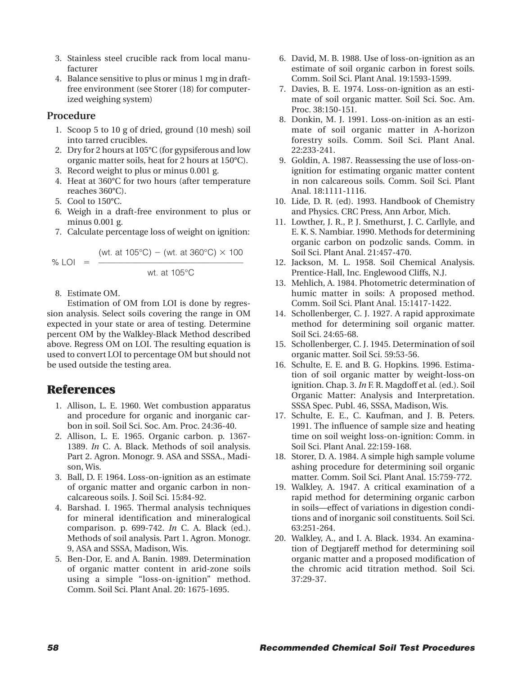- 3. Stainless steel crucible rack from local manufacturer
- 4. Balance sensitive to plus or minus 1 mg in draftfree environment (see Storer (18) for computerized weighing system)

### **Procedure**

- 1. Scoop 5 to 10 g of dried, ground (10 mesh) soil into tarred crucibles.
- 2. Dry for 2 hours at 105°C (for gypsiferous and low organic matter soils, heat for 2 hours at 150°C).
- 3. Record weight to plus or minus 0.001 g.
- 4. Heat at 360°C for two hours (after temperature reaches 360°C).
- 5. Cool to 150°C.
- 6. Weigh in a draft-free environment to plus or minus 0.001 g.
- 7. Calculate percentage loss of weight on ignition:

% LOI = 
$$
\frac{\text{(wt. at 105°C)} - \text{(wt. at 360°C)} \times 100}{\text{wt. at 105°C}}
$$

8. Estimate OM.

Estimation of OM from LOI is done by regression analysis. Select soils covering the range in OM expected in your state or area of testing. Determine percent OM by the Walkley-Black Method described above. Regress OM on LOI. The resulting equation is used to convert LOI to percentage OM but should not be used outside the testing area.

# **References**

- 1. Allison, L. E. 1960. Wet combustion apparatus and procedure for organic and inorganic carbon in soil. Soil Sci. Soc. Am. Proc. 24:36-40.
- 2. Allison, L. E. 1965. Organic carbon. p. 1367- 1389. *In* C. A. Black. Methods of soil analysis. Part 2. Agron. Monogr. 9. ASA and SSSA., Madison, Wis.
- 3. Ball, D. F. 1964. Loss-on-ignition as an estimate of organic matter and organic carbon in noncalcareous soils. J. Soil Sci. 15:84-92.
- 4. Barshad. I. 1965. Thermal analysis techniques for mineral identification and mineralogical comparison. p. 699-742. *In* C. A. Black (ed.). Methods of soil analysis. Part 1. Agron. Monogr. 9, ASA and SSSA, Madison, Wis.
- 5. Ben-Dor, E. and A. Banin. 1989. Determination of organic matter content in arid-zone soils using a simple "loss-on-ignition" method. Comm. Soil Sci. Plant Anal. 20: 1675-1695.
- 6. David, M. B. 1988. Use of loss-on-ignition as an estimate of soil organic carbon in forest soils. Comm. Soil Sci. Plant Anal. 19:1593-1599.
- 7. Davies, B. E. 1974. Loss-on-ignition as an estimate of soil organic matter. Soil Sci. Soc. Am. Proc. 38:150-151.
- 8. Donkin, M. J. 1991. Loss-on-inition as an estimate of soil organic matter in A-horizon forestry soils. Comm. Soil Sci. Plant Anal. 22:233-241.
- 9. Goldin, A. 1987. Reassessing the use of loss-onignition for estimating organic matter content in non calcareous soils. Comm. Soil Sci. Plant Anal. 18:1111-1116.
- 10. Lide, D. R. (ed). 1993. Handbook of Chemistry and Physics. CRC Press, Ann Arbor, Mich.
- 11. Lowther, J. R., P. J. Smethurst, J. C. Carllyle, and E. K. S. Nambiar. 1990. Methods for determining organic carbon on podzolic sands. Comm. in Soil Sci. Plant Anal. 21:457-470.
- 12. Jackson, M. L. 1958. Soil Chemical Analysis. Prentice-Hall, Inc. Englewood Cliffs, N.J.
- 13. Mehlich, A. 1984. Photometric determination of humic matter in soils: A proposed method. Comm. Soil Sci. Plant Anal. 15:1417-1422.
- 14. Schollenberger, C. J. 1927. A rapid approximate method for determining soil organic matter. Soil Sci. 24:65-68.
- 15. Schollenberger, C. J. 1945. Determination of soil organic matter. Soil Sci. 59:53-56.
- 16. Schulte, E. E. and B. G. Hopkins. 1996. Estimation of soil organic matter by weight-loss-on ignition. Chap. 3. *In* F. R. Magdoff et al. (ed.). Soil Organic Matter: Analysis and Interpretation. SSSA Spec. Publ. 46, SSSA, Madison, Wis.
- 17. Schulte, E. E., C. Kaufman, and J. B. Peters. 1991. The influence of sample size and heating time on soil weight loss-on-ignition: Comm. in Soil Sci. Plant Anal. 22:159-168.
- 18. Storer, D. A. 1984. A simple high sample volume ashing procedure for determining soil organic matter. Comm. Soil Sci. Plant Anal. 15:759-772.
- 19. Walkley, A. 1947. A critical examination of a rapid method for determining organic carbon in soils—effect of variations in digestion conditions and of inorganic soil constituents. Soil Sci. 63:251-264.
- 20. Walkley, A., and I. A. Black. 1934. An examination of Degtjareff method for determining soil organic matter and a proposed modification of the chromic acid titration method. Soil Sci. 37:29-37.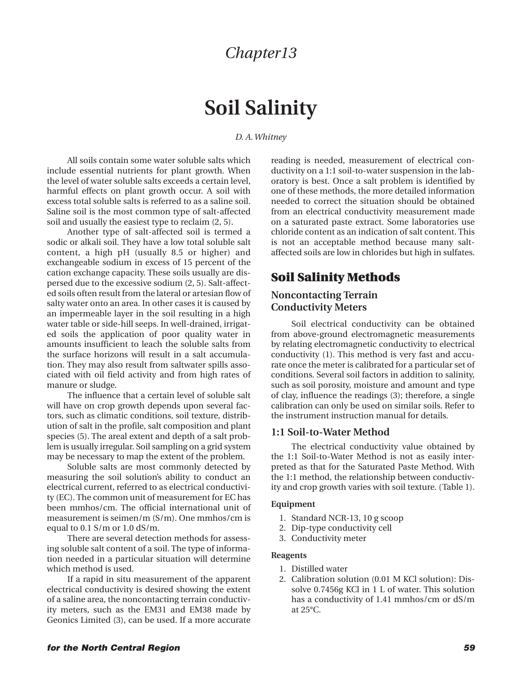# **Soil Salinity**

#### *D. A. Whitney*

All soils contain some water soluble salts which include essential nutrients for plant growth. When the level of water soluble salts exceeds a certain level, harmful effects on plant growth occur. A soil with excess total soluble salts is referred to as a saline soil. Saline soil is the most common type of salt-affected soil and usually the easiest type to reclaim (2, 5).

Another type of salt-affected soil is termed a sodic or alkali soil. They have a low total soluble salt content, a high pH (usually 8.5 or higher) and exchangeable sodium in excess of 15 percent of the cation exchange capacity. These soils usually are dispersed due to the excessive sodium (2, 5). Salt-affected soils often result from the lateral or artesian flow of salty water onto an area. In other cases it is caused by an impermeable layer in the soil resulting in a high water table or side-hill seeps. In well-drained, irrigated soils the application of poor quality water in amounts insufficient to leach the soluble salts from the surface horizons will result in a salt accumulation. They may also result from saltwater spills associated with oil field activity and from high rates of manure or sludge.

The influence that a certain level of soluble salt will have on crop growth depends upon several factors, such as climatic conditions, soil texture, distribution of salt in the profile, salt composition and plant species (5). The areal extent and depth of a salt problem is usually irregular. Soil sampling on a grid system may be necessary to map the extent of the problem.

Soluble salts are most commonly detected by measuring the soil solution's ability to conduct an electrical current, referred to as electrical conductivity (EC). The common unit of measurement for EC has been mmhos/cm. The official international unit of measurement is seimen/m (S/m). One mmhos/cm is equal to 0.1 S/m or 1.0 dS/m.

There are several detection methods for assessing soluble salt content of a soil. The type of information needed in a particular situation will determine which method is used.

If a rapid in situ measurement of the apparent electrical conductivity is desired showing the extent of a saline area, the noncontacting terrain conductivity meters, such as the EM31 and EM38 made by Geonics Limited (3), can be used. If a more accurate

reading is needed, measurement of electrical conductivity on a 1:1 soil-to-water suspension in the laboratory is best. Once a salt problem is identified by one of these methods, the more detailed information needed to correct the situation should be obtained from an electrical conductivity measurement made on a saturated paste extract. Some laboratories use chloride content as an indication of salt content. This is not an acceptable method because many saltaffected soils are low in chlorides but high in sulfates.

## **Soil Salinity Methods**

### **Noncontacting Terrain Conductivity Meters**

Soil electrical conductivity can be obtained from above-ground electromagnetic measurements by relating electromagnetic conductivity to electrical conductivity (1). This method is very fast and accurate once the meter is calibrated for a particular set of conditions. Several soil factors in addition to salinity, such as soil porosity, moisture and amount and type of clay, influence the readings (3); therefore, a single calibration can only be used on similar soils. Refer to the instrument instruction manual for details.

### **1:1 Soil-to-Water Method**

The electrical conductivity value obtained by the 1:1 Soil-to-Water Method is not as easily interpreted as that for the Saturated Paste Method. With the 1:1 method, the relationship between conductivity and crop growth varies with soil texture. (Table 1).

#### **Equipment**

- 1. Standard NCR-13, 10 g scoop
- 2. Dip-type conductivity cell
- 3. Conductivity meter

### **Reagents**

- 1. Distilled water
- 2. Calibration solution (0.01 M KCl solution): Dissolve 0.7456g KCl in 1 L of water. This solution has a conductivity of 1.41 mmhos/cm or dS/m at 25°C.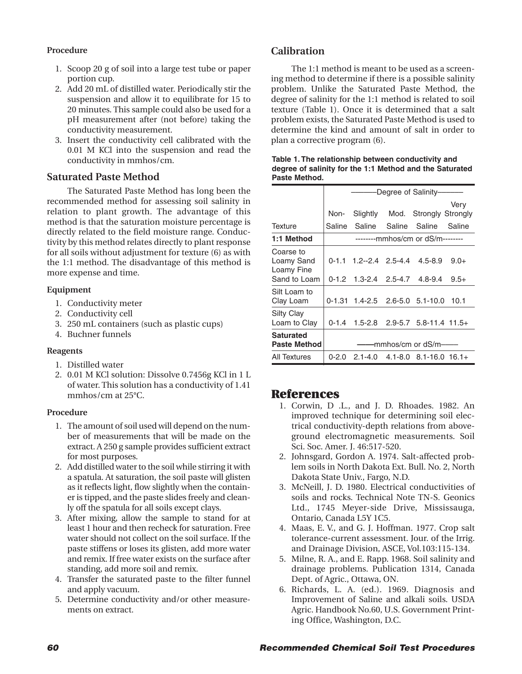### **Procedure**

- 1. Scoop 20 g of soil into a large test tube or paper portion cup.
- 2. Add 20 mL of distilled water. Periodically stir the suspension and allow it to equilibrate for 15 to 20 minutes. This sample could also be used for a pH measurement after (not before) taking the conductivity measurement.
- 3. Insert the conductivity cell calibrated with the 0.01 M KCl into the suspension and read the conductivity in mmhos/cm.

### **Saturated Paste Method**

The Saturated Paste Method has long been the recommended method for assessing soil salinity in relation to plant growth. The advantage of this method is that the saturation moisture percentage is directly related to the field moisture range. Conductivity by this method relates directly to plant response for all soils without adjustment for texture (6) as with the 1:1 method. The disadvantage of this method is more expense and time.

### **Equipment**

- 1. Conductivity meter
- 2. Conductivity cell
- 3. 250 mL containers (such as plastic cups)
- 4. Buchner funnels

### **Reagents**

- 1. Distilled water
- 2. 0.01 M KCl solution: Dissolve 0.7456g KCl in 1 L of water. This solution has a conductivity of 1.41 mmhos/cm at 25°C.

### **Procedure**

- 1. The amount of soil used will depend on the number of measurements that will be made on the extract. A 250 g sample provides sufficient extract for most purposes.
- 2. Add distilled water to the soil while stirring it with a spatula. At saturation, the soil paste will glisten as it reflects light, flow slightly when the container is tipped, and the paste slides freely and cleanly off the spatula for all soils except clays.
- 3. After mixing, allow the sample to stand for at least 1 hour and then recheck for saturation. Free water should not collect on the soil surface. If the paste stiffens or loses its glisten, add more water and remix. If free water exists on the surface after standing, add more soil and remix.
- 4. Transfer the saturated paste to the filter funnel and apply vacuum.
- 5. Determine conductivity and/or other measurements on extract.

## **Calibration**

The 1:1 method is meant to be used as a screening method to determine if there is a possible salinity problem. Unlike the Saturated Paste Method, the degree of salinity for the 1:1 method is related to soil texture (Table 1). Once it is determined that a salt problem exists, the Saturated Paste Method is used to determine the kind and amount of salt in order to plan a corrective program (6).

| Pasie Melliou.                          |        |                          |  |                                         |        |  |  |  |
|-----------------------------------------|--------|--------------------------|--|-----------------------------------------|--------|--|--|--|
|                                         |        | Degree of Salinity-      |  |                                         |        |  |  |  |
|                                         |        |                          |  |                                         | Very   |  |  |  |
|                                         | Non-   |                          |  | Slightly Mod. Strongly Strongly         |        |  |  |  |
| <b>Texture</b>                          | Saline | Saline                   |  | Saline Saline                           | Saline |  |  |  |
| 1:1 Method                              |        |                          |  | --------mmhos/cm or dS/m--------        |        |  |  |  |
| Coarse to<br>Loamy Sand<br>Loamy Fine   |        | $0-1.1$ 1.2--2.4 2.5-4.4 |  | $4.5 - 8.9$                             | $9.0+$ |  |  |  |
| Sand to Loam                            |        | 0-1.2 1.3-2.4 2.5-4.7    |  | 4.8-9.4                                 | $9.5+$ |  |  |  |
| Silt Loam to<br>Clay Loam               |        |                          |  | 0-1.31 1.4-2.5 2.6-5.0 5.1-10.0         | 10.1   |  |  |  |
| Silty Clay<br>Loam to Clay              | 0-1.4  | 1.5-2.8                  |  | $2.9 - 5.7$ 5.8-11.4 11.5+              |        |  |  |  |
| <b>Saturated</b><br><b>Paste Method</b> |        | -mmhos/cm or dS/m-       |  |                                         |        |  |  |  |
| All Textures                            | 0-2.0  |                          |  | $2.1 - 4.0$ 4.1 - 8.0 8.1 - 16.0 16.1 + |        |  |  |  |

### **Table 1. The relationship between conductivity and degree of salinity for the 1:1 Method and the Saturated Paste Method.**

## **References**

- 1. Corwin, D .L., and J. D. Rhoades. 1982. An improved technique for determining soil electrical conductivity-depth relations from aboveground electromagnetic measurements. Soil Sci. Soc. Amer. J. 46:517-520.
- 2. Johnsgard, Gordon A. 1974. Salt-affected problem soils in North Dakota Ext. Bull. No. 2, North Dakota State Univ., Fargo, N.D.
- 3. McNeill, J. D. 1980. Electrical conductivities of soils and rocks. Technical Note TN-S. Geonics Ltd., 1745 Meyer-side Drive, Mississauga, Ontario, Canada L5Y 1C5.
- 4. Maas, E. V., and G. J. Hoffman. 1977. Crop salt tolerance-current assessment. Jour. of the Irrig. and Drainage Division, ASCE, Vol.103:115-134.
- 5. Milne, R. A., and E. Rapp. 1968. Soil salinity and drainage problems. Publication 1314, Canada Dept. of Agric., Ottawa, ON.
- 6. Richards, L. A. (ed.). 1969. Diagnosis and Improvement of Saline and alkali soils. USDA Agric. Handbook No.60, U.S. Government Printing Office, Washington, D.C.

### **60 Recommended Chemical Soil Test Procedures**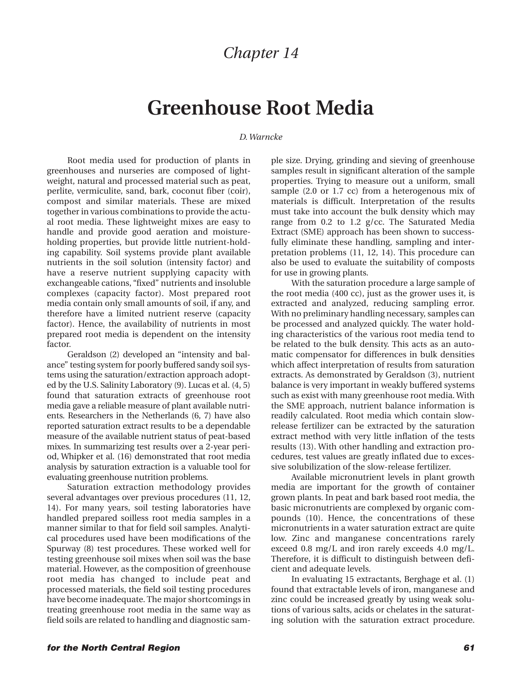# **Greenhouse Root Media**

#### *D. Warncke*

Root media used for production of plants in greenhouses and nurseries are composed of lightweight, natural and processed material such as peat, perlite, vermiculite, sand, bark, coconut fiber (coir), compost and similar materials. These are mixed together in various combinations to provide the actual root media. These lightweight mixes are easy to handle and provide good aeration and moistureholding properties, but provide little nutrient-holding capability. Soil systems provide plant available nutrients in the soil solution (intensity factor) and have a reserve nutrient supplying capacity with exchangeable cations, "fixed" nutrients and insoluble complexes (capacity factor). Most prepared root media contain only small amounts of soil, if any, and therefore have a limited nutrient reserve (capacity factor). Hence, the availability of nutrients in most prepared root media is dependent on the intensity factor.

Geraldson (2) developed an "intensity and balance" testing system for poorly buffered sandy soil systems using the saturation/extraction approach adopted by the U.S. Salinity Laboratory (9). Lucas et al. (4, 5) found that saturation extracts of greenhouse root media gave a reliable measure of plant available nutrients. Researchers in the Netherlands (6, 7) have also reported saturation extract results to be a dependable measure of the available nutrient status of peat-based mixes. In summarizing test results over a 2-year period, Whipker et al. (16) demonstrated that root media analysis by saturation extraction is a valuable tool for evaluating greenhouse nutrition problems.

Saturation extraction methodology provides several advantages over previous procedures (11, 12, 14). For many years, soil testing laboratories have handled prepared soilless root media samples in a manner similar to that for field soil samples. Analytical procedures used have been modifications of the Spurway (8) test procedures. These worked well for testing greenhouse soil mixes when soil was the base material. However, as the composition of greenhouse root media has changed to include peat and processed materials, the field soil testing procedures have become inadequate. The major shortcomings in treating greenhouse root media in the same way as field soils are related to handling and diagnostic sample size. Drying, grinding and sieving of greenhouse samples result in significant alteration of the sample properties. Trying to measure out a uniform, small sample (2.0 or 1.7 cc) from a heterogenous mix of materials is difficult. Interpretation of the results must take into account the bulk density which may range from 0.2 to 1.2 g/cc. The Saturated Media Extract (SME) approach has been shown to successfully eliminate these handling, sampling and interpretation problems (11, 12, 14). This procedure can also be used to evaluate the suitability of composts for use in growing plants.

With the saturation procedure a large sample of the root media (400 cc), just as the grower uses it, is extracted and analyzed, reducing sampling error. With no preliminary handling necessary, samples can be processed and analyzed quickly. The water holding characteristics of the various root media tend to be related to the bulk density. This acts as an automatic compensator for differences in bulk densities which affect interpretation of results from saturation extracts. As demonstrated by Geraldson (3), nutrient balance is very important in weakly buffered systems such as exist with many greenhouse root media. With the SME approach, nutrient balance information is readily calculated. Root media which contain slowrelease fertilizer can be extracted by the saturation extract method with very little inflation of the tests results (13). With other handling and extraction procedures, test values are greatly inflated due to excessive solubilization of the slow-release fertilizer.

Available micronutrient levels in plant growth media are important for the growth of container grown plants. In peat and bark based root media, the basic micronutrients are complexed by organic compounds (10). Hence, the concentrations of these micronutrients in a water saturation extract are quite low. Zinc and manganese concentrations rarely exceed 0.8 mg/L and iron rarely exceeds 4.0 mg/L. Therefore, it is difficult to distinguish between deficient and adequate levels.

In evaluating 15 extractants, Berghage et al. (1) found that extractable levels of iron, manganese and zinc could be increased greatly by using weak solutions of various salts, acids or chelates in the saturating solution with the saturation extract procedure.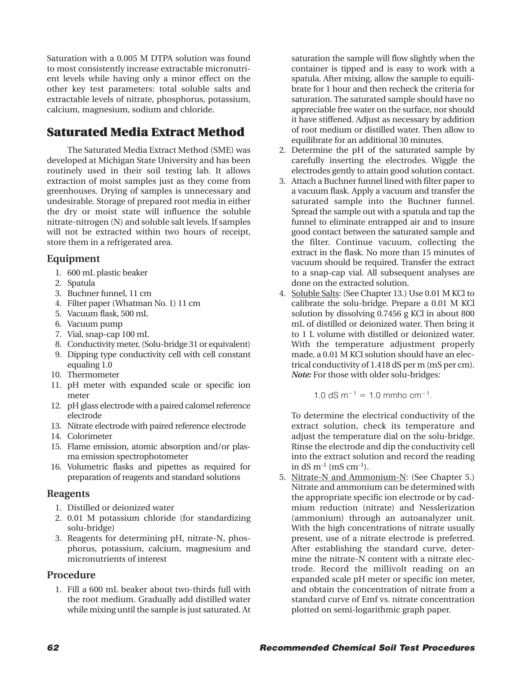Saturation with a 0.005 M DTPA solution was found to most consistently increase extractable micronutrient levels while having only a minor effect on the other key test parameters: total soluble salts and extractable levels of nitrate, phosphorus, potassium, calcium, magnesium, sodium and chloride.

# **Saturated Media Extract Method**

The Saturated Media Extract Method (SME) was developed at Michigan State University and has been routinely used in their soil testing lab. It allows extraction of moist samples just as they come from greenhouses. Drying of samples is unnecessary and undesirable. Storage of prepared root media in either the dry or moist state will influence the soluble nitrate-nitrogen (N) and soluble salt levels. If samples will not be extracted within two hours of receipt, store them in a refrigerated area.

## **Equipment**

- 1. 600 mL plastic beaker
- 2. Spatula
- 3. Buchner funnel, 11 cm
- 4. Filter paper (Whatman No. 1) 11 cm
- 5. Vacuum flask, 500 mL
- 6. Vacuum pump
- 7. Vial, snap-cap 100 mL
- 8. Conductivity meter, (Solu-bridge 31 or equivalent)
- 9. Dipping type conductivity cell with cell constant equaling 1.0
- 10. Thermometer
- 11. pH meter with expanded scale or specific ion meter
- 12. pH glass electrode with a paired calomel reference electrode
- 13. Nitrate electrode with paired reference electrode
- 14. Colorimeter
- 15. Flame emission, atomic absorption and/or plasma emission spectrophotometer
- 16. Volumetric flasks and pipettes as required for preparation of reagents and standard solutions

### **Reagents**

- 1. Distilled or deionized water
- 2. 0.01 M potassium chloride (for standardizing solu-bridge)
- 3. Reagents for determining pH, nitrate-N, phosphorus, potassium, calcium, magnesium and micronutrients of interest

### **Procedure**

1. Fill a 600 mL beaker about two-thirds full with the root medium. Gradually add distilled water while mixing until the sample is just saturated. At

saturation the sample will flow slightly when the container is tipped and is easy to work with a spatula. After mixing, allow the sample to equilibrate for 1 hour and then recheck the criteria for saturation. The saturated sample should have no appreciable free water on the surface, nor should it have stiffened. Adjust as necessary by addition of root medium or distilled water. Then allow to equilibrate for an additional 30 minutes.

- 2. Determine the pH of the saturated sample by carefully inserting the electrodes. Wiggle the electrodes gently to attain good solution contact.
- 3. Attach a Buchner funnel lined with filter paper to a vacuum flask. Apply a vacuum and transfer the saturated sample into the Buchner funnel. Spread the sample out with a spatula and tap the funnel to eliminate entrapped air and to insure good contact between the saturated sample and the filter. Continue vacuum, collecting the extract in the flask. No more than 15 minutes of vacuum should be required. Transfer the extract to a snap-cap vial. All subsequent analyses are done on the extracted solution.
- 4. Soluble Salts: (See Chapter 13.) Use 0.01 M KCl to calibrate the solu-bridge. Prepare a 0.01 M KCl solution by dissolving 0.7456 g KCl in about 800 mL of distilled or deionized water. Then bring it to 1 L volume with distilled or deionized water. With the temperature adjustment properly made, a 0.01 M KCl solution should have an electrical conductivity of 1.418 dS per m (mS per cm). *Note:* For those with older solu-bridges:

$$
1.0 \text{ dS m}^{-1} = 1.0 \text{ mmho cm}^{-1}
$$
.

To determine the electrical conductivity of the extract solution, check its temperature and adjust the temperature dial on the solu-bridge. Rinse the electrode and dip the conductivity cell into the extract solution and record the reading in  $dS \, m^{-1}$  (mS cm<sup>-1</sup>).

5. Nitrate-N and Ammonium-N: (See Chapter 5.) Nitrate and ammonium can be determined with the appropriate specific ion electrode or by cadmium reduction (nitrate) and Nesslerization (ammonium) through an autoanalyzer unit. With the high concentrations of nitrate usually present, use of a nitrate electrode is preferred. After establishing the standard curve, determine the nitrate-N content with a nitrate electrode. Record the millivolt reading on an expanded scale pH meter or specific ion meter, and obtain the concentration of nitrate from a standard curve of Emf vs. nitrate concentration plotted on semi-logarithmic graph paper.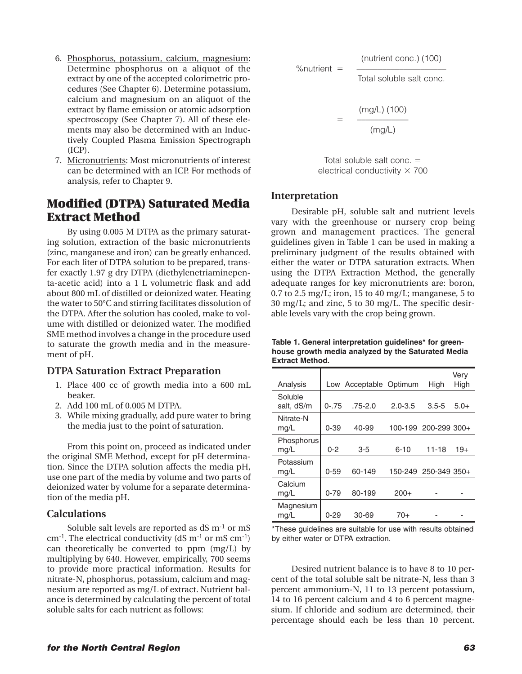- 6. Phosphorus, potassium, calcium, magnesium: Determine phosphorus on a aliquot of the extract by one of the accepted colorimetric procedures (See Chapter 6). Determine potassium, calcium and magnesium on an aliquot of the extract by flame emission or atomic adsorption spectroscopy (See Chapter 7). All of these elements may also be determined with an Inductively Coupled Plasma Emission Spectrograph (ICP).
- 7. Micronutrients: Most micronutrients of interest can be determined with an ICP. For methods of analysis, refer to Chapter 9.

# **Modified (DTPA) Saturated Media Extract Method**

By using 0.005 M DTPA as the primary saturating solution, extraction of the basic micronutrients (zinc, manganese and iron) can be greatly enhanced. For each liter of DTPA solution to be prepared, transfer exactly 1.97 g dry DTPA (diethylenetriaminepenta-acetic acid) into a 1 L volumetric flask and add about 800 mL of distilled or deionized water. Heating the water to 50°C and stirring facilitates dissolution of the DTPA. After the solution has cooled, make to volume with distilled or deionized water. The modified SME method involves a change in the procedure used to saturate the growth media and in the measurement of pH.

### **DTPA Saturation Extract Preparation**

- 1. Place 400 cc of growth media into a 600 mL beaker.
- 2. Add 100 mL of 0.005 M DTPA.
- 3. While mixing gradually, add pure water to bring the media just to the point of saturation.

From this point on, proceed as indicated under the original SME Method, except for pH determination. Since the DTPA solution affects the media pH, use one part of the media by volume and two parts of deionized water by volume for a separate determination of the media pH.

### **Calculations**

Soluble salt levels are reported as dS m<sup>-1</sup> or mS  $cm^{-1}$ . The electrical conductivity (dS m<sup>-1</sup> or mS  $cm^{-1}$ ) can theoretically be converted to ppm (mg/L) by multiplying by 640. However, empirically, 700 seems to provide more practical information. Results for nitrate-N, phosphorus, potassium, calcium and magnesium are reported as mg/L of extract. Nutrient balance is determined by calculating the percent of total soluble salts for each nutrient as follows:

%nutrient = 
$$
\frac{\text{(nutrient conc.) (100)}}{\text{Total soluble salt conc.}}
$$

\n
$$
= \frac{\text{(mg/L) (100)}}{\text{(mg/L)}}
$$

Total soluble salt conc. **5** electrical conductivity  $\times$  700

### **Interpretation**

Desirable pH, soluble salt and nutrient levels vary with the greenhouse or nursery crop being grown and management practices. The general guidelines given in Table 1 can be used in making a preliminary judgment of the results obtained with either the water or DTPA saturation extracts. When using the DTPA Extraction Method, the generally adequate ranges for key micronutrients are: boron, 0.7 to 2.5 mg/L; iron, 15 to 40 mg/L; manganese, 5 to 30 mg/L; and zinc, 5 to 30 mg/L. The specific desirable levels vary with the crop being grown.

**Table 1. General interpretation guidelines\* for greenhouse growth media analyzed by the Saturated Media Extract Method.**

| Analysis              |          | Low Acceptable Optimum |             | High                 | Verv<br>High |
|-----------------------|----------|------------------------|-------------|----------------------|--------------|
| Soluble<br>salt, dS/m | $0 - 75$ | $.75 - 2.0$            | $2.0 - 3.5$ | $3.5 - 5$            | $5.0+$       |
| Nitrate-N<br>mg/L     | $0 - 39$ | 40-99                  |             | 100-199 200-299 300+ |              |
| Phosphorus<br>mg/L    | $0 - 2$  | $3 - 5$                | $6 - 10$    | $11 - 18$            | $19+$        |
| Potassium<br>mg/L     | $0 - 59$ | 60-149                 |             | 150-249 250-349 350+ |              |
| Calcium<br>mg/L       | $0 - 79$ | 80-199                 | $200+$      |                      |              |
| Magnesium<br>mg/L     | $0 - 29$ | 30-69                  | 70+         |                      |              |

\*These guidelines are suitable for use with results obtained by either water or DTPA extraction.

Desired nutrient balance is to have 8 to 10 percent of the total soluble salt be nitrate-N, less than 3 percent ammonium-N, 11 to 13 percent potassium, 14 to 16 percent calcium and 4 to 6 percent magnesium. If chloride and sodium are determined, their percentage should each be less than 10 percent.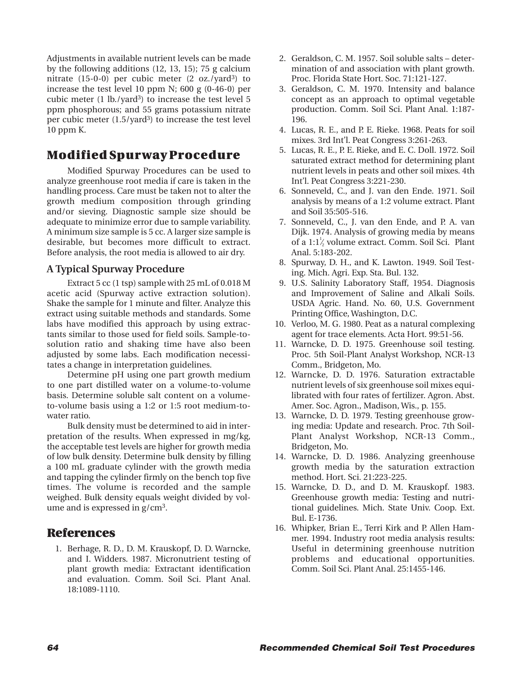Adjustments in available nutrient levels can be made by the following additions (12, 13, 15); 75 g calcium nitrate  $(15-0-0)$  per cubic meter  $(2 \text{ oz.}/\text{yard}^3)$  to increase the test level 10 ppm N; 600 g (0-46-0) per cubic meter  $(1 \text{ lb.}/\text{yard}^3)$  to increase the test level 5 ppm phosphorous; and 55 grams potassium nitrate per cubic meter  $(1.5/\text{yard}^3)$  to increase the test level 10 ppm K.

# **Modified Spurway Procedure**

Modified Spurway Procedures can be used to analyze greenhouse root media if care is taken in the handling process. Care must be taken not to alter the growth medium composition through grinding and/or sieving. Diagnostic sample size should be adequate to minimize error due to sample variability. A minimum size sample is 5 cc. A larger size sample is desirable, but becomes more difficult to extract. Before analysis, the root media is allowed to air dry.

## **A Typical Spurway Procedure**

Extract 5 cc (1 tsp) sample with 25 mL of 0.018 M acetic acid (Spurway active extraction solution). Shake the sample for 1 minute and filter. Analyze this extract using suitable methods and standards. Some labs have modified this approach by using extractants similar to those used for field soils. Sample-tosolution ratio and shaking time have also been adjusted by some labs. Each modification necessitates a change in interpretation guidelines.

Determine pH using one part growth medium to one part distilled water on a volume-to-volume basis. Determine soluble salt content on a volumeto-volume basis using a 1:2 or 1:5 root medium-towater ratio.

Bulk density must be determined to aid in interpretation of the results. When expressed in mg/kg, the acceptable test levels are higher for growth media of low bulk density. Determine bulk density by filling a 100 mL graduate cylinder with the growth media and tapping the cylinder firmly on the bench top five times. The volume is recorded and the sample weighed. Bulk density equals weight divided by volume and is expressed in  $g/cm<sup>3</sup>$ .

## **References**

1. Berhage, R. D., D. M. Krauskopf, D. D. Warncke, and I. Widders. 1987. Micronutrient testing of plant growth media: Extractant identification and evaluation. Comm. Soil Sci. Plant Anal. 18:1089-1110.

- 2. Geraldson, C. M. 1957. Soil soluble salts determination of and association with plant growth. Proc. Florida State Hort. Soc. 71:121-127.
- 3. Geraldson, C. M. 1970. Intensity and balance concept as an approach to optimal vegetable production. Comm. Soil Sci. Plant Anal. 1:187- 196.
- 4. Lucas, R. E., and P. E. Rieke. 1968. Peats for soil mixes. 3rd Int'l. Peat Congress 3:261-263.
- 5. Lucas, R. E., P. E. Rieke, and E. C. Doll. 1972. Soil saturated extract method for determining plant nutrient levels in peats and other soil mixes. 4th Int'l. Peat Congress 3:221-230.
- 6. Sonneveld, C., and J. van den Ende. 1971. Soil analysis by means of a 1:2 volume extract. Plant and Soil 35:505-516.
- 7. Sonneveld, C., J. van den Ende, and P. A. van Dijk. 1974. Analysis of growing media by means of a 1:1<sup>1</sup>/<sub>2</sub> volume extract. Comm. Soil Sci. Plant ⁄ Anal. 5:183-202.
- 8. Spurway, D. H., and K. Lawton. 1949. Soil Testing. Mich. Agri. Exp. Sta. Bul. 132.
- 9. U.S. Salinity Laboratory Staff, 1954. Diagnosis and Improvement of Saline and Alkali Soils. USDA Agric. Hand. No. 60, U.S. Government Printing Office, Washington, D.C.
- 10. Verloo, M. G. 1980. Peat as a natural complexing agent for trace elements. Acta Hort. 99:51-56.
- 11. Warncke, D. D. 1975. Greenhouse soil testing. Proc. 5th Soil-Plant Analyst Workshop, NCR-13 Comm., Bridgeton, Mo.
- 12. Warncke, D. D. 1976. Saturation extractable nutrient levels of six greenhouse soil mixes equilibrated with four rates of fertilizer. Agron. Abst. Amer. Soc. Agron., Madison, Wis., p. 155.
- 13. Warncke, D. D. 1979. Testing greenhouse growing media: Update and research. Proc. 7th Soil-Plant Analyst Workshop, NCR-13 Comm., Bridgeton, Mo.
- 14. Warncke, D. D. 1986. Analyzing greenhouse growth media by the saturation extraction method. Hort. Sci. 21:223-225.
- 15. Warncke, D. D., and D. M. Krauskopf. 1983. Greenhouse growth media: Testing and nutritional guidelines. Mich. State Univ. Coop. Ext. Bul. E-1736.
- 16. Whipker, Brian E., Terri Kirk and P. Allen Hammer. 1994. Industry root media analysis results: Useful in determining greenhouse nutrition problems and educational opportunities. Comm. Soil Sci. Plant Anal. 25:1455-146.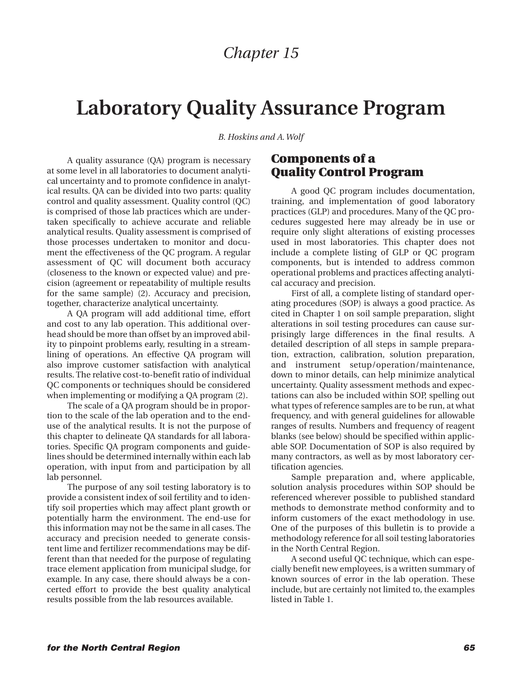# **Laboratory Quality Assurance Program**

*B. Hoskins and A. Wolf*

A quality assurance (QA) program is necessary at some level in all laboratories to document analytical uncertainty and to promote confidence in analytical results. QA can be divided into two parts: quality control and quality assessment. Quality control (QC) is comprised of those lab practices which are undertaken specifically to achieve accurate and reliable analytical results. Quality assessment is comprised of those processes undertaken to monitor and document the effectiveness of the QC program. A regular assessment of QC will document both accuracy (closeness to the known or expected value) and precision (agreement or repeatability of multiple results for the same sample) (2). Accuracy and precision, together, characterize analytical uncertainty.

A QA program will add additional time, effort and cost to any lab operation. This additional overhead should be more than offset by an improved ability to pinpoint problems early, resulting in a streamlining of operations. An effective QA program will also improve customer satisfaction with analytical results. The relative cost-to-benefit ratio of individual QC components or techniques should be considered when implementing or modifying a QA program (2).

The scale of a QA program should be in proportion to the scale of the lab operation and to the enduse of the analytical results. It is not the purpose of this chapter to delineate QA standards for all laboratories. Specific QA program components and guidelines should be determined internally within each lab operation, with input from and participation by all lab personnel.

The purpose of any soil testing laboratory is to provide a consistent index of soil fertility and to identify soil properties which may affect plant growth or potentially harm the environment. The end-use for this information may not be the same in all cases. The accuracy and precision needed to generate consistent lime and fertilizer recommendations may be different than that needed for the purpose of regulating trace element application from municipal sludge, for example. In any case, there should always be a concerted effort to provide the best quality analytical results possible from the lab resources available.

## **Components of a Quality Control Program**

A good QC program includes documentation, training, and implementation of good laboratory practices (GLP) and procedures. Many of the QC procedures suggested here may already be in use or require only slight alterations of existing processes used in most laboratories. This chapter does not include a complete listing of GLP or QC program components, but is intended to address common operational problems and practices affecting analytical accuracy and precision.

First of all, a complete listing of standard operating procedures (SOP) is always a good practice. As cited in Chapter 1 on soil sample preparation, slight alterations in soil testing procedures can cause surprisingly large differences in the final results. A detailed description of all steps in sample preparation, extraction, calibration, solution preparation, and instrument setup/operation/maintenance, down to minor details, can help minimize analytical uncertainty. Quality assessment methods and expectations can also be included within SOP, spelling out what types of reference samples are to be run, at what frequency, and with general guidelines for allowable ranges of results. Numbers and frequency of reagent blanks (see below) should be specified within applicable SOP. Documentation of SOP is also required by many contractors, as well as by most laboratory certification agencies.

Sample preparation and, where applicable, solution analysis procedures within SOP should be referenced wherever possible to published standard methods to demonstrate method conformity and to inform customers of the exact methodology in use. One of the purposes of this bulletin is to provide a methodology reference for all soil testing laboratories in the North Central Region.

A second useful QC technique, which can especially benefit new employees, is a written summary of known sources of error in the lab operation. These include, but are certainly not limited to, the examples listed in Table 1.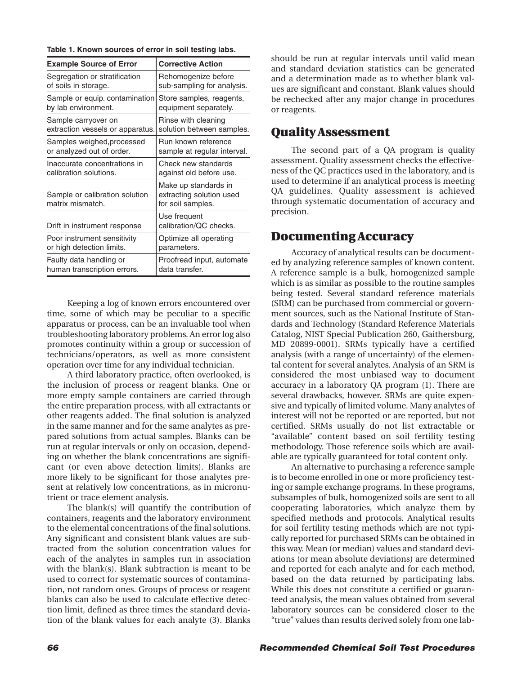| <b>Example Source of Error</b>                     | <b>Corrective Action</b>                                              |
|----------------------------------------------------|-----------------------------------------------------------------------|
| Segregation or stratification                      | Rehomogenize before                                                   |
| of soils in storage.                               | sub-sampling for analysis.                                            |
| Sample or equip. contamination                     | Store samples, reagents,                                              |
| by lab environment.                                | equipment separately.                                                 |
| Sample carryover on                                | Rinse with cleaning                                                   |
| extraction vessels or apparatus.                   | solution between samples.                                             |
| Samples weighed, processed                         | Run known reference                                                   |
| or analyzed out of order.                          | sample at regular interval.                                           |
| Inaccurate concentrations in                       | Check new standards                                                   |
| calibration solutions.                             | against old before use.                                               |
| Sample or calibration solution<br>matrix mismatch. | Make up standards in<br>extracting solution used<br>for soil samples. |
| Drift in instrument response                       | Use frequent<br>calibration/QC checks.                                |
| Poor instrument sensitivity                        | Optimize all operating                                                |
| or high detection limits.                          | parameters.                                                           |
| Faulty data handling or                            | Proofread input, automate                                             |
| human transcription errors.                        | data transfer.                                                        |

#### **Table 1. Known sources of error in soil testing labs.**

Keeping a log of known errors encountered over time, some of which may be peculiar to a specific apparatus or process, can be an invaluable tool when troubleshooting laboratory problems. An error log also promotes continuity within a group or succession of technicians/operators, as well as more consistent operation over time for any individual technician.

A third laboratory practice, often overlooked, is the inclusion of process or reagent blanks. One or more empty sample containers are carried through the entire preparation process, with all extractants or other reagents added. The final solution is analyzed in the same manner and for the same analytes as prepared solutions from actual samples. Blanks can be run at regular intervals or only on occasion, depending on whether the blank concentrations are significant (or even above detection limits). Blanks are more likely to be significant for those analytes present at relatively low concentrations, as in micronutrient or trace element analysis.

The blank(s) will quantify the contribution of containers, reagents and the laboratory environment to the elemental concentrations of the final solutions. Any significant and consistent blank values are subtracted from the solution concentration values for each of the analytes in samples run in association with the blank(s). Blank subtraction is meant to be used to correct for systematic sources of contamination, not random ones. Groups of process or reagent blanks can also be used to calculate effective detection limit, defined as three times the standard deviation of the blank values for each analyte (3). Blanks

should be run at regular intervals until valid mean and standard deviation statistics can be generated and a determination made as to whether blank values are significant and constant. Blank values should be rechecked after any major change in procedures or reagents.

### **Quality Assessment**

The second part of a QA program is quality assessment. Quality assessment checks the effectiveness of the QC practices used in the laboratory, and is used to determine if an analytical process is meeting QA guidelines. Quality assessment is achieved through systematic documentation of accuracy and precision.

### **Documenting Accuracy**

Accuracy of analytical results can be documented by analyzing reference samples of known content. A reference sample is a bulk, homogenized sample which is as similar as possible to the routine samples being tested. Several standard reference materials (SRM) can be purchased from commercial or government sources, such as the National Institute of Standards and Technology (Standard Reference Materials Catalog, NIST Special Publication 260, Gaithersburg, MD 20899-0001). SRMs typically have a certified analysis (with a range of uncertainty) of the elemental content for several analytes. Analysis of an SRM is considered the most unbiased way to document accuracy in a laboratory QA program (1). There are several drawbacks, however. SRMs are quite expensive and typically of limited volume. Many analytes of interest will not be reported or are reported, but not certified. SRMs usually do not list extractable or "available" content based on soil fertility testing methodology. Those reference soils which are available are typically guaranteed for total content only.

An alternative to purchasing a reference sample is to become enrolled in one or more proficiency testing or sample exchange programs. In these programs, subsamples of bulk, homogenized soils are sent to all cooperating laboratories, which analyze them by specified methods and protocols. Analytical results for soil fertility testing methods which are not typically reported for purchased SRMs can be obtained in this way. Mean (or median) values and standard deviations (or mean absolute deviations) are determined and reported for each analyte and for each method, based on the data returned by participating labs. While this does not constitute a certified or guaranteed analysis, the mean values obtained from several laboratory sources can be considered closer to the "true" values than results derived solely from one lab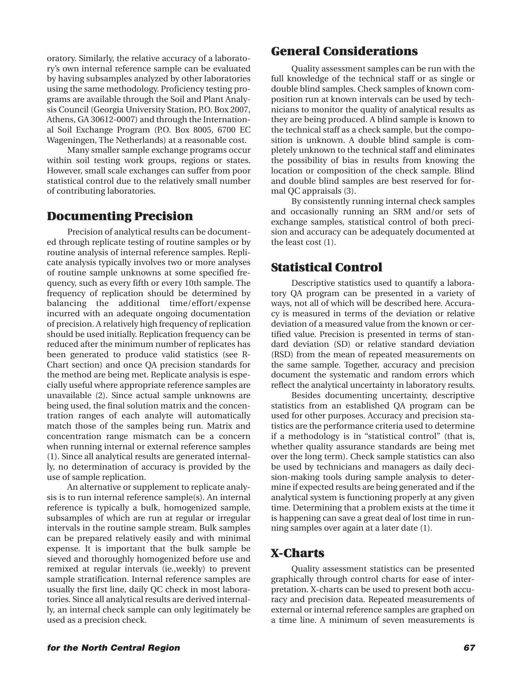oratory. Similarly, the relative accuracy of a laboratory's own internal reference sample can be evaluated by having subsamples analyzed by other laboratories using the same methodology. Proficiency testing programs are available through the Soil and Plant Analysis Council (Georgia University Station, P.O. Box 2007, Athens, GA 30612-0007) and through the International Soil Exchange Program (P.O. Box 8005, 6700 EC Wageningen, The Netherlands) at a reasonable cost.

Many smaller sample exchange programs occur within soil testing work groups, regions or states. However, small scale exchanges can suffer from poor statistical control due to the relatively small number of contributing laboratories.

## **Documenting Precision**

Precision of analytical results can be documented through replicate testing of routine samples or by routine analysis of internal reference samples. Replicate analysis typically involves two or more analyses of routine sample unknowns at some specified frequency, such as every fifth or every 10th sample. The frequency of replication should be determined by balancing the additional time/effort/expense incurred with an adequate ongoing documentation of precision. A relatively high frequency of replication should be used initially. Replication frequency can be reduced after the minimum number of replicates has been generated to produce valid statistics (see R-Chart section) and once QA precision standards for the method are being met. Replicate analysis is especially useful where appropriate reference samples are unavailable (2). Since actual sample unknowns are being used, the final solution matrix and the concentration ranges of each analyte will automatically match those of the samples being run. Matrix and concentration range mismatch can be a concern when running internal or external reference samples (1). Since all analytical results are generated internally, no determination of accuracy is provided by the use of sample replication.

An alternative or supplement to replicate analysis is to run internal reference sample(s). An internal reference is typically a bulk, homogenized sample, subsamples of which are run at regular or irregular intervals in the routine sample stream. Bulk samples can be prepared relatively easily and with minimal expense. It is important that the bulk sample be sieved and thoroughly homogenized before use and remixed at regular intervals (ie.,weekly) to prevent sample stratification. Internal reference samples are usually the first line, daily QC check in most laboratories. Since all analytical results are derived internally, an internal check sample can only legitimately be used as a precision check.

## **General Considerations**

Quality assessment samples can be run with the full knowledge of the technical staff or as single or double blind samples. Check samples of known composition run at known intervals can be used by technicians to monitor the quality of analytical results as they are being produced. A blind sample is known to the technical staff as a check sample, but the composition is unknown. A double blind sample is completely unknown to the technical staff and eliminates the possibility of bias in results from knowing the location or composition of the check sample. Blind and double blind samples are best reserved for formal QC appraisals (3).

By consistently running internal check samples and occasionally running an SRM and/or sets of exchange samples, statistical control of both precision and accuracy can be adequately documented at the least cost (1).

# **Statistical Control**

Descriptive statistics used to quantify a laboratory QA program can be presented in a variety of ways, not all of which will be described here. Accuracy is measured in terms of the deviation or relative deviation of a measured value from the known or certified value. Precision is presented in terms of standard deviation (SD) or relative standard deviation (RSD) from the mean of repeated measurements on the same sample. Together, accuracy and precision document the systematic and random errors which reflect the analytical uncertainty in laboratory results.

Besides documenting uncertainty, descriptive statistics from an established QA program can be used for other purposes. Accuracy and precision statistics are the performance criteria used to determine if a methodology is in "statistical control" (that is, whether quality assurance standards are being met over the long term). Check sample statistics can also be used by technicians and managers as daily decision-making tools during sample analysis to determine if expected results are being generated and if the analytical system is functioning properly at any given time. Determining that a problem exists at the time it is happening can save a great deal of lost time in running samples over again at a later date (1).

# **X-Charts**

Quality assessment statistics can be presented graphically through control charts for ease of interpretation. X-charts can be used to present both accuracy and precision data. Repeated measurements of external or internal reference samples are graphed on a time line. A minimum of seven measurements is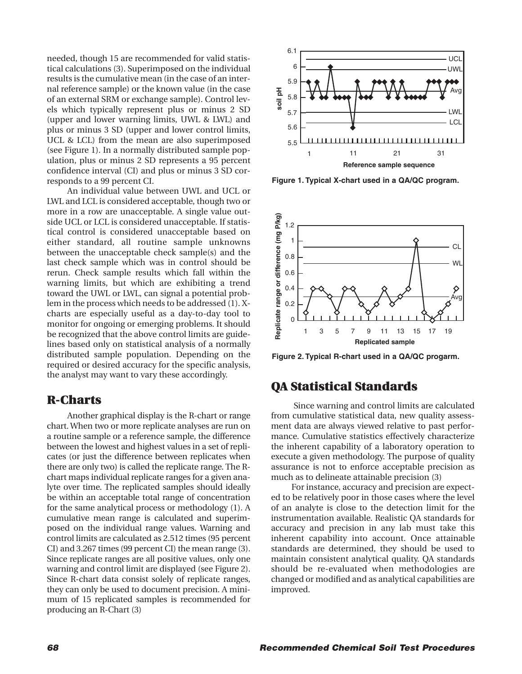needed, though 15 are recommended for valid statistical calculations (3). Superimposed on the individual results is the cumulative mean (in the case of an internal reference sample) or the known value (in the case of an external SRM or exchange sample). Control levels which typically represent plus or minus 2 SD (upper and lower warning limits, UWL & LWL) and plus or minus 3 SD (upper and lower control limits, UCL & LCL) from the mean are also superimposed (see Figure 1). In a normally distributed sample population, plus or minus 2 SD represents a 95 percent confidence interval (CI) and plus or minus 3 SD corresponds to a 99 percent CI.

An individual value between UWL and UCL or LWL and LCL is considered acceptable, though two or more in a row are unacceptable. A single value outside UCL or LCL is considered unacceptable. If statistical control is considered unacceptable based on either standard, all routine sample unknowns between the unacceptable check sample(s) and the last check sample which was in control should be rerun. Check sample results which fall within the warning limits, but which are exhibiting a trend toward the UWL or LWL, can signal a potential problem in the process which needs to be addressed (1). Xcharts are especially useful as a day-to-day tool to monitor for ongoing or emerging problems. It should be recognized that the above control limits are guidelines based only on statistical analysis of a normally distributed sample population. Depending on the required or desired accuracy for the specific analysis, the analyst may want to vary these accordingly.

## **R-Charts**

Another graphical display is the R-chart or range chart. When two or more replicate analyses are run on a routine sample or a reference sample, the difference between the lowest and highest values in a set of replicates (or just the difference between replicates when there are only two) is called the replicate range. The Rchart maps individual replicate ranges for a given analyte over time. The replicated samples should ideally be within an acceptable total range of concentration for the same analytical process or methodology (1). A cumulative mean range is calculated and superimposed on the individual range values. Warning and control limits are calculated as 2.512 times (95 percent CI) and 3.267 times (99 percent CI) the mean range (3). Since replicate ranges are all positive values, only one warning and control limit are displayed (see Figure 2). Since R-chart data consist solely of replicate ranges, they can only be used to document precision. A minimum of 15 replicated samples is recommended for producing an R-Chart (3)



**Figure 1. Typical X-chart used in a QA/QC program.**



**Figure 2. Typical R-chart used in a QA/QC progarm.**

## **QA Statistical Standards**

Since warning and control limits are calculated from cumulative statistical data, new quality assessment data are always viewed relative to past performance. Cumulative statistics effectively characterize the inherent capability of a laboratory operation to execute a given methodology. The purpose of quality assurance is not to enforce acceptable precision as much as to delineate attainable precision (3)

For instance, accuracy and precision are expected to be relatively poor in those cases where the level of an analyte is close to the detection limit for the instrumentation available. Realistic QA standards for accuracy and precision in any lab must take this inherent capability into account. Once attainable standards are determined, they should be used to maintain consistent analytical quality. QA standards should be re-evaluated when methodologies are changed or modified and as analytical capabilities are improved.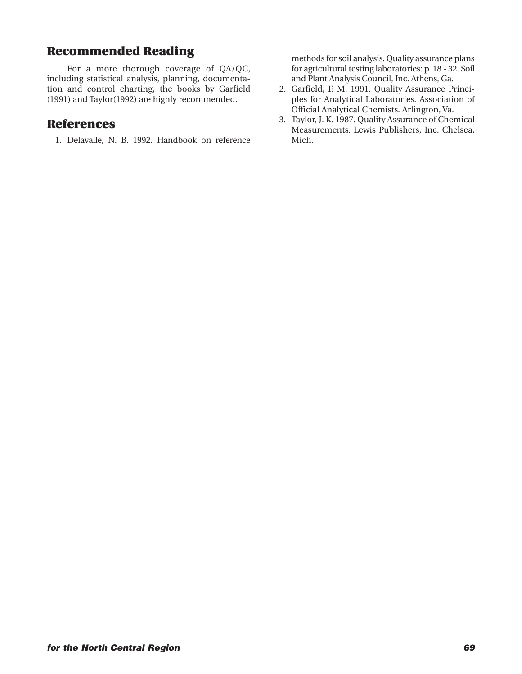# **Recommended Reading**

For a more thorough coverage of QA/QC, including statistical analysis, planning, documentation and control charting, the books by Garfield (1991) and Taylor(1992) are highly recommended.

# **References**

1. Delavalle, N. B. 1992. Handbook on reference

methods for soil analysis. Quality assurance plans for agricultural testing laboratories: p. 18 - 32. Soil and Plant Analysis Council, Inc. Athens, Ga.

- 2. Garfield, F. M. 1991. Quality Assurance Principles for Analytical Laboratories. Association of Official Analytical Chemists. Arlington, Va.
- 3. Taylor, J. K. 1987. Quality Assurance of Chemical Measurements. Lewis Publishers, Inc. Chelsea, Mich.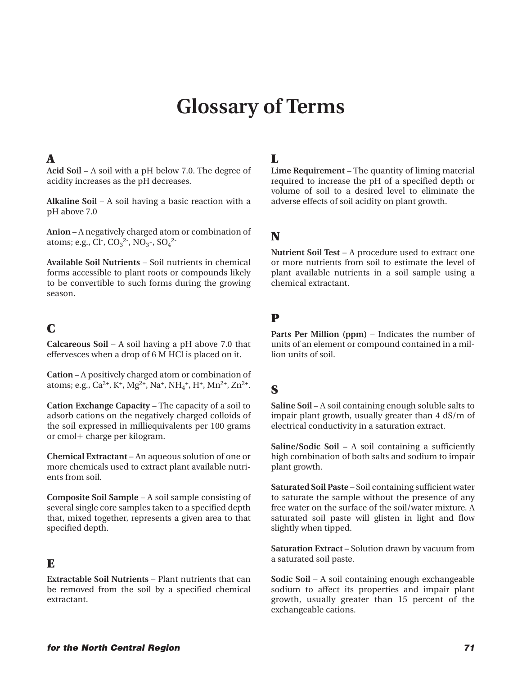# **Glossary of Terms**

#### **A**

**Acid Soil** – A soil with a pH below 7.0. The degree of acidity increases as the pH decreases.

**Alkaline Soil** – A soil having a basic reaction with a pH above 7.0

**Anion** – A negatively charged atom or combination of atoms; e.g., Cl<sup>-</sup>, CO<sub>3</sub><sup>2-</sup>, NO<sub>3</sub>-, SO<sub>4</sub><sup>2-</sup>

**Available Soil Nutrients** – Soil nutrients in chemical forms accessible to plant roots or compounds likely to be convertible to such forms during the growing season.

## **C**

**Calcareous Soil** – A soil having a pH above 7.0 that effervesces when a drop of 6 M HCl is placed on it.

**Cation** – A positively charged atom or combination of atoms; e.g., Ca<sup>2+</sup>, K<sup>+</sup>, Mg<sup>2+</sup>, Na<sup>+</sup>, NH<sub>4</sub><sup>+</sup>, H<sup>+</sup>, Mn<sup>2+</sup>, Zn<sup>2+</sup>.

**Cation Exchange Capacity** – The capacity of a soil to adsorb cations on the negatively charged colloids of the soil expressed in milliequivalents per 100 grams or cmol**1** charge per kilogram.

**Chemical Extractant** – An aqueous solution of one or more chemicals used to extract plant available nutrients from soil.

**Composite Soil Sample** – A soil sample consisting of several single core samples taken to a specified depth that, mixed together, represents a given area to that specified depth.

#### **E**

**Extractable Soil Nutrients** – Plant nutrients that can be removed from the soil by a specified chemical extractant.

#### **L**

**Lime Requirement** – The quantity of liming material required to increase the pH of a specified depth or volume of soil to a desired level to eliminate the adverse effects of soil acidity on plant growth.

## **N**

**Nutrient Soil Test** – A procedure used to extract one or more nutrients from soil to estimate the level of plant available nutrients in a soil sample using a chemical extractant.

## **P**

**Parts Per Million (ppm)** – Indicates the number of units of an element or compound contained in a million units of soil.

# **S**

**Saline Soil** – A soil containing enough soluble salts to impair plant growth, usually greater than 4 dS/m of electrical conductivity in a saturation extract.

**Saline/Sodic Soil** – A soil containing a sufficiently high combination of both salts and sodium to impair plant growth.

**Saturated Soil Paste** – Soil containing sufficient water to saturate the sample without the presence of any free water on the surface of the soil/water mixture. A saturated soil paste will glisten in light and flow slightly when tipped.

**Saturation Extract** – Solution drawn by vacuum from a saturated soil paste.

**Sodic Soil** – A soil containing enough exchangeable sodium to affect its properties and impair plant growth, usually greater than 15 percent of the exchangeable cations.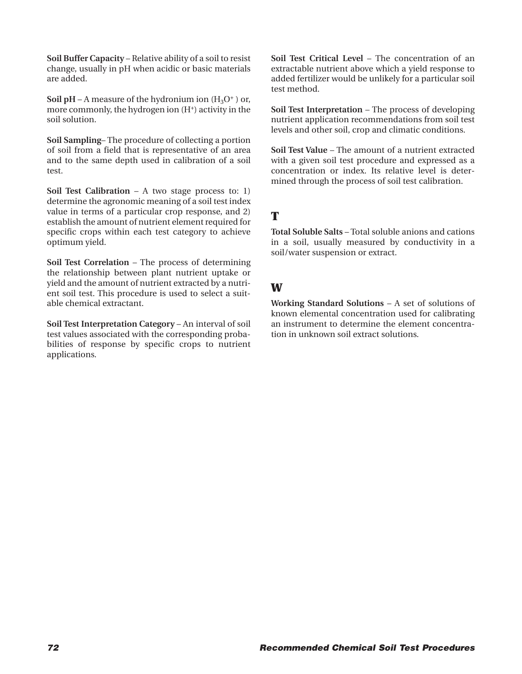**Soil Buffer Capacity** – Relative ability of a soil to resist change, usually in pH when acidic or basic materials are added.

**Soil pH** – A measure of the hydronium ion  $(H_3O^+)$  or, more commonly, the hydrogen ion  $(H^+)$  activity in the soil solution.

**Soil Sampling**– The procedure of collecting a portion of soil from a field that is representative of an area and to the same depth used in calibration of a soil test.

**Soil Test Calibration** – A two stage process to: 1) determine the agronomic meaning of a soil test index value in terms of a particular crop response, and 2) establish the amount of nutrient element required for specific crops within each test category to achieve optimum yield.

**Soil Test Correlation** – The process of determining the relationship between plant nutrient uptake or yield and the amount of nutrient extracted by a nutrient soil test. This procedure is used to select a suitable chemical extractant.

**Soil Test Interpretation Category** – An interval of soil test values associated with the corresponding probabilities of response by specific crops to nutrient applications.

**Soil Test Critical Level** – The concentration of an extractable nutrient above which a yield response to added fertilizer would be unlikely for a particular soil test method.

**Soil Test Interpretation** – The process of developing nutrient application recommendations from soil test levels and other soil, crop and climatic conditions.

**Soil Test Value** – The amount of a nutrient extracted with a given soil test procedure and expressed as a concentration or index. Its relative level is determined through the process of soil test calibration.

# **T**

**Total Soluble Salts** – Total soluble anions and cations in a soil, usually measured by conductivity in a soil/water suspension or extract.

#### **W**

**Working Standard Solutions** – A set of solutions of known elemental concentration used for calibrating an instrument to determine the element concentration in unknown soil extract solutions.